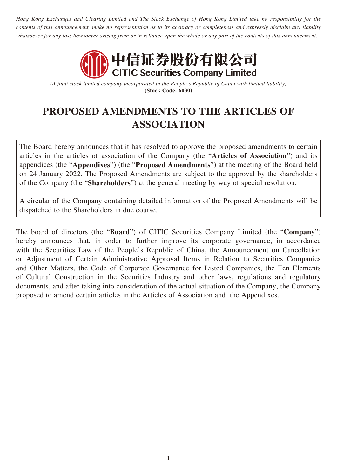*Hong Kong Exchanges and Clearing Limited and The Stock Exchange of Hong Kong Limited take no responsibility for the contents of this announcement, make no representation as to its accuracy or completeness and expressly disclaim any liability whatsoever for any loss howsoever arising from or in reliance upon the whole or any part of the contents of this announcement.*



*(A joint stock limited company incorporated in the People's Republic of China with limited liability)*  **(Stock Code: 6030)**

# **PROPOSED AMENDMENTS TO THE ARTICLES OF ASSOCIATION**

The Board hereby announces that it has resolved to approve the proposed amendments to certain articles in the articles of association of the Company (the "**Articles of Association**") and its appendices (the "**Appendixes**") (the "**Proposed Amendments**") at the meeting of the Board held on 24 January 2022. The Proposed Amendments are subject to the approval by the shareholders of the Company (the "**Shareholders**") at the general meeting by way of special resolution.

A circular of the Company containing detailed information of the Proposed Amendments will be dispatched to the Shareholders in due course.

The board of directors (the "**Board**") of CITIC Securities Company Limited (the "**Company**") hereby announces that, in order to further improve its corporate governance, in accordance with the Securities Law of the People's Republic of China, the Announcement on Cancellation or Adjustment of Certain Administrative Approval Items in Relation to Securities Companies and Other Matters, the Code of Corporate Governance for Listed Companies, the Ten Elements of Cultural Construction in the Securities Industry and other laws, regulations and regulatory documents, and after taking into consideration of the actual situation of the Company, the Company proposed to amend certain articles in the Articles of Association and the Appendixes.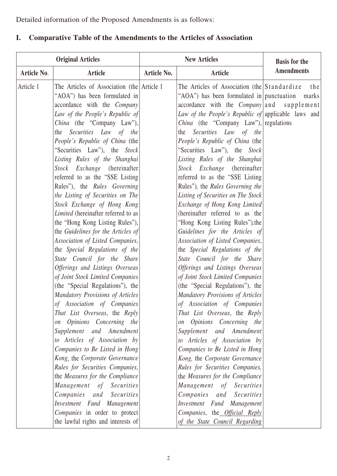Detailed information of the Proposed Amendments is as follows:

## **I. Comparative Table of the Amendments to the Articles of Association**

| <b>Original Articles</b> |                                                                                                                                                                                                                                                                                                                                                                                                                                                                                                                                                                                                                                                                                                                                                                                                                                                                                                                                                                                                                                                                                                                                                                                                                                                                                                   | <b>New Articles</b> |                                                                                                                                                                                                                                                                                                                                                                                                                                                                                                                                                                                                                                                                                                                                                                                                                                                                                                                                                                                                                                                                                                                                                                                                                                                                                                                                                                   | <b>Basis for the</b> |
|--------------------------|---------------------------------------------------------------------------------------------------------------------------------------------------------------------------------------------------------------------------------------------------------------------------------------------------------------------------------------------------------------------------------------------------------------------------------------------------------------------------------------------------------------------------------------------------------------------------------------------------------------------------------------------------------------------------------------------------------------------------------------------------------------------------------------------------------------------------------------------------------------------------------------------------------------------------------------------------------------------------------------------------------------------------------------------------------------------------------------------------------------------------------------------------------------------------------------------------------------------------------------------------------------------------------------------------|---------------------|-------------------------------------------------------------------------------------------------------------------------------------------------------------------------------------------------------------------------------------------------------------------------------------------------------------------------------------------------------------------------------------------------------------------------------------------------------------------------------------------------------------------------------------------------------------------------------------------------------------------------------------------------------------------------------------------------------------------------------------------------------------------------------------------------------------------------------------------------------------------------------------------------------------------------------------------------------------------------------------------------------------------------------------------------------------------------------------------------------------------------------------------------------------------------------------------------------------------------------------------------------------------------------------------------------------------------------------------------------------------|----------------------|
| <b>Article No.</b>       | <b>Article</b>                                                                                                                                                                                                                                                                                                                                                                                                                                                                                                                                                                                                                                                                                                                                                                                                                                                                                                                                                                                                                                                                                                                                                                                                                                                                                    | Article No.         | <b>Article</b>                                                                                                                                                                                                                                                                                                                                                                                                                                                                                                                                                                                                                                                                                                                                                                                                                                                                                                                                                                                                                                                                                                                                                                                                                                                                                                                                                    | <b>Amendments</b>    |
| Article 1                | The Articles of Association (the Article 1)<br>"AOA") has been formulated in<br>accordance with the Company<br>Law of the People's Republic of<br><i>China</i> (the "Company Law"),<br>the Securities Law of the<br>People's Republic of China (the<br>"Securities Law"), the Stock<br>Listing Rules of the Shanghai<br>Stock Exchange (hereinafter)<br>referred to as the "SSE Listing<br>Rules"), the Rules Governing<br>the Listing of Securities on The<br>Stock Exchange of Hong Kong<br><i>Limited</i> (hereinafter referred to as<br>the "Hong Kong Listing Rules"),<br>the Guidelines for the Articles of<br>Association of Listed Companies,<br>the Special Regulations of the<br>State Council for the Share<br>Offerings and Listings Overseas<br>of Joint Stock Limited Companies<br>(the "Special Regulations"), the<br>Mandatory Provisions of Articles<br>of Association of Companies<br>That List Overseas, the Reply<br>on Opinions Concerning the<br>Supplement and Amendment<br>to Articles of Association by<br>Companies to Be Listed in Hong<br>Kong, the Corporate Governance<br>Rules for Securities Companies,<br>the Measures for the Compliance<br>Management of Securities<br>Companies and Securities<br>Investment Fund Management<br>Companies in order to protect |                     | The Articles of Association (the Standardize)<br>"AOA") has been formulated in punctuation<br>accordance with the <i>Company</i> and supplement<br>Law of the People's Republic of applicable laws and<br><i>China</i> (the "Company Law"), regulations<br>Securities Law of the<br>the<br>People's Republic of China (the<br>"Securities Law"), the Stock<br>Listing Rules of the Shanghai<br>Stock Exchange (hereinafter<br>referred to as the "SSE Listing"<br>Rules"), the Rules Governing the<br>Listing of Securities on The Stock<br>Exchange of Hong Kong Limited<br>(hereinafter referred to as the<br>"Hong Kong Listing Rules"), the<br>Guidelines for the Articles of<br>Association of Listed Companies,<br>the Special Regulations of the<br>State Council for the Share<br>Offerings and Listings Overseas<br>of Joint Stock Limited Companies<br>(the "Special Regulations"), the<br>Mandatory Provisions of Articles<br>of Association of Companies<br>That List Overseas, the Reply<br>on Opinions Concerning the<br>Supplement and Amendment<br>to Articles of Association by<br>Companies to Be Listed in Hong<br>Kong, the Corporate Governance<br>Rules for Securities Companies,<br>the Measures for the Compliance<br>Management of Securities<br>Companies and Securities<br>Investment Fund Management<br>Companies, the Official Reply | the<br>marks         |
|                          | the lawful rights and interests of                                                                                                                                                                                                                                                                                                                                                                                                                                                                                                                                                                                                                                                                                                                                                                                                                                                                                                                                                                                                                                                                                                                                                                                                                                                                |                     | of the State Council Regarding                                                                                                                                                                                                                                                                                                                                                                                                                                                                                                                                                                                                                                                                                                                                                                                                                                                                                                                                                                                                                                                                                                                                                                                                                                                                                                                                    |                      |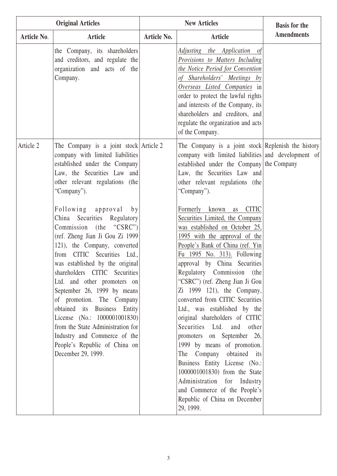|                    | <b>Original Articles</b>                                                                                                                                                                                                                                                                                                                                                                                                                                                                                                                                                                                                                                                                                                                          |                    | <b>New Articles</b>                                                                                                                                                                                                                                                                                                                                                                                                                                                                                                                                                                                                                                                                                                                                                                                                                                                                                                                                                                               | <b>Basis for the</b> |
|--------------------|---------------------------------------------------------------------------------------------------------------------------------------------------------------------------------------------------------------------------------------------------------------------------------------------------------------------------------------------------------------------------------------------------------------------------------------------------------------------------------------------------------------------------------------------------------------------------------------------------------------------------------------------------------------------------------------------------------------------------------------------------|--------------------|---------------------------------------------------------------------------------------------------------------------------------------------------------------------------------------------------------------------------------------------------------------------------------------------------------------------------------------------------------------------------------------------------------------------------------------------------------------------------------------------------------------------------------------------------------------------------------------------------------------------------------------------------------------------------------------------------------------------------------------------------------------------------------------------------------------------------------------------------------------------------------------------------------------------------------------------------------------------------------------------------|----------------------|
| <b>Article No.</b> | <b>Article</b>                                                                                                                                                                                                                                                                                                                                                                                                                                                                                                                                                                                                                                                                                                                                    | <b>Article No.</b> | <b>Article</b>                                                                                                                                                                                                                                                                                                                                                                                                                                                                                                                                                                                                                                                                                                                                                                                                                                                                                                                                                                                    | <b>Amendments</b>    |
|                    | the Company, its shareholders<br>and creditors, and regulate the<br>organization and acts of the<br>Company.                                                                                                                                                                                                                                                                                                                                                                                                                                                                                                                                                                                                                                      |                    | Adjusting the Application of<br>Provisions to Matters Including<br>the Notice Period for Convention<br>of Shareholders' Meetings by<br>Overseas Listed Companies in<br>order to protect the lawful rights<br>and interests of the Company, its<br>shareholders and creditors, and<br>regulate the organization and acts<br>of the Company.                                                                                                                                                                                                                                                                                                                                                                                                                                                                                                                                                                                                                                                        |                      |
| Article 2          | The Company is a joint stock Article 2<br>company with limited liabilities<br>established under the Company<br>Law, the Securities Law and<br>other relevant regulations (the<br>"Company").<br>Following approval<br>b y<br>China Securities Regulatory<br>Commission (the "CSRC")<br>(ref. Zheng Jian Ji Gou Zi 1999)<br>121), the Company, converted<br>from CITIC Securities Ltd.,<br>was established by the original<br>shareholders CITIC Securities<br>Ltd. and other promoters on<br>September 26, 1999 by means<br>of promotion. The Company<br>obtained its Business Entity<br>License (No.: 1000001001830)<br>from the State Administration for<br>Industry and Commerce of the<br>People's Republic of China on<br>December 29, 1999. |                    | The Company is a joint stock Replenish the history<br>company with limited liabilities and development of<br>established under the Company the Company<br>Law, the Securities Law and<br>other relevant regulations (the<br>"Company").<br><b>CITIC</b><br>Formerly known<br>as<br>Securities Limited, the Company<br>was established on October 25,<br>1995 with the approval of the<br>People's Bank of China (ref. Yin<br>Fu 1995 No. 313). Following<br>approval by China Securities<br>Regulatory Commission (the<br>"CSRC") (ref. Zheng Jian Ji Gou<br>Zi 1999 121), the Company,<br>converted from CITIC Securities<br>Ltd., was established by the<br>original shareholders of CITIC<br>Securities Ltd. and other<br>promoters on September 26,<br>1999 by means of promotion.<br>The Company obtained its<br>Business Entity License (No.:<br>1000001001830) from the State<br>Administration for Industry<br>and Commerce of the People's<br>Republic of China on December<br>29, 1999. |                      |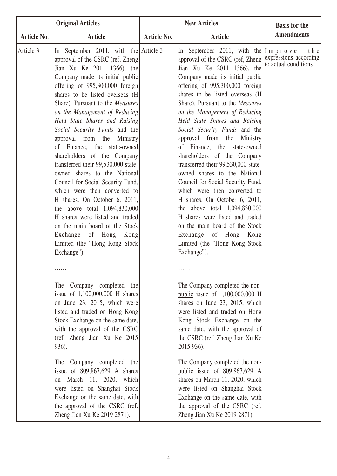| <b>Original Articles</b> |                                                                                                                                                                                                                                                                                                                                                                                                                                                                                                                                                                                                                                                                                                                                                                                                                   |                    | <b>New Articles</b>                                                                                                                                                                                                                                                                                                                                                                                                                                                                                                                                                                                                                                                                                                                                                                                                                                                                                                                                                       | <b>Basis for the</b> |
|--------------------------|-------------------------------------------------------------------------------------------------------------------------------------------------------------------------------------------------------------------------------------------------------------------------------------------------------------------------------------------------------------------------------------------------------------------------------------------------------------------------------------------------------------------------------------------------------------------------------------------------------------------------------------------------------------------------------------------------------------------------------------------------------------------------------------------------------------------|--------------------|---------------------------------------------------------------------------------------------------------------------------------------------------------------------------------------------------------------------------------------------------------------------------------------------------------------------------------------------------------------------------------------------------------------------------------------------------------------------------------------------------------------------------------------------------------------------------------------------------------------------------------------------------------------------------------------------------------------------------------------------------------------------------------------------------------------------------------------------------------------------------------------------------------------------------------------------------------------------------|----------------------|
| <b>Article No.</b>       | Article                                                                                                                                                                                                                                                                                                                                                                                                                                                                                                                                                                                                                                                                                                                                                                                                           | <b>Article No.</b> | <b>Article</b>                                                                                                                                                                                                                                                                                                                                                                                                                                                                                                                                                                                                                                                                                                                                                                                                                                                                                                                                                            | <b>Amendments</b>    |
| Article 3                | In September 2011, with the Article 3<br>approval of the CSRC (ref, Zheng<br>Jian Xu Ke 2011 1366), the<br>Company made its initial public<br>offering of 995,300,000 foreign<br>shares to be listed overseas (H<br>Share). Pursuant to the Measures<br>on the Management of Reducing<br>Held State Shares and Raising<br>Social Security Funds and the<br>approval from the Ministry<br>of Finance, the state-owned<br>shareholders of the Company<br>transferred their 99,530,000 state-<br>owned shares to the National<br>Council for Social Security Fund,<br>which were then converted to<br>H shares. On October 6, 2011,<br>the above total $1,094,830,000$<br>H shares were listed and traded<br>on the main board of the Stock<br>Exchange of Hong Kong<br>Limited (the "Hong Kong Stock<br>Exchange"). |                    | In September 2011, with the $ I \text{ m } p \text{ r } o \text{ v } e$<br>approval of the CSRC (ref. Zheng expressions according<br>$\lim_{x \to 0} \frac{V_{11} V_{22}}{V_{22}} = 2011 - 1366$ the to actual conditions<br>Jian Xu Ke 2011 1366), the<br>Company made its initial public<br>offering of 995,300,000 foreign<br>shares to be listed overseas (H)<br>Share). Pursuant to the <i>Measures</i><br>on the Management of Reducing<br>Held State Shares and Raising<br>Social Security Funds and the<br>approval from the Ministry<br>of Finance, the state-owned<br>shareholders of the Company<br>transferred their 99,530,000 state-<br>owned shares to the National<br>Council for Social Security Fund,<br>which were then converted to<br>H shares. On October 6, 2011,<br>the above total $1,094,830,000$<br>H shares were listed and traded<br>on the main board of the Stock<br>Exchange of Hong Kong<br>Limited (the "Hong Kong Stock<br>Exchange"). | t h e                |
|                          | The Company completed the<br>issue of $1,100,000,000$ H shares<br>on June 23, 2015, which were<br>listed and traded on Hong Kong<br>Stock Exchange on the same date,<br>with the approval of the CSRC<br>(ref. Zheng Jian Xu Ke 2015<br>936).<br>The Company completed the<br>issue of $809,867,629$ A shares<br>on March 11, 2020, which<br>were listed on Shanghai Stock<br>Exchange on the same date, with<br>the approval of the CSRC (ref.<br>Zheng Jian Xu Ke 2019 2871).                                                                                                                                                                                                                                                                                                                                   |                    | The Company completed the non-<br>public issue of 1,100,000,000 H<br>shares on June 23, 2015, which<br>were listed and traded on Hong<br>Kong Stock Exchange on the<br>same date, with the approval of<br>the CSRC (ref. Zheng Jian Xu Ke)<br>2015 936).<br>The Company completed the non-<br>public issue of 809,867,629 A<br>shares on March 11, 2020, which<br>were listed on Shanghai Stock<br>Exchange on the same date, with<br>the approval of the CSRC (ref.<br>Zheng Jian Xu Ke 2019 2871).                                                                                                                                                                                                                                                                                                                                                                                                                                                                      |                      |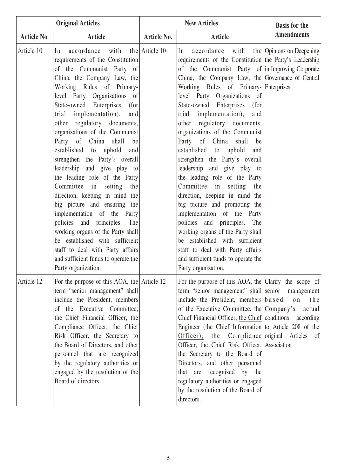|                    | <b>Original Articles</b>                                                                                                                                                                                                                                                                                                                                                                                                                                                                                                                                                                                                                                                                                                                                                                                                                  | <b>New Articles</b> |                                                                                                                                                                                                                                                                                                                                                                                                                                                                                                                                                                                                                                                                                                                                                                                                                                                                                                                                                   | <b>Basis for the</b>  |
|--------------------|-------------------------------------------------------------------------------------------------------------------------------------------------------------------------------------------------------------------------------------------------------------------------------------------------------------------------------------------------------------------------------------------------------------------------------------------------------------------------------------------------------------------------------------------------------------------------------------------------------------------------------------------------------------------------------------------------------------------------------------------------------------------------------------------------------------------------------------------|---------------------|---------------------------------------------------------------------------------------------------------------------------------------------------------------------------------------------------------------------------------------------------------------------------------------------------------------------------------------------------------------------------------------------------------------------------------------------------------------------------------------------------------------------------------------------------------------------------------------------------------------------------------------------------------------------------------------------------------------------------------------------------------------------------------------------------------------------------------------------------------------------------------------------------------------------------------------------------|-----------------------|
| <b>Article No.</b> | Article                                                                                                                                                                                                                                                                                                                                                                                                                                                                                                                                                                                                                                                                                                                                                                                                                                   | <b>Article No.</b>  | <b>Article</b>                                                                                                                                                                                                                                                                                                                                                                                                                                                                                                                                                                                                                                                                                                                                                                                                                                                                                                                                    | <b>Amendments</b>     |
| Article 10         | accordance with the Article 10<br>In<br>requirements of the Constitution<br>of the Communist Party of<br>China, the Company Law, the<br>Working Rules of Primary-<br>level Party Organizations of<br>State-owned Enterprises (for<br>trial implementation), and<br>other regulatory documents,<br>organizations of the Communist<br>Party of China shall<br>be<br>established to uphold<br>and<br>strengthen the Party's overall<br>leadership and give play to<br>the leading role of the Party<br>Committee in<br>setting the<br>direction, keeping in mind the<br>big picture and ensuring the<br>implementation of the Party<br>policies and principles. The<br>working organs of the Party shall<br>be established with sufficient<br>staff to deal with Party affairs<br>and sufficient funds to operate the<br>Party organization. |                     | accordance with the Opinions on Deepening<br>In<br>requirements of the Constitution the Party's Leadership<br>of the Communist Party of in Improving Corporate<br>China, the Company Law, the Governance of Central<br>Working Rules of Primary- Enterprises<br>level Party Organizations of<br>State-owned Enterprises<br>(for<br>implementation),<br>trial<br>and<br>other regulatory documents,<br>organizations of the Communist<br>Party of China shall<br>be<br>established to uphold<br>and<br>strengthen the Party's overall<br>leadership and give play to<br>the leading role of the Party<br>Committee in<br>setting<br>the<br>direction, keeping in mind the<br>big picture and promoting the<br>implementation of the Party<br>policies and principles. The<br>working organs of the Party shall<br>be established with sufficient<br>staff to deal with Party affairs<br>and sufficient funds to operate the<br>Party organization. |                       |
| Article 12         | For the purpose of this AOA, the Article 12<br>term "senior management" shall<br>include the President, members<br>of the Executive Committee,<br>the Chief Financial Officer, the<br>Compliance Officer, the Chief<br>Risk Officer, the Secretary to<br>the Board of Directors, and other<br>personnel that are recognized<br>by the regulatory authorities or<br>engaged by the resolution of the<br>Board of directors.                                                                                                                                                                                                                                                                                                                                                                                                                |                     | For the purpose of this AOA, the Clarify the scope of<br>term "senior management" shall senior management<br>include the President, members $\vert$ b a s e d<br>of the Executive Committee, the Company's actual<br>Chief Financial Officer, the Chief conditions according<br>Engineer (the Chief Information to Article 208 of the<br>Officer), the Compliance original Articles of<br>Officer, the Chief Risk Officer, Association<br>the Secretary to the Board of<br>Directors, and other personnel<br>that are recognized by the<br>regulatory authorities or engaged<br>by the resolution of the Board of<br>directors.                                                                                                                                                                                                                                                                                                                   | o <sub>n</sub><br>the |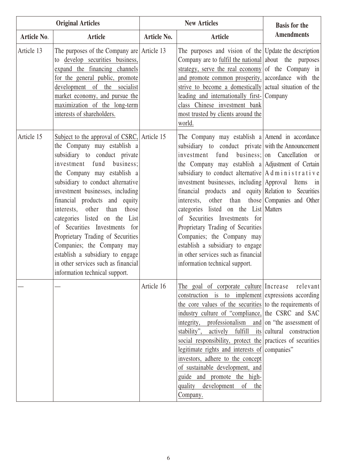| <b>Original Articles</b> |                                                                                                                                                                                                                                                                                                                                                                                                                                                                                                                                                                       | <b>New Articles</b> |                                                                                                                                                                                                                                                                                                                                                                                                                                                                                                                                                                                                                                                                           | <b>Basis for the</b>                                                |
|--------------------------|-----------------------------------------------------------------------------------------------------------------------------------------------------------------------------------------------------------------------------------------------------------------------------------------------------------------------------------------------------------------------------------------------------------------------------------------------------------------------------------------------------------------------------------------------------------------------|---------------------|---------------------------------------------------------------------------------------------------------------------------------------------------------------------------------------------------------------------------------------------------------------------------------------------------------------------------------------------------------------------------------------------------------------------------------------------------------------------------------------------------------------------------------------------------------------------------------------------------------------------------------------------------------------------------|---------------------------------------------------------------------|
| <b>Article No.</b>       | <b>Article</b>                                                                                                                                                                                                                                                                                                                                                                                                                                                                                                                                                        | <b>Article No.</b>  | <b>Article</b>                                                                                                                                                                                                                                                                                                                                                                                                                                                                                                                                                                                                                                                            | <b>Amendments</b>                                                   |
| Article 13               | The purposes of the Company are $ $ Article 13<br>to develop securities business,<br>expand the financing channels<br>for the general public, promote<br>development of the socialist<br>market economy, and pursue the<br>maximization of the long-term<br>interests of shareholders.                                                                                                                                                                                                                                                                                |                     | The purposes and vision of the Update the description<br>Company are to <u>fulfil the national</u> about the purposes<br>strategy, serve the real economy of the Company in<br>and promote common prosperity, accordance with the<br>strive to become a domestically actual situation of the<br>leading and internationally first- Company<br>class Chinese investment bank<br>most trusted by clients around the<br>world.                                                                                                                                                                                                                                               |                                                                     |
| Article 15               | Subject to the approval of CSRC, Article 15<br>the Company may establish a<br>subsidiary to conduct private<br>investment fund<br>business;<br>the Company may establish a<br>subsidiary to conduct alternative<br>investment businesses, including<br>financial products and equity<br>interests, other than those<br>categories listed on the List<br>of Securities Investments for<br>Proprietary Trading of Securities<br>Companies; the Company may<br>establish a subsidiary to engage<br>in other services such as financial<br>information technical support. |                     | The Company may establish a Amend in accordance<br>subsidiary to conduct private with the Announcement<br>investment fund<br>the Company may establish a Adjustment of Certain<br>subsidiary to conduct alternative $A$ d m i n i s t r a t i v e<br>investment businesses, including Approval Items<br>financial products and equity Relation to Securities<br>interests, other than those Companies and Other<br>categories listed on the List Matters<br>of Securities Investments for<br>Proprietary Trading of Securities<br>Companies; the Company may<br>establish a subsidiary to engage<br>in other services such as financial<br>information technical support. | business; on Cancellation or<br>in                                  |
|                          |                                                                                                                                                                                                                                                                                                                                                                                                                                                                                                                                                                       | Article 16          | The goal of corporate culture Increase<br>construction is to implement expressions according<br>the core values of the securities to the requirements of<br>industry culture of "compliance, the CSRC and SAC<br>professionalism<br>integrity,<br>stability",<br>fulfill<br>actively<br>social responsibility, protect the practices of securities<br>legitimate rights and interests of companies"<br>investors, adhere to the concept<br>of sustainable development, and<br>guide and promote the high-<br>quality development<br>of<br>the<br>Company.                                                                                                                 | relevant<br>and on "the assessment of"<br>its cultural construction |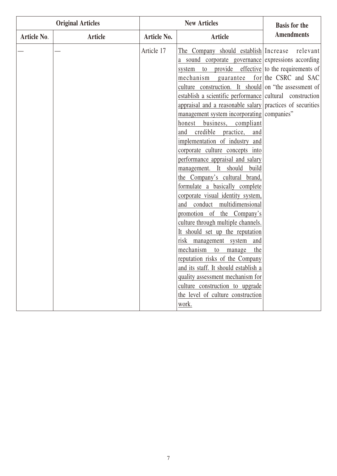| <b>Original Articles</b> |                | <b>New Articles</b> |                                                                      | <b>Basis for the</b>             |
|--------------------------|----------------|---------------------|----------------------------------------------------------------------|----------------------------------|
| Article No.              | <b>Article</b> | Article No.         | <b>Article</b>                                                       | <b>Amendments</b>                |
|                          |                | Article 17          | The Company should establish Increase                                | relevant                         |
|                          |                |                     | a sound corporate governance expressions according                   |                                  |
|                          |                |                     | to provide<br>system                                                 | effective to the requirements of |
|                          |                |                     | mechanism guarantee for the CSRC and SAC                             |                                  |
|                          |                |                     | culture construction. It should on "the assessment of                |                                  |
|                          |                |                     | establish a scientific performance cultural construction             |                                  |
|                          |                |                     | appraisal and a reasonable salary practices of securities            |                                  |
|                          |                |                     | management system incorporating companies"                           |                                  |
|                          |                |                     | business, compliant<br>honest                                        |                                  |
|                          |                |                     | and credible practice,<br>and                                        |                                  |
|                          |                |                     | implementation of industry and                                       |                                  |
|                          |                |                     | corporate culture concepts into                                      |                                  |
|                          |                |                     | performance appraisal and salary                                     |                                  |
|                          |                |                     | management. It should build                                          |                                  |
|                          |                |                     | the Company's cultural brand,                                        |                                  |
|                          |                |                     | formulate a basically complete                                       |                                  |
|                          |                |                     | corporate visual identity system,                                    |                                  |
|                          |                |                     | and conduct multidimensional                                         |                                  |
|                          |                |                     | promotion of the Company's                                           |                                  |
|                          |                |                     | culture through multiple channels.                                   |                                  |
|                          |                |                     | It should set up the reputation                                      |                                  |
|                          |                |                     | risk management system<br>and                                        |                                  |
|                          |                |                     | mechanism to manage<br>the                                           |                                  |
|                          |                |                     | reputation risks of the Company                                      |                                  |
|                          |                |                     | and its staff. It should establish a                                 |                                  |
|                          |                |                     | quality assessment mechanism for                                     |                                  |
|                          |                |                     | culture construction to upgrade<br>the level of culture construction |                                  |
|                          |                |                     |                                                                      |                                  |
|                          |                |                     | work.                                                                |                                  |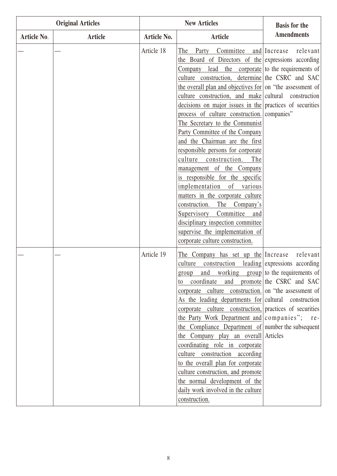|             | <b>Original Articles</b> |                    | <b>New Articles</b>                                                                                                                                                                                                                                                                                                                                                                                                                                                                                                                                                                                                                                                                                                                                                                                                                                       | <b>Basis for the</b>                                                                                |
|-------------|--------------------------|--------------------|-----------------------------------------------------------------------------------------------------------------------------------------------------------------------------------------------------------------------------------------------------------------------------------------------------------------------------------------------------------------------------------------------------------------------------------------------------------------------------------------------------------------------------------------------------------------------------------------------------------------------------------------------------------------------------------------------------------------------------------------------------------------------------------------------------------------------------------------------------------|-----------------------------------------------------------------------------------------------------|
| Article No. | <b>Article</b>           | <b>Article No.</b> | <b>Article</b>                                                                                                                                                                                                                                                                                                                                                                                                                                                                                                                                                                                                                                                                                                                                                                                                                                            | <b>Amendments</b>                                                                                   |
|             |                          | Article 18         | Committee<br>The<br>Party<br>the Board of Directors of the expressions according<br>Company<br>culture construction,<br>the overall plan and objectives for on "the assessment of<br>culture construction, and make cultural construction<br>decisions on major issues in the practices of securities<br>process of culture construction. companies"<br>The Secretary to the Communist<br>Party Committee of the Company<br>and the Chairman are the first<br>responsible persons for corporate<br>culture<br>The<br>construction.<br>management of the Company<br>is responsible for the specific<br>of<br>implementation<br>various<br>matters in the corporate culture<br>construction.<br>The Company's<br>Committee<br>Supervisory<br>and<br>disciplinary inspection committee<br>supervise the implementation of<br>corporate culture construction. | relevant<br>and Increase<br>lead the corporate to the requirements of<br>determine the CSRC and SAC |
|             |                          | Article 19         | The Company has set up the Increase<br>culture<br>construction<br>and working group to the requirements of<br>group<br>coordinate<br>to<br>corporate culture construction. on "the assessment of<br>As the leading departments for cultural construction<br>corporate culture construction, practices of securities<br>the Party Work Department and companies"; re-<br>the Compliance Department of number the subsequent<br>the Company play an overall Articles<br>coordinating role in corporate<br>culture construction according<br>to the overall plan for corporate<br>culture construction, and promote<br>the normal development of the<br>daily work involved in the culture<br>construction.                                                                                                                                                  | relevant<br>leading expressions according<br>and promote the CSRC and SAC                           |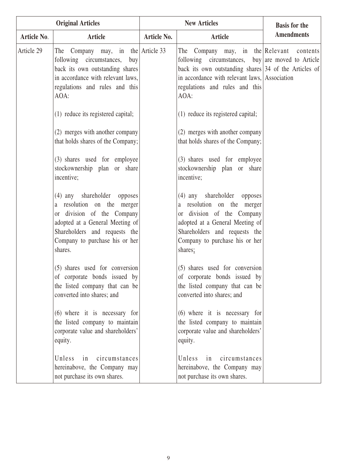| <b>Original Articles</b> |                                                                                                                                                                                                          |                    | <b>New Articles</b>                                                                                                                                                                                                                          | <b>Basis for the</b> |
|--------------------------|----------------------------------------------------------------------------------------------------------------------------------------------------------------------------------------------------------|--------------------|----------------------------------------------------------------------------------------------------------------------------------------------------------------------------------------------------------------------------------------------|----------------------|
| Article No.              | Article                                                                                                                                                                                                  | <b>Article No.</b> | <b>Article</b>                                                                                                                                                                                                                               | <b>Amendments</b>    |
| Article 29               | The Company may, in the Article 33<br>following circumstances,<br>buy<br>back its own outstanding shares<br>in accordance with relevant laws,<br>regulations and rules and this<br>AOA:                  |                    | The Company may, in the Relevant<br>following circumstances, buy are moved to Article<br>back its own outstanding shares $ 34$ of the Articles of<br>in accordance with relevant laws, Association<br>regulations and rules and this<br>AOA: | contents             |
|                          | (1) reduce its registered capital;                                                                                                                                                                       |                    | (1) reduce its registered capital;                                                                                                                                                                                                           |                      |
|                          | (2) merges with another company<br>that holds shares of the Company;                                                                                                                                     |                    | (2) merges with another company<br>that holds shares of the Company;                                                                                                                                                                         |                      |
|                          | (3) shares used for employee<br>stockownership plan or share<br>incentive;                                                                                                                               |                    | (3) shares used for employee<br>stockownership plan or share<br>incentive;                                                                                                                                                                   |                      |
|                          | (4) any shareholder opposes<br>a resolution on the merger<br>or division of the Company<br>adopted at a General Meeting of<br>Shareholders and requests the<br>Company to purchase his or her<br>shares. |                    | (4) any shareholder opposes<br>resolution on the merger<br>a<br>or division of the Company<br>adopted at a General Meeting of<br>Shareholders and requests the<br>Company to purchase his or her<br>shares;                                  |                      |
|                          | $(5)$ shares used for conversion<br>of corporate bonds issued by<br>the listed company that can be<br>converted into shares; and                                                                         |                    | (5) shares used for conversion<br>of corporate bonds issued by<br>the listed company that can be<br>converted into shares; and                                                                                                               |                      |
|                          | $(6)$ where it is necessary for<br>the listed company to maintain<br>corporate value and shareholders'<br>equity.                                                                                        |                    | $(6)$ where it is necessary for<br>the listed company to maintain<br>corporate value and shareholders'<br>equity.                                                                                                                            |                      |
|                          | Unless in<br>circumstances<br>hereinabove, the Company may<br>not purchase its own shares.                                                                                                               |                    | Unless<br>circumstances<br>in<br>hereinabove, the Company may<br>not purchase its own shares.                                                                                                                                                |                      |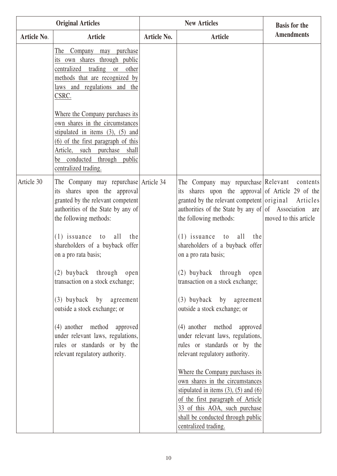| <b>Original Articles</b> |                                                                                                                                                                                                                                            | <b>New Articles</b> |                                                                                                                                                                                                                                                      | <b>Basis for the</b>  |
|--------------------------|--------------------------------------------------------------------------------------------------------------------------------------------------------------------------------------------------------------------------------------------|---------------------|------------------------------------------------------------------------------------------------------------------------------------------------------------------------------------------------------------------------------------------------------|-----------------------|
| Article No.              | <b>Article</b>                                                                                                                                                                                                                             | <b>Article No.</b>  | <b>Article</b>                                                                                                                                                                                                                                       | <b>Amendments</b>     |
|                          | purchase<br>The Company may<br>its own shares through public<br>centralized<br>trading or other<br>methods that are recognized by<br>laws and regulations and the<br>CSRC.                                                                 |                     |                                                                                                                                                                                                                                                      |                       |
|                          | Where the Company purchases its<br>own shares in the circumstances<br>stipulated in items $(3)$ , $(5)$ and<br>$(6)$ of the first paragraph of this<br>Article, such purchase shall<br>be conducted through public<br>centralized trading. |                     |                                                                                                                                                                                                                                                      |                       |
| Article 30               | The Company may repurchase Article 34<br>its shares upon the approval<br>granted by the relevant competent<br>authorities of the State by any of<br>the following methods:                                                                 |                     | The Company may repurchase Relevant contents<br>its shares upon the approval of Article 29 of the<br>granted by the relevant competent original Articles<br>authorities of the State by any of of Association are<br>the following methods:          | moved to this article |
|                          | $(1)$ issuance to all<br>the<br>shareholders of a buyback offer<br>on a pro rata basis;                                                                                                                                                    |                     | $(1)$ issuance to all<br>the<br>shareholders of a buyback offer<br>on a pro rata basis;                                                                                                                                                              |                       |
|                          | (2) buyback through open<br>transaction on a stock exchange;                                                                                                                                                                               |                     | (2) buyback through open<br>transaction on a stock exchange;                                                                                                                                                                                         |                       |
|                          | (3) buyback by agreement<br>outside a stock exchange; or                                                                                                                                                                                   |                     | (3) buyback by agreement<br>outside a stock exchange; or                                                                                                                                                                                             |                       |
|                          | (4) another method approved<br>under relevant laws, regulations,<br>rules or standards or by the<br>relevant regulatory authority.                                                                                                         |                     | (4) another method approved<br>under relevant laws, regulations,<br>rules or standards or by the<br>relevant regulatory authority.                                                                                                                   |                       |
|                          |                                                                                                                                                                                                                                            |                     | Where the Company purchases its<br>own shares in the circumstances<br>stipulated in items $(3)$ , $(5)$ and $(6)$<br>of the first paragraph of Article<br>33 of this AOA, such purchase<br>shall be conducted through public<br>centralized trading. |                       |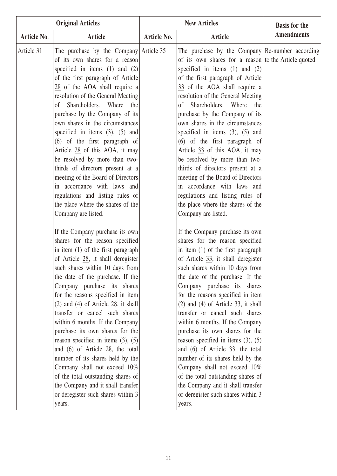| <b>Original Articles</b>                                                                                                                                                                                                                                                                                                                                                                                                                                                                                                                                                                                                                                                                                                                                                                                                                                                                                                                                                                                                                                                                                                                                                                                                                                                                                                                                                                                                   |             | <b>New Articles</b>                                                                                                                                                                                                                                                                                                                                                                                                                                                                                                                                                                                                                                                                                                                                                                                                                                                                                                                                                                                                                                                                                                                                                                                                                                                                                                                                                                                                                                       | <b>Basis for the</b> |
|----------------------------------------------------------------------------------------------------------------------------------------------------------------------------------------------------------------------------------------------------------------------------------------------------------------------------------------------------------------------------------------------------------------------------------------------------------------------------------------------------------------------------------------------------------------------------------------------------------------------------------------------------------------------------------------------------------------------------------------------------------------------------------------------------------------------------------------------------------------------------------------------------------------------------------------------------------------------------------------------------------------------------------------------------------------------------------------------------------------------------------------------------------------------------------------------------------------------------------------------------------------------------------------------------------------------------------------------------------------------------------------------------------------------------|-------------|-----------------------------------------------------------------------------------------------------------------------------------------------------------------------------------------------------------------------------------------------------------------------------------------------------------------------------------------------------------------------------------------------------------------------------------------------------------------------------------------------------------------------------------------------------------------------------------------------------------------------------------------------------------------------------------------------------------------------------------------------------------------------------------------------------------------------------------------------------------------------------------------------------------------------------------------------------------------------------------------------------------------------------------------------------------------------------------------------------------------------------------------------------------------------------------------------------------------------------------------------------------------------------------------------------------------------------------------------------------------------------------------------------------------------------------------------------------|----------------------|
| Article No.<br><b>Article</b>                                                                                                                                                                                                                                                                                                                                                                                                                                                                                                                                                                                                                                                                                                                                                                                                                                                                                                                                                                                                                                                                                                                                                                                                                                                                                                                                                                                              | Article No. | <b>Article</b>                                                                                                                                                                                                                                                                                                                                                                                                                                                                                                                                                                                                                                                                                                                                                                                                                                                                                                                                                                                                                                                                                                                                                                                                                                                                                                                                                                                                                                            | <b>Amendments</b>    |
| Article 31<br>The purchase by the Company $\text{Article } 35$<br>of its own shares for a reason<br>specified in items $(1)$ and $(2)$<br>of the first paragraph of Article<br>$28$ of the AOA shall require a<br>resolution of the General Meeting<br>of Shareholders. Where<br>purchase by the Company of its<br>own shares in the circumstances<br>specified in items $(3)$ , $(5)$ and<br>(6) of the first paragraph of<br>Article 28 of this AOA, it may<br>be resolved by more than two-<br>thirds of directors present at a<br>meeting of the Board of Directors<br>in accordance with laws and<br>regulations and listing rules of<br>the place where the shares of the<br>Company are listed.<br>If the Company purchase its own<br>shares for the reason specified<br>in item (1) of the first paragraph<br>of Article 28, it shall deregister<br>such shares within 10 days from<br>the date of the purchase. If the<br>Company purchase its shares<br>for the reasons specified in item<br>$(2)$ and $(4)$ of Article 28, it shall<br>transfer or cancel such shares<br>within 6 months. If the Company<br>purchase its own shares for the<br>reason specified in items $(3)$ , $(5)$<br>and (6) of Article 28, the total<br>number of its shares held by the<br>Company shall not exceed 10%<br>of the total outstanding shares of<br>the Company and it shall transfer<br>or deregister such shares within 3 | the         | The purchase by the Company Re-number according<br>of its own shares for a reason to the Article quoted<br>specified in items $(1)$ and $(2)$<br>of the first paragraph of Article<br>33 of the AOA shall require a<br>resolution of the General Meeting<br>Shareholders. Where<br>the<br><sub>of</sub><br>purchase by the Company of its<br>own shares in the circumstances<br>specified in items $(3)$ , $(5)$ and<br>$(6)$ of the first paragraph of<br>Article 33 of this AOA, it may<br>be resolved by more than two-<br>thirds of directors present at a<br>meeting of the Board of Directors<br>in accordance with laws and<br>regulations and listing rules of<br>the place where the shares of the<br>Company are listed.<br>If the Company purchase its own<br>shares for the reason specified<br>in item (1) of the first paragraph<br>of Article $33$ , it shall deregister<br>such shares within 10 days from<br>the date of the purchase. If the<br>Company purchase its shares<br>for the reasons specified in item<br>$(2)$ and $(4)$ of Article 33, it shall<br>transfer or cancel such shares<br>within 6 months. If the Company<br>purchase its own shares for the<br>reason specified in items $(3)$ , $(5)$<br>and (6) of Article 33, the total<br>number of its shares held by the<br>Company shall not exceed 10%<br>of the total outstanding shares of<br>the Company and it shall transfer<br>or deregister such shares within 3 |                      |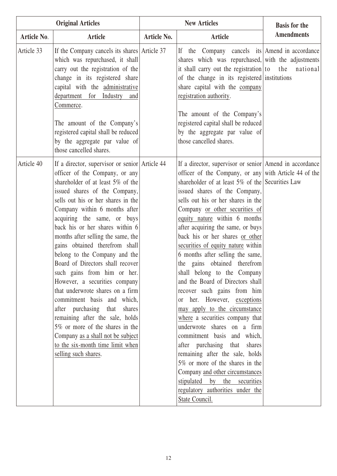| <b>Original Articles</b> |                                                                                                                                                                                                                                                                                                                                                                                                                                                                                                                                                                                                                                                                                                                                                                                           | <b>New Articles</b> |                                                                                                                                                                                                                                                                                                                                                                                                                                                                                                                                                                                                                                                                                                                                                                                                                                                                                                                                                                                                       | <b>Basis for the</b> |
|--------------------------|-------------------------------------------------------------------------------------------------------------------------------------------------------------------------------------------------------------------------------------------------------------------------------------------------------------------------------------------------------------------------------------------------------------------------------------------------------------------------------------------------------------------------------------------------------------------------------------------------------------------------------------------------------------------------------------------------------------------------------------------------------------------------------------------|---------------------|-------------------------------------------------------------------------------------------------------------------------------------------------------------------------------------------------------------------------------------------------------------------------------------------------------------------------------------------------------------------------------------------------------------------------------------------------------------------------------------------------------------------------------------------------------------------------------------------------------------------------------------------------------------------------------------------------------------------------------------------------------------------------------------------------------------------------------------------------------------------------------------------------------------------------------------------------------------------------------------------------------|----------------------|
| Article No.              | <b>Article</b>                                                                                                                                                                                                                                                                                                                                                                                                                                                                                                                                                                                                                                                                                                                                                                            | Article No.         | Article                                                                                                                                                                                                                                                                                                                                                                                                                                                                                                                                                                                                                                                                                                                                                                                                                                                                                                                                                                                               | <b>Amendments</b>    |
| Article 33               | If the Company cancels its shares Article 37<br>which was repurchased, it shall<br>carry out the registration of the<br>change in its registered share<br>capital with the administrative<br>department for Industry<br>and<br>Commerce.<br>The amount of the Company's<br>registered capital shall be reduced<br>by the aggregate par value of<br>those cancelled shares.                                                                                                                                                                                                                                                                                                                                                                                                                |                     | If the Company cancels its Amend in accordance<br>shares which was repurchased, with the adjustments<br>it shall carry out the registration $\begin{vmatrix} 1 & 0 \\ 0 & 1 \end{vmatrix}$ the national<br>of the change in its registered institutions<br>share capital with the company<br>registration authority.<br>The amount of the Company's<br>registered capital shall be reduced<br>by the aggregate par value of<br>those cancelled shares.                                                                                                                                                                                                                                                                                                                                                                                                                                                                                                                                                |                      |
| Article 40               | If a director, supervisor or senior Article 44<br>officer of the Company, or any<br>shareholder of at least 5% of the<br>issued shares of the Company,<br>sells out his or her shares in the<br>Company within 6 months after<br>acquiring the same, or buys<br>back his or her shares within 6<br>months after selling the same, the<br>gains obtained therefrom shall<br>belong to the Company and the<br>Board of Directors shall recover<br>such gains from him or her.<br>However, a securities company<br>that underwrote shares on a firm<br>commitment basis and which,<br>after purchasing that<br>shares<br>remaining after the sale, holds<br>5% or more of the shares in the<br>Company as a shall not be subject<br>to the six-month time limit when<br>selling such shares. |                     | If a director, supervisor or senior Amend in accordance<br>officer of the Company, or any with Article 44 of the<br>shareholder of at least $5\%$ of the Securities Law<br>issued shares of the Company,<br>sells out his or her shares in the<br>Company or other securities of<br>equity nature within 6 months<br>after acquiring the same, or buys<br>back his or her shares or other<br>securities of equity nature within<br>6 months after selling the same,<br>the gains obtained therefrom<br>shall belong to the Company<br>and the Board of Directors shall<br>recover such gains from him<br>or her. However, exceptions<br>may apply to the circumstance<br>where a securities company that<br>underwrote shares on a firm<br>commitment basis and which,<br>after purchasing that shares<br>remaining after the sale, holds<br>5% or more of the shares in the<br>Company and other circumstances<br>stipulated by the securities<br>regulatory authorities under the<br>State Council. |                      |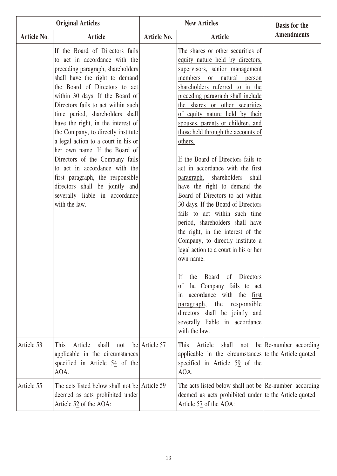| <b>Original Articles</b> |                                                                                                                                                                                                                                                                                                                                                                                                                                                                                                                                                                                                                                      | <b>New Articles</b> |                                                                                                                                                                                                                                                                                                                                                                                                                                                                                                                                                                                                                                                                                                                                                                                                                                                                                                                                                                                                                                                        | <b>Basis for the</b>       |
|--------------------------|--------------------------------------------------------------------------------------------------------------------------------------------------------------------------------------------------------------------------------------------------------------------------------------------------------------------------------------------------------------------------------------------------------------------------------------------------------------------------------------------------------------------------------------------------------------------------------------------------------------------------------------|---------------------|--------------------------------------------------------------------------------------------------------------------------------------------------------------------------------------------------------------------------------------------------------------------------------------------------------------------------------------------------------------------------------------------------------------------------------------------------------------------------------------------------------------------------------------------------------------------------------------------------------------------------------------------------------------------------------------------------------------------------------------------------------------------------------------------------------------------------------------------------------------------------------------------------------------------------------------------------------------------------------------------------------------------------------------------------------|----------------------------|
| Article No.              | <b>Article</b>                                                                                                                                                                                                                                                                                                                                                                                                                                                                                                                                                                                                                       | Article No.         | Article                                                                                                                                                                                                                                                                                                                                                                                                                                                                                                                                                                                                                                                                                                                                                                                                                                                                                                                                                                                                                                                | <b>Amendments</b>          |
|                          | If the Board of Directors fails<br>to act in accordance with the<br>preceding paragraph, shareholders<br>shall have the right to demand<br>the Board of Directors to act<br>within 30 days. If the Board of<br>Directors fails to act within such<br>time period, shareholders shall<br>have the right, in the interest of<br>the Company, to directly institute<br>a legal action to a court in his or<br>her own name. If the Board of<br>Directors of the Company fails<br>to act in accordance with the<br>first paragraph, the responsible<br>directors shall be jointly and<br>severally liable in accordance<br>with the law. |                     | The shares or other securities of<br>equity nature held by directors,<br>supervisors, senior management<br>members<br>or natural<br>person<br>shareholders referred to in the<br>preceding paragraph shall include<br>the shares or other securities<br>of equity nature held by their<br>spouses, parents or children, and<br>those held through the accounts of<br>others.<br>If the Board of Directors fails to<br>act in accordance with the first<br>shareholders shall<br>paragraph,<br>have the right to demand the<br>Board of Directors to act within<br>30 days. If the Board of Directors<br>fails to act within such time<br>period, shareholders shall have<br>the right, in the interest of the<br>Company, to directly institute a<br>legal action to a court in his or her<br>own name.<br>of Directors<br>Board<br>If<br>the<br>the Company fails to act<br><sub>of</sub><br>accordance with the first<br>1n<br>the<br>responsible<br>paragraph,<br>directors shall be jointly and<br>severally liable in accordance<br>with the law. |                            |
| Article 53               | shall<br>This<br>Article<br>not<br>applicable in the circumstances<br>specified in Article $5\frac{4}{9}$ of the<br>AOA.                                                                                                                                                                                                                                                                                                                                                                                                                                                                                                             | be Article 57       | This<br>Article<br>shall<br>not<br>applicable in the circumstances to the Article quoted<br>specified in Article 59 of the<br>AOA.                                                                                                                                                                                                                                                                                                                                                                                                                                                                                                                                                                                                                                                                                                                                                                                                                                                                                                                     | be $\Re$ -number according |
| Article 55               | The acts listed below shall not be Article 59<br>deemed as acts prohibited under<br>Article 52 of the AOA:                                                                                                                                                                                                                                                                                                                                                                                                                                                                                                                           |                     | The acts listed below shall not be $\Re$ -number according<br>deemed as acts prohibited under to the Article quoted<br>Article 57 of the AOA:                                                                                                                                                                                                                                                                                                                                                                                                                                                                                                                                                                                                                                                                                                                                                                                                                                                                                                          |                            |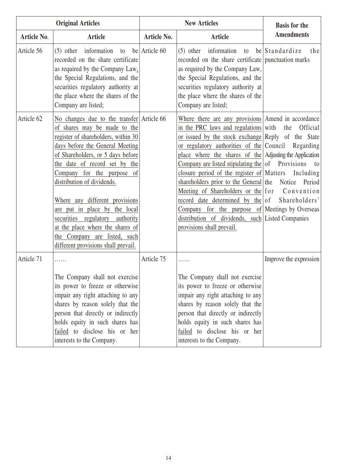|             | <b>Original Articles</b>                                                                                                                                                                                                                                                                                                                                                                                                                                                                                  |                    | <b>New Articles</b>                                                                                                                                                                                                                                                                                                                                                                                                                                                                                                                                                                                                                            | <b>Basis for the</b>                                             |
|-------------|-----------------------------------------------------------------------------------------------------------------------------------------------------------------------------------------------------------------------------------------------------------------------------------------------------------------------------------------------------------------------------------------------------------------------------------------------------------------------------------------------------------|--------------------|------------------------------------------------------------------------------------------------------------------------------------------------------------------------------------------------------------------------------------------------------------------------------------------------------------------------------------------------------------------------------------------------------------------------------------------------------------------------------------------------------------------------------------------------------------------------------------------------------------------------------------------------|------------------------------------------------------------------|
| Article No. | <b>Article</b>                                                                                                                                                                                                                                                                                                                                                                                                                                                                                            | <b>Article No.</b> | <b>Article</b>                                                                                                                                                                                                                                                                                                                                                                                                                                                                                                                                                                                                                                 | <b>Amendments</b>                                                |
| Article 56  | $(5)$ other information to be Article 60<br>recorded on the share certificate<br>as required by the Company Law,<br>the Special Regulations, and the<br>securities regulatory authority at<br>the place where the shares of the<br>Company are listed;                                                                                                                                                                                                                                                    |                    | $(5)$ other information to be Standardize<br>recorded on the share certificate punctuation marks<br>as required by the Company Law,<br>the Special Regulations, and the<br>securities regulatory authority at<br>the place where the shares of the<br>Company are listed;                                                                                                                                                                                                                                                                                                                                                                      | the                                                              |
| Article 62  | No changes due to the transfer Article 66<br>of shares may be made to the<br>register of shareholders, within 30<br>days before the General Meeting<br>of Shareholders, or 5 days before<br>the date of record set by the<br>Company for the purpose<br>of<br>distribution of dividends.<br>Where any different provisions<br>are put in place by the local<br>securities regulatory authority<br>at the place where the shares of<br>the Company are listed, such<br>different provisions shall prevail. |                    | Where there are any provisions Amend in accordance<br>in the PRC laws and regulations with<br>or issued by the stock exchange Reply of the State<br>or regulatory authorities of the Council<br>place where the shares of the Adjusting the Application<br>Company are listed stipulating the $\sigma$ Provisions<br>closure period of the register of Matters<br>shareholders prior to the General the<br>Meeting of Shareholders or the for Convention<br>record date determined by the of Shareholders'<br>Company for the purpose of Meetings by Overseas<br>distribution of dividends, such Listed Companies<br>provisions shall prevail. | Official<br>the<br>Regarding<br>to<br>Including<br>Notice Period |
| Article 71  | .<br>The Company shall not exercise<br>its power to freeze or otherwise<br>impair any right attaching to any<br>shares by reason solely that the<br>person that directly or indirectly<br>holds equity in such shares has<br>failed to disclose his or her<br>interests to the Company.                                                                                                                                                                                                                   | Article 75         | .<br>The Company shall not exercise<br>its power to freeze or otherwise<br>impair any right attaching to any<br>shares by reason solely that the<br>person that directly or indirectly<br>holds equity in such shares has<br>failed to disclose his or her<br>interests to the Company.                                                                                                                                                                                                                                                                                                                                                        | Improve the expression                                           |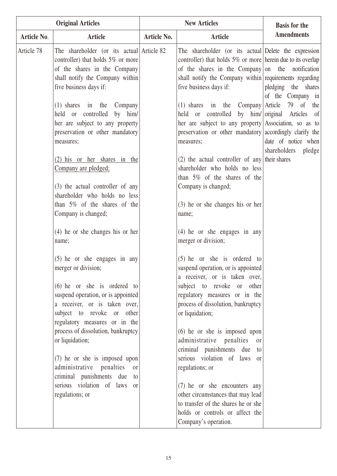|             | <b>Original Articles</b>                                                                                                                                                                                                                                                                                                                                                                                                                                                                                                                                                                                                                                                                                                                                                                                                                      | <b>New Articles</b> |                                                                                                                                                                                                                                                                                                                                                                                                                                                                                                                                                                                                                                                                                                                                                                                                                                                                                                                                                                                       | <b>Basis for the</b>                                                                                                                               |
|-------------|-----------------------------------------------------------------------------------------------------------------------------------------------------------------------------------------------------------------------------------------------------------------------------------------------------------------------------------------------------------------------------------------------------------------------------------------------------------------------------------------------------------------------------------------------------------------------------------------------------------------------------------------------------------------------------------------------------------------------------------------------------------------------------------------------------------------------------------------------|---------------------|---------------------------------------------------------------------------------------------------------------------------------------------------------------------------------------------------------------------------------------------------------------------------------------------------------------------------------------------------------------------------------------------------------------------------------------------------------------------------------------------------------------------------------------------------------------------------------------------------------------------------------------------------------------------------------------------------------------------------------------------------------------------------------------------------------------------------------------------------------------------------------------------------------------------------------------------------------------------------------------|----------------------------------------------------------------------------------------------------------------------------------------------------|
| Article No. | <b>Article</b>                                                                                                                                                                                                                                                                                                                                                                                                                                                                                                                                                                                                                                                                                                                                                                                                                                | Article No.         | <b>Article</b>                                                                                                                                                                                                                                                                                                                                                                                                                                                                                                                                                                                                                                                                                                                                                                                                                                                                                                                                                                        | <b>Amendments</b>                                                                                                                                  |
| Article 78  | The shareholder (or its actual Article 82<br>controller) that holds 5% or more<br>of the shares in the Company<br>shall notify the Company within<br>five business days if:<br>$(1)$ shares in the<br>Company<br>held or controlled<br>by him/<br>her are subject to any property<br>preservation or other mandatory<br>measures;<br>(2) his or her shares in the<br>Company are pledged;<br>(3) the actual controller of any<br>shareholder who holds no less<br>than $5\%$ of the shares of the<br>Company is changed;<br>$(4)$ he or she changes his or her<br>name;<br>$(5)$ he or she engages in any<br>merger or division;<br>$(6)$ he or she is ordered to<br>suspend operation, or is appointed<br>a receiver, or is taken over,<br>subject to revoke or other<br>regulatory measures or in the<br>process of dissolution, bankruptcy |                     | The shareholder (or its actual Delete the expression<br>controller) that holds $5\%$ or more herein due to its overlap<br>of the shares in the Company on the notification<br>shall notify the Company within requirements regarding<br>five business days if:<br>$(1)$ shares in the Company Article<br>held or controlled<br>her are subject to any property Association, so as to<br>preservation or other mandatory accordingly clarify the<br>measures;<br>$(2)$ the actual controller of any their shares<br>shareholder who holds no less<br>than $5\%$ of the shares of the<br>Company is changed;<br>$(3)$ he or she changes his or her<br>name;<br>$(4)$ he or she engages in any<br>merger or division;<br>$(5)$ he or she is ordered to<br>suspend operation, or is appointed<br>a receiver, or is taken over,<br>subject to revoke or other<br>regulatory measures or in the<br>process of dissolution, bankruptcy<br>or liquidation;<br>$(6)$ he or she is imposed upon | pledging the shares<br>of the Company in<br>79<br>$\sigma$<br>the<br>by him/ original Articles of<br>date of notice when<br>shareholders<br>pledge |
|             | or liquidation;<br>(7) he or she is imposed upon<br>administrative penalties<br>or                                                                                                                                                                                                                                                                                                                                                                                                                                                                                                                                                                                                                                                                                                                                                            |                     | administrative penalties<br><sub>or</sub><br>criminal punishments due to<br>serious violation of laws or<br>regulations; or                                                                                                                                                                                                                                                                                                                                                                                                                                                                                                                                                                                                                                                                                                                                                                                                                                                           |                                                                                                                                                    |
|             | criminal punishments due to<br>serious violation of laws or<br>regulations; or                                                                                                                                                                                                                                                                                                                                                                                                                                                                                                                                                                                                                                                                                                                                                                |                     | (7) he or she encounters any<br>other circumstances that may lead<br>to transfer of the shares he or she                                                                                                                                                                                                                                                                                                                                                                                                                                                                                                                                                                                                                                                                                                                                                                                                                                                                              |                                                                                                                                                    |
|             |                                                                                                                                                                                                                                                                                                                                                                                                                                                                                                                                                                                                                                                                                                                                                                                                                                               |                     | holds or controls or affect the<br>Company's operation.                                                                                                                                                                                                                                                                                                                                                                                                                                                                                                                                                                                                                                                                                                                                                                                                                                                                                                                               |                                                                                                                                                    |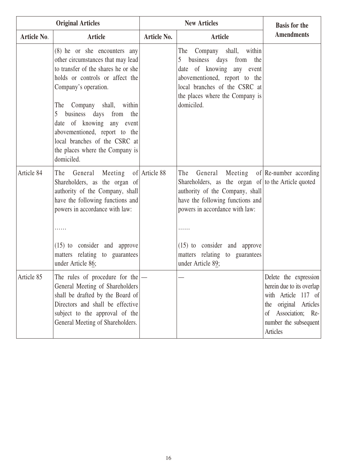|                    | <b>Original Articles</b>                                                                                                                                                                                                                                                                                                                                                                           | <b>New Articles</b> |                                                                                                                                                                                                                                                                                                      | <b>Basis for the</b>                                                                                                                                                    |
|--------------------|----------------------------------------------------------------------------------------------------------------------------------------------------------------------------------------------------------------------------------------------------------------------------------------------------------------------------------------------------------------------------------------------------|---------------------|------------------------------------------------------------------------------------------------------------------------------------------------------------------------------------------------------------------------------------------------------------------------------------------------------|-------------------------------------------------------------------------------------------------------------------------------------------------------------------------|
| <b>Article No.</b> | <b>Article</b>                                                                                                                                                                                                                                                                                                                                                                                     | <b>Article No.</b>  | <b>Article</b>                                                                                                                                                                                                                                                                                       | <b>Amendments</b>                                                                                                                                                       |
|                    | (8) he or she encounters any<br>other circumstances that may lead<br>to transfer of the shares he or she<br>holds or controls or affect the<br>Company's operation.<br>Company shall, within<br>The<br>business days from<br>5 <sup>5</sup><br>the<br>date of knowing any event<br>abovementioned, report to the<br>local branches of the CSRC at<br>the places where the Company is<br>domiciled. |                     | Company shall, within<br>The<br>5<br>business days from the<br>date of knowing any event<br>abovementioned, report to the<br>local branches of the CSRC at<br>the places where the Company is<br>domiciled.                                                                                          |                                                                                                                                                                         |
| Article 84         | General Meeting of Article 88<br>The<br>Shareholders, as the organ of<br>authority of the Company, shall<br>have the following functions and<br>powers in accordance with law:<br>$(15)$ to consider and approve<br>matters relating to guarantees<br>under Article 86;                                                                                                                            |                     | General Meeting of Re-number according<br>The<br>Shareholders, as the organ of to the Article quoted<br>authority of the Company, shall<br>have the following functions and<br>powers in accordance with law:<br>(15) to consider and approve<br>matters relating to guarantees<br>under Article 89; |                                                                                                                                                                         |
| Article 85         | The rules of procedure for the $ -$<br>General Meeting of Shareholders<br>shall be drafted by the Board of<br>Directors and shall be effective<br>subject to the approval of the<br>General Meeting of Shareholders.                                                                                                                                                                               |                     |                                                                                                                                                                                                                                                                                                      | Delete the expression<br>herein due to its overlap<br>with Article 117 of<br>the original Articles<br>Association; Re-<br>$\sigma$<br>number the subsequent<br>Articles |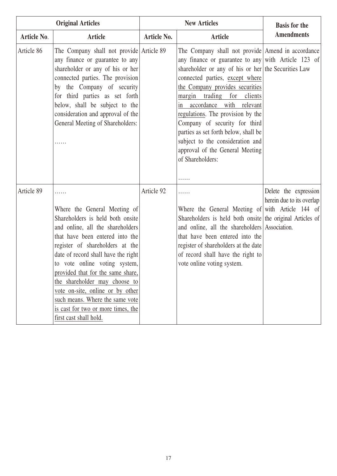| <b>Original Articles</b> |                                                                                                                                                                                                                                                                                                                                                                                                                                                                      |                    | <b>New Articles</b>                                                                                                                                                                                                                                                                                                                                                                                                                                                                                            | <b>Basis for the</b>                               |
|--------------------------|----------------------------------------------------------------------------------------------------------------------------------------------------------------------------------------------------------------------------------------------------------------------------------------------------------------------------------------------------------------------------------------------------------------------------------------------------------------------|--------------------|----------------------------------------------------------------------------------------------------------------------------------------------------------------------------------------------------------------------------------------------------------------------------------------------------------------------------------------------------------------------------------------------------------------------------------------------------------------------------------------------------------------|----------------------------------------------------|
| <b>Article No.</b>       | <b>Article</b>                                                                                                                                                                                                                                                                                                                                                                                                                                                       | <b>Article No.</b> | <b>Article</b>                                                                                                                                                                                                                                                                                                                                                                                                                                                                                                 | <b>Amendments</b>                                  |
| Article 86               | The Company shall not provide Article 89<br>any finance or guarantee to any<br>shareholder or any of his or her<br>connected parties. The provision<br>by the Company of security<br>for third parties as set forth<br>below, shall be subject to the<br>consideration and approval of the<br>General Meeting of Shareholders:<br>.                                                                                                                                  |                    | The Company shall not provide Amend in accordance<br>any finance or guarantee to any with Article 123 of<br>shareholder or any of his or her the Securities Law<br>connected parties, except where<br>the Company provides securities<br>margin trading for clients<br>accordance with relevant<br>1n<br>regulations. The provision by the<br>Company of security for third<br>parties as set forth below, shall be<br>subject to the consideration and<br>approval of the General Meeting<br>of Shareholders: |                                                    |
| Article 89               | .<br>Where the General Meeting of<br>Shareholders is held both onsite<br>and online, all the shareholders<br>that have been entered into the<br>register of shareholders at the<br>date of record shall have the right<br>to vote online voting system,<br>provided that for the same share,<br>the shareholder may choose to<br>vote on-site, online or by other<br>such means. Where the same vote<br>is cast for two or more times, the<br>first cast shall hold. | Article 92         | .<br>Where the General Meeting of with Article 144 of<br>Shareholders is held both onsite the original Articles of<br>and online, all the shareholders Association.<br>that have been entered into the<br>register of shareholders at the date<br>of record shall have the right to<br>vote online voting system.                                                                                                                                                                                              | Delete the expression<br>herein due to its overlap |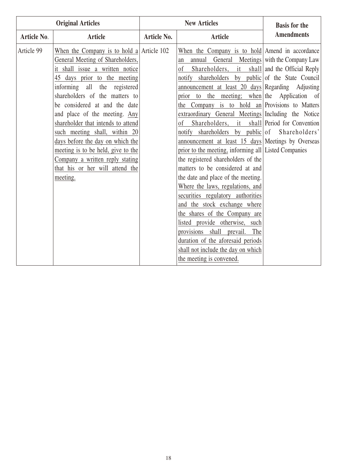| <b>Amendments</b><br><b>Article</b><br><b>Article</b><br><b>Article No.</b><br>Article No.<br>Article 99<br>When the Company is to hold a Article 102<br>When the Company is to hold Amend in accordance<br>General Meeting of Shareholders,<br>annual General Meetings with the Company Law<br>an                                                                                                                                                                                                                                                                                                                                                                                                                                                                                                                                                                                                                                                                                                                                                                                                                                                                                                                                                                                                                                                                                                                                            | <b>Original Articles</b> |  |
|-----------------------------------------------------------------------------------------------------------------------------------------------------------------------------------------------------------------------------------------------------------------------------------------------------------------------------------------------------------------------------------------------------------------------------------------------------------------------------------------------------------------------------------------------------------------------------------------------------------------------------------------------------------------------------------------------------------------------------------------------------------------------------------------------------------------------------------------------------------------------------------------------------------------------------------------------------------------------------------------------------------------------------------------------------------------------------------------------------------------------------------------------------------------------------------------------------------------------------------------------------------------------------------------------------------------------------------------------------------------------------------------------------------------------------------------------|--------------------------|--|
|                                                                                                                                                                                                                                                                                                                                                                                                                                                                                                                                                                                                                                                                                                                                                                                                                                                                                                                                                                                                                                                                                                                                                                                                                                                                                                                                                                                                                                               |                          |  |
| it shall issue a written notice<br>Shareholders, it shall and the Official Reply<br><sub>of</sub><br>shareholders by public of the State Council<br>45 days prior to the meeting<br>notify<br>informing all the registered<br>announcement at least 20 days Regarding Adjusting<br>shareholders of the matters to<br>prior to the meeting; when the Application of<br>the Company is to hold an Provisions to Matters<br>be considered at and the date<br>and place of the meeting. Any<br>extraordinary General Meetings Including the Notice<br>shareholder that intends to attend<br>Shareholders, it shall Period for Convention<br>0f<br>notify shareholders by public of Shareholders'<br>such meeting shall, within 20<br>days before the day on which the<br>announcement at least 15 days Meetings by Overseas<br>prior to the meeting, informing all Listed Companies<br>meeting is to be held, give to the<br>Company a written reply stating<br>the registered shareholders of the<br>that his or her will attend the<br>matters to be considered at and<br>the date and place of the meeting.<br>meeting.<br>Where the laws, regulations, and<br>securities regulatory authorities<br>and the stock exchange where<br>the shares of the Company are<br>listed provide otherwise, such<br>provisions shall prevail.<br>The<br>duration of the aforesaid periods<br>shall not include the day on which<br>the meeting is convened. |                          |  |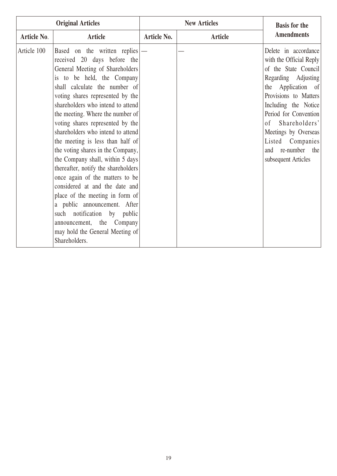|             | <b>Original Articles</b>                                                                                                                                                                                                                                                                                                                                                                                                                                                                                                                                                                                                                                                                                                                                        |                    | <b>New Articles</b> | <b>Basis for the</b>                                                                                                                                                                                                                                                                                          |
|-------------|-----------------------------------------------------------------------------------------------------------------------------------------------------------------------------------------------------------------------------------------------------------------------------------------------------------------------------------------------------------------------------------------------------------------------------------------------------------------------------------------------------------------------------------------------------------------------------------------------------------------------------------------------------------------------------------------------------------------------------------------------------------------|--------------------|---------------------|---------------------------------------------------------------------------------------------------------------------------------------------------------------------------------------------------------------------------------------------------------------------------------------------------------------|
| Article No. | Article                                                                                                                                                                                                                                                                                                                                                                                                                                                                                                                                                                                                                                                                                                                                                         | <b>Article No.</b> | Article             | <b>Amendments</b>                                                                                                                                                                                                                                                                                             |
| Article 100 | Based on the written replies<br>received 20 days before the<br>General Meeting of Shareholders<br>is to be held, the Company<br>shall calculate the number of<br>voting shares represented by the<br>shareholders who intend to attend<br>the meeting. Where the number of<br>voting shares represented by the<br>shareholders who intend to attend<br>the meeting is less than half of<br>the voting shares in the Company,<br>the Company shall, within 5 days<br>thereafter, notify the shareholders<br>once again of the matters to be<br>considered at and the date and<br>place of the meeting in form of<br>a public announcement. After<br>such notification by public<br>announcement, the Company<br>may hold the General Meeting of<br>Shareholders. |                    |                     | Delete in accordance<br>with the Official Reply<br>of the State Council<br>Regarding Adjusting<br>the Application of<br>Provisions to Matters<br>Including the Notice<br>Period for Convention<br>Shareholders'<br>of<br>Meetings by Overseas<br>Listed Companies<br>and re-number the<br>subsequent Articles |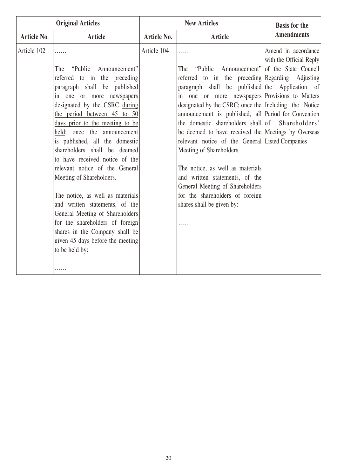| <b>Original Articles</b> |                                                                                                                                                                                                                                                                                                                                                                                                                                                                                                                                                                                                                                                                |                    | <b>New Articles</b>                                                                                                                                                                                                                                                                                                                                                                                                                                                                                                                                                                                                                                                                                  | <b>Basis for the</b>                           |
|--------------------------|----------------------------------------------------------------------------------------------------------------------------------------------------------------------------------------------------------------------------------------------------------------------------------------------------------------------------------------------------------------------------------------------------------------------------------------------------------------------------------------------------------------------------------------------------------------------------------------------------------------------------------------------------------------|--------------------|------------------------------------------------------------------------------------------------------------------------------------------------------------------------------------------------------------------------------------------------------------------------------------------------------------------------------------------------------------------------------------------------------------------------------------------------------------------------------------------------------------------------------------------------------------------------------------------------------------------------------------------------------------------------------------------------------|------------------------------------------------|
| Article No.              | <b>Article</b>                                                                                                                                                                                                                                                                                                                                                                                                                                                                                                                                                                                                                                                 | <b>Article No.</b> | <b>Article</b>                                                                                                                                                                                                                                                                                                                                                                                                                                                                                                                                                                                                                                                                                       | <b>Amendments</b>                              |
| Article 102              | .                                                                                                                                                                                                                                                                                                                                                                                                                                                                                                                                                                                                                                                              | Article 104        | .                                                                                                                                                                                                                                                                                                                                                                                                                                                                                                                                                                                                                                                                                                    | Amend in accordance<br>with the Official Reply |
|                          | The "Public Announcement"<br>referred to in the preceding<br>paragraph shall be published<br>in one or more newspapers<br>designated by the CSRC during<br>the period between 45 to 50<br>days prior to the meeting to be<br>held; once the announcement<br>is published, all the domestic<br>shareholders shall be deemed<br>to have received notice of the<br>relevant notice of the General<br>Meeting of Shareholders.<br>The notice, as well as materials<br>and written statements, of the<br>General Meeting of Shareholders<br>for the shareholders of foreign<br>shares in the Company shall be<br>given 45 days before the meeting<br>to be held by: |                    | "Public Announcement" of the State Council<br>The<br>referred to in the preceding Regarding Adjusting<br>paragraph shall be published the Application of<br>in one or more newspapers Provisions to Matters<br>designated by the CSRC; once the Including the Notice<br>announcement is published, all Period for Convention<br>the domestic shareholders shall of Shareholders'<br>be deemed to have received the Meetings by Overseas<br>relevant notice of the General Listed Companies<br>Meeting of Shareholders.<br>The notice, as well as materials<br>and written statements, of the<br>General Meeting of Shareholders<br>for the shareholders of foreign<br>shares shall be given by:<br>. |                                                |
|                          | .                                                                                                                                                                                                                                                                                                                                                                                                                                                                                                                                                                                                                                                              |                    |                                                                                                                                                                                                                                                                                                                                                                                                                                                                                                                                                                                                                                                                                                      |                                                |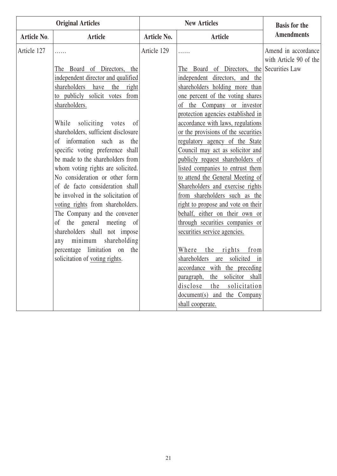| <b>Original Articles</b> |                                      |             | <b>New Articles</b>                        | <b>Basis for the</b>   |
|--------------------------|--------------------------------------|-------------|--------------------------------------------|------------------------|
| Article No.              | <b>Article</b>                       | Article No. | <b>Article</b>                             | <b>Amendments</b>      |
| Article 127              | .                                    | Article 129 | .                                          | Amend in accordance    |
|                          |                                      |             |                                            | with Article 90 of the |
|                          | The Board of Directors, the          |             | The Board of Directors, the Securities Law |                        |
|                          | independent director and qualified   |             | independent directors, and the             |                        |
|                          | shareholders<br>have<br>the<br>right |             | shareholders holding more than             |                        |
|                          | to publicly solicit votes from       |             | one percent of the voting shares           |                        |
|                          | shareholders.                        |             | of the Company or investor                 |                        |
|                          |                                      |             | protection agencies established in         |                        |
|                          | While<br>soliciting votes<br>of      |             | accordance with laws, regulations          |                        |
|                          | shareholders, sufficient disclosure  |             | or the provisions of the securities        |                        |
|                          | of information such as the           |             | regulatory agency of the State             |                        |
|                          | specific voting preference shall     |             | Council may act as solicitor and           |                        |
|                          | be made to the shareholders from     |             | publicly request shareholders of           |                        |
|                          | whom voting rights are solicited.    |             | listed companies to entrust them           |                        |
|                          | No consideration or other form       |             | to attend the General Meeting of           |                        |
|                          | of de facto consideration shall      |             | Shareholders and exercise rights           |                        |
|                          | be involved in the solicitation of   |             | from shareholders such as the              |                        |
|                          | voting rights from shareholders.     |             | right to propose and vote on their         |                        |
|                          | The Company and the convener         |             | behalf, either on their own or             |                        |
|                          | of the general meeting of            |             | through securities companies or            |                        |
|                          | shareholders shall not impose        |             | securities service agencies.               |                        |
|                          | any minimum<br>shareholding          |             |                                            |                        |
|                          | percentage limitation on<br>the      |             | Where<br>the rights<br>from                |                        |
|                          | solicitation of voting rights.       |             | shareholders are solicited in              |                        |
|                          |                                      |             | accordance with the preceding              |                        |
|                          |                                      |             | paragraph, the solicitor shall             |                        |
|                          |                                      |             | disclose<br>the<br>solicitation            |                        |
|                          |                                      |             | document(s) and the Company                |                        |
|                          |                                      |             | shall cooperate.                           |                        |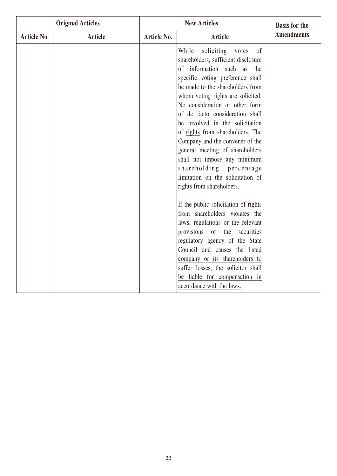| <b>Original Articles</b> |                | <b>New Articles</b> |                                                                                                                                                                                                                                                                                                                                                                                                                                                                                                                                                                                 | <b>Basis for the</b> |
|--------------------------|----------------|---------------------|---------------------------------------------------------------------------------------------------------------------------------------------------------------------------------------------------------------------------------------------------------------------------------------------------------------------------------------------------------------------------------------------------------------------------------------------------------------------------------------------------------------------------------------------------------------------------------|----------------------|
| Article No.              | <b>Article</b> | Article No.         | <b>Article</b>                                                                                                                                                                                                                                                                                                                                                                                                                                                                                                                                                                  | <b>Amendments</b>    |
|                          |                |                     | While<br>soliciting<br>of<br>votes<br>shareholders, sufficient disclosure<br>information such as<br>$\sigma$<br>the<br>specific voting preference shall<br>be made to the shareholders from<br>whom voting rights are solicited.<br>No consideration or other form<br>of de facto consideration shall<br>be involved in the solicitation<br>of rights from shareholders. The<br>Company and the convener of the<br>general meeting of shareholders<br>shall not impose any minimum<br>shareholding percentage<br>limitation on the solicitation of<br>rights from shareholders. |                      |
|                          |                |                     | If the public solicitation of rights<br>from shareholders violates the<br>laws, regulations or the relevant<br>provisions<br>of<br>the<br>securities<br>regulatory agency of the State<br>Council and causes the listed<br>company or its shareholders to<br>suffer losses, the solicitor shall<br>be liable for compensation in<br>accordance with the laws.                                                                                                                                                                                                                   |                      |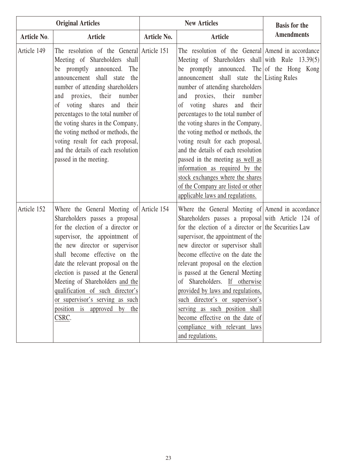|                    | <b>Original Articles</b>                                                                                                                                                                                                                                                                                                                                                                                                                                       |                    | <b>New Articles</b>                                                                                                                                                                                                                                                                                                                                                                                                                                                                                                                                                                                                                                                                               | <b>Basis for the</b> |
|--------------------|----------------------------------------------------------------------------------------------------------------------------------------------------------------------------------------------------------------------------------------------------------------------------------------------------------------------------------------------------------------------------------------------------------------------------------------------------------------|--------------------|---------------------------------------------------------------------------------------------------------------------------------------------------------------------------------------------------------------------------------------------------------------------------------------------------------------------------------------------------------------------------------------------------------------------------------------------------------------------------------------------------------------------------------------------------------------------------------------------------------------------------------------------------------------------------------------------------|----------------------|
| <b>Article No.</b> | <b>Article</b>                                                                                                                                                                                                                                                                                                                                                                                                                                                 | <b>Article No.</b> | <b>Article</b>                                                                                                                                                                                                                                                                                                                                                                                                                                                                                                                                                                                                                                                                                    | <b>Amendments</b>    |
| Article 149        | The resolution of the General Article 151<br>Meeting of Shareholders shall<br>be promptly announced. The<br>announcement shall state the<br>number of attending shareholders<br>and proxies, their number<br>of voting shares and<br>their<br>percentages to the total number of<br>the voting shares in the Company,<br>the voting method or methods, the<br>voting result for each proposal,<br>and the details of each resolution<br>passed in the meeting. |                    | The resolution of the General Amend in accordance<br>Meeting of Shareholders shall with Rule 13.39(5)<br>be promptly announced. The of the Hong Kong<br>announcement shall state the Listing Rules<br>number of attending shareholders<br>proxies, their number<br>and<br>voting shares<br>$\sigma$<br>and<br>their<br>percentages to the total number of<br>the voting shares in the Company,<br>the voting method or methods, the<br>voting result for each proposal,<br>and the details of each resolution<br>passed in the meeting as well as<br>information as required by the<br>stock exchanges where the shares<br>of the Company are listed or other<br>applicable laws and regulations. |                      |
| Article 152        | Where the General Meeting of Article 154<br>Shareholders passes a proposal<br>for the election of a director or<br>supervisor, the appointment of<br>the new director or supervisor<br>shall become effective on the<br>date the relevant proposal on the<br>election is passed at the General<br>Meeting of Shareholders and the<br>qualification of such director's<br>or supervisor's serving as such<br>position is approved by the<br>CSRC.               |                    | Where the General Meeting of Amend in accordance<br>Shareholders passes a proposal with Article 124 of<br>for the election of a director or the Securities Law<br>supervisor, the appointment of the<br>new director or supervisor shall<br>become effective on the date the<br>relevant proposal on the election<br>is passed at the General Meeting<br>of Shareholders. If otherwise<br>provided by laws and regulations,<br>such director's or supervisor's<br>serving as such position shall<br>become effective on the date of<br>compliance with relevant laws<br>and regulations.                                                                                                          |                      |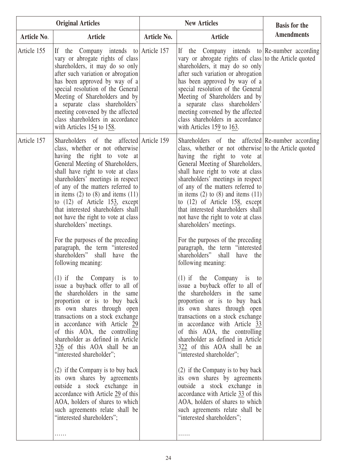|             | <b>Original Articles</b>                                                                                                                                                                                                                                                                                                                                                                                                                                                                                                                                                                                                                                                                                                                                                                                                                                                                                                                                                                                                                                                                                                                                                                                           | <b>New Articles</b> |                                                                                                                                                                                                                                                                                                                                                                                                                                                                                                                                                                                                                                                                                                                                                                                                                                                                                                                                                                                                                                                                                                                                                                                                                                               | <b>Basis for the</b> |
|-------------|--------------------------------------------------------------------------------------------------------------------------------------------------------------------------------------------------------------------------------------------------------------------------------------------------------------------------------------------------------------------------------------------------------------------------------------------------------------------------------------------------------------------------------------------------------------------------------------------------------------------------------------------------------------------------------------------------------------------------------------------------------------------------------------------------------------------------------------------------------------------------------------------------------------------------------------------------------------------------------------------------------------------------------------------------------------------------------------------------------------------------------------------------------------------------------------------------------------------|---------------------|-----------------------------------------------------------------------------------------------------------------------------------------------------------------------------------------------------------------------------------------------------------------------------------------------------------------------------------------------------------------------------------------------------------------------------------------------------------------------------------------------------------------------------------------------------------------------------------------------------------------------------------------------------------------------------------------------------------------------------------------------------------------------------------------------------------------------------------------------------------------------------------------------------------------------------------------------------------------------------------------------------------------------------------------------------------------------------------------------------------------------------------------------------------------------------------------------------------------------------------------------|----------------------|
| Article No. | Article                                                                                                                                                                                                                                                                                                                                                                                                                                                                                                                                                                                                                                                                                                                                                                                                                                                                                                                                                                                                                                                                                                                                                                                                            | Article No.         | <b>Article</b>                                                                                                                                                                                                                                                                                                                                                                                                                                                                                                                                                                                                                                                                                                                                                                                                                                                                                                                                                                                                                                                                                                                                                                                                                                | <b>Amendments</b>    |
| Article 155 | the Company intends to Article 157<br>If<br>vary or abrogate rights of class<br>shareholders, it may do so only<br>after such variation or abrogation<br>has been approved by way of a<br>special resolution of the General<br>Meeting of Shareholders and by<br>a separate class shareholders'<br>meeting convened by the affected<br>class shareholders in accordance<br>with Articles 154 to 158.                                                                                                                                                                                                                                                                                                                                                                                                                                                                                                                                                                                                                                                                                                                                                                                                               |                     | If the Company intends to Re-number according<br>vary or abrogate rights of class to the Article quoted<br>shareholders, it may do so only<br>after such variation or abrogation<br>has been approved by way of a<br>special resolution of the General<br>Meeting of Shareholders and by<br>a separate class shareholders'<br>meeting convened by the affected<br>class shareholders in accordance<br>with Articles 159 to 163.                                                                                                                                                                                                                                                                                                                                                                                                                                                                                                                                                                                                                                                                                                                                                                                                               |                      |
| Article 157 | Shareholders of the affected Article 159<br>class, whether or not otherwise<br>having the right to vote at<br>General Meeting of Shareholders,<br>shall have right to vote at class<br>shareholders' meetings in respect<br>of any of the matters referred to<br>in items $(2)$ to $(8)$ and items $(11)$<br>to $(12)$ of Article 153, except<br>that interested shareholders shall<br>not have the right to vote at class<br>shareholders' meetings.<br>For the purposes of the preceding<br>paragraph, the term "interested<br>shareholders" shall<br>have<br>the<br>following meaning:<br>$(1)$ if the Company is to<br>issue a buyback offer to all of<br>the shareholders in the same<br>proportion or is to buy back<br>its own shares through open<br>transactions on a stock exchange<br>in accordance with Article 29<br>of this AOA, the controlling<br>shareholder as defined in Article<br>326 of this AOA shall be an<br>"interested shareholder";<br>(2) if the Company is to buy back<br>its own shares by agreements<br>outside a stock exchange in<br>accordance with Article 29 of this<br>AOA, holders of shares to which<br>such agreements relate shall be<br>"interested shareholders";<br>. |                     | Shareholders of the affected Re-number according<br>class, whether or not otherwise to the Article quoted<br>having the right to vote at<br>General Meeting of Shareholders,<br>shall have right to vote at class<br>shareholders' meetings in respect<br>of any of the matters referred to<br>in items $(2)$ to $(8)$ and items $(11)$<br>to $(12)$ of Article 158, except<br>that interested shareholders shall<br>not have the right to vote at class<br>shareholders' meetings.<br>For the purposes of the preceding<br>paragraph, the term "interested<br>shareholders" shall<br>have the<br>following meaning:<br>$(1)$ if the Company is to<br>issue a buyback offer to all of<br>the shareholders in the same<br>proportion or is to buy back<br>its own shares through open<br>transactions on a stock exchange<br>in accordance with Article 33<br>of this AOA, the controlling<br>shareholder as defined in Article<br>322 of this AOA shall be an<br>"interested shareholder";<br>(2) if the Company is to buy back<br>its own shares by agreements<br>outside a stock exchange in<br>accordance with Article 33 of this<br>AOA, holders of shares to which<br>such agreements relate shall be<br>"interested shareholders";<br>. |                      |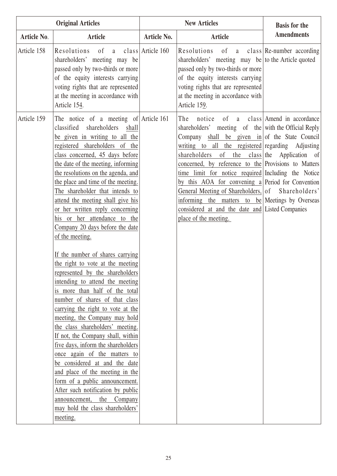|                    | <b>Original Articles</b>                                                                                                                                                                                                                                                                                                                                                                                                                                                                                                                                                                                                                                                                                                                                                                                                                                                                                                                                                                                                                                                                                                                                                 | <b>New Articles</b> |                                                                                                                                                                                                                                                                                                                                                                                                                                                                                                                                                         | <b>Basis for the</b>                                              |
|--------------------|--------------------------------------------------------------------------------------------------------------------------------------------------------------------------------------------------------------------------------------------------------------------------------------------------------------------------------------------------------------------------------------------------------------------------------------------------------------------------------------------------------------------------------------------------------------------------------------------------------------------------------------------------------------------------------------------------------------------------------------------------------------------------------------------------------------------------------------------------------------------------------------------------------------------------------------------------------------------------------------------------------------------------------------------------------------------------------------------------------------------------------------------------------------------------|---------------------|---------------------------------------------------------------------------------------------------------------------------------------------------------------------------------------------------------------------------------------------------------------------------------------------------------------------------------------------------------------------------------------------------------------------------------------------------------------------------------------------------------------------------------------------------------|-------------------------------------------------------------------|
| <b>Article No.</b> | <b>Article</b>                                                                                                                                                                                                                                                                                                                                                                                                                                                                                                                                                                                                                                                                                                                                                                                                                                                                                                                                                                                                                                                                                                                                                           | Article No.         | <b>Article</b>                                                                                                                                                                                                                                                                                                                                                                                                                                                                                                                                          | <b>Amendments</b>                                                 |
| Article 158        | Resolutions of a class Article 160<br>shareholders' meeting may be<br>passed only by two-thirds or more<br>of the equity interests carrying<br>voting rights that are represented<br>at the meeting in accordance with<br>Article 154.                                                                                                                                                                                                                                                                                                                                                                                                                                                                                                                                                                                                                                                                                                                                                                                                                                                                                                                                   |                     | Resolutions of a class Re-number according<br>shareholders' meeting may be to the Article quoted<br>passed only by two-thirds or more<br>of the equity interests carrying<br>voting rights that are represented<br>at the meeting in accordance with<br>Article 159.                                                                                                                                                                                                                                                                                    |                                                                   |
| Article 159        | The notice of a meeting of Article $161$<br>classified shareholders shall<br>be given in writing to all the<br>registered shareholders of the<br>class concerned, 45 days before<br>the date of the meeting, informing<br>the resolutions on the agenda, and<br>the place and time of the meeting.<br>The shareholder that intends to<br>attend the meeting shall give his<br>or her written reply concerning<br>his or her attendance to the<br>Company 20 days before the date<br>of the meeting.<br>If the number of shares carrying<br>the right to vote at the meeting<br>represented by the shareholders<br>intending to attend the meeting<br>is more than half of the total<br>number of shares of that class<br>carrying the right to vote at the<br>meeting, the Company may hold<br>the class shareholders' meeting.<br>If not, the Company shall, within<br>five days, inform the shareholders<br>once again of the matters to<br>be considered at and the date<br>and place of the meeting in the<br>form of a public announcement.<br>After such notification by public<br>the<br>Company<br>announcement,<br>may hold the class shareholders'<br>meeting. |                     | The<br>notice<br>shareholders' meeting of the with the Official Reply<br>Company shall be given in of the State Council<br>writing to all the registered regarding Adjusting<br>shareholders<br>concerned, by reference to the Provisions to Matters<br>time limit for notice required Including the Notice<br>by this AOA for convening $a$ Period for Convention<br>General Meeting of Shareholders, of Shareholders'<br>informing the matters to be Meetings by Overseas<br>considered at and the date and Listed Companies<br>place of the meeting. | of a class Amend in accordance<br>of the class the Application of |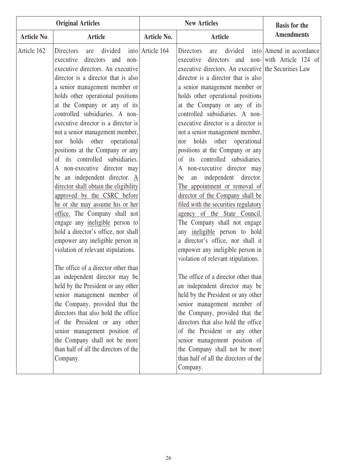| <b>Original Articles</b> |                                                                                                                                                                                                                                                                                                                                                                                                                                                                                                                                                                                                                                                                                                                                                                                                                                                                                                                                                                                                                                                                                                                                                                                                                                            |                  | <b>New Articles</b>                                                                                                                                                                                                                                                                                                                                                                                                                                                                                                                                                                                                                                                                                                                                                                                                                                                                                                                                                                                                                                                                                                                                                                                                                                                         | <b>Basis for the</b>                                         |
|--------------------------|--------------------------------------------------------------------------------------------------------------------------------------------------------------------------------------------------------------------------------------------------------------------------------------------------------------------------------------------------------------------------------------------------------------------------------------------------------------------------------------------------------------------------------------------------------------------------------------------------------------------------------------------------------------------------------------------------------------------------------------------------------------------------------------------------------------------------------------------------------------------------------------------------------------------------------------------------------------------------------------------------------------------------------------------------------------------------------------------------------------------------------------------------------------------------------------------------------------------------------------------|------------------|-----------------------------------------------------------------------------------------------------------------------------------------------------------------------------------------------------------------------------------------------------------------------------------------------------------------------------------------------------------------------------------------------------------------------------------------------------------------------------------------------------------------------------------------------------------------------------------------------------------------------------------------------------------------------------------------------------------------------------------------------------------------------------------------------------------------------------------------------------------------------------------------------------------------------------------------------------------------------------------------------------------------------------------------------------------------------------------------------------------------------------------------------------------------------------------------------------------------------------------------------------------------------------|--------------------------------------------------------------|
| Article No.              | <b>Article</b>                                                                                                                                                                                                                                                                                                                                                                                                                                                                                                                                                                                                                                                                                                                                                                                                                                                                                                                                                                                                                                                                                                                                                                                                                             | Article No.      | <b>Article</b>                                                                                                                                                                                                                                                                                                                                                                                                                                                                                                                                                                                                                                                                                                                                                                                                                                                                                                                                                                                                                                                                                                                                                                                                                                                              | <b>Amendments</b>                                            |
| Article 162              | divided<br>Directors<br>are<br>executive<br>directors<br>and<br>non-<br>executive directors. An executive<br>director is a director that is also<br>a senior management member or<br>holds other operational positions<br>at the Company or any of its<br>controlled subsidiaries. A non-<br>executive director is a director is<br>not a senior management member,<br>holds other operational<br>nor<br>positions at the Company or any<br>of its controlled subsidiaries.<br>A non-executive director may<br>be an independent director. $\underline{A}$<br>director shall obtain the eligibility<br>approved by the CSRC before<br>he or she may assume his or her<br>office. The Company shall not<br>engage any ineligible person to<br>hold a director's office, nor shall<br>empower any ineligible person in<br>violation of relevant stipulations.<br>The office of a director other than<br>an independent director may be<br>held by the President or any other<br>senior management member of<br>the Company, provided that the<br>directors that also hold the office<br>of the President or any other<br>senior management position of<br>the Company shall not be more<br>than half of all the directors of the<br>Company. | into Article 164 | Directors<br>divided<br>are<br>executive<br>directors<br>and<br>executive directors. An executive the Securities Law<br>director is a director that is also<br>a senior management member or<br>holds other operational positions<br>at the Company or any of its<br>controlled subsidiaries. A non-<br>executive director is a director is<br>not a senior management member,<br>holds other operational<br>nor<br>positions at the Company or any<br>of its controlled subsidiaries.<br>non-executive director may<br>A<br>independent director.<br>be<br>an<br>The appointment or removal of<br>director of the Company shall be<br>filed with the securities regulatory<br>agency of the State Council.<br>The Company shall not engage<br>any ineligible person to hold<br>a director's office, nor shall it<br>empower any ineligible person in<br>violation of relevant stipulations.<br>The office of a director other than<br>an independent director may be<br>held by the President or any other<br>senior management member of<br>the Company, provided that the<br>directors that also hold the office<br>of the President or any other<br>senior management position of<br>the Company shall not be more<br>than half of all the directors of the<br>Company. | into Amend in accordance<br>non- $\vert$ with Article 124 of |
|                          |                                                                                                                                                                                                                                                                                                                                                                                                                                                                                                                                                                                                                                                                                                                                                                                                                                                                                                                                                                                                                                                                                                                                                                                                                                            |                  |                                                                                                                                                                                                                                                                                                                                                                                                                                                                                                                                                                                                                                                                                                                                                                                                                                                                                                                                                                                                                                                                                                                                                                                                                                                                             |                                                              |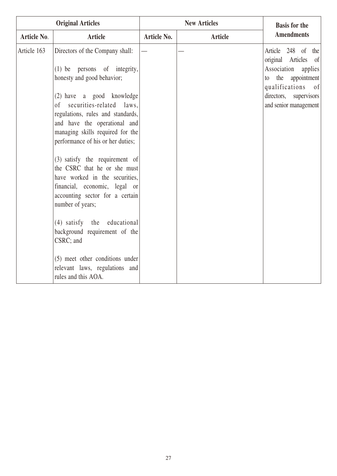| <b>Original Articles</b> |                                                                                                                                                                                                                                                                                                                                                                             | <b>New Articles</b> |                | <b>Basis for the</b>                                                                                                                                                                            |
|--------------------------|-----------------------------------------------------------------------------------------------------------------------------------------------------------------------------------------------------------------------------------------------------------------------------------------------------------------------------------------------------------------------------|---------------------|----------------|-------------------------------------------------------------------------------------------------------------------------------------------------------------------------------------------------|
| <b>Article No.</b>       | <b>Article</b>                                                                                                                                                                                                                                                                                                                                                              | Article No.         | <b>Article</b> | <b>Amendments</b>                                                                                                                                                                               |
| Article 163              | Directors of the Company shall:<br>$(1)$ be persons of integrity,<br>honesty and good behavior;<br>(2) have a good knowledge<br>of securities-related laws,<br>regulations, rules and standards,<br>and have the operational and<br>managing skills required for the<br>performance of his or her duties;<br>(3) satisfy the requirement of<br>the CSRC that he or she must |                     |                | Article 248 of the<br><sub>of</sub><br>original Articles<br>Association<br>applies<br>the appointment<br>to<br>qualifications<br>$\sigma$<br>directors,<br>supervisors<br>and senior management |
|                          | have worked in the securities,<br>financial, economic, legal or<br>accounting sector for a certain<br>number of years;<br>(4) satisfy the educational<br>background requirement of the<br>CSRC; and<br>(5) meet other conditions under<br>relevant laws, regulations and<br>rules and this AOA.                                                                             |                     |                |                                                                                                                                                                                                 |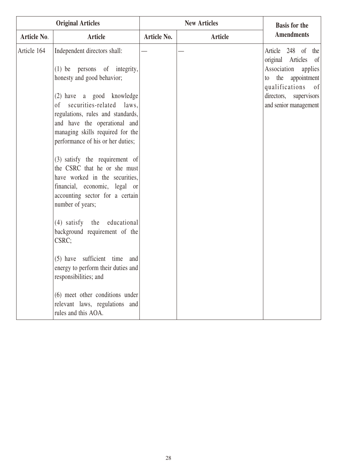|             | <b>Original Articles</b>                                                                                                                                                                                  |                    | <b>New Articles</b> | <b>Basis for the</b>                                                 |
|-------------|-----------------------------------------------------------------------------------------------------------------------------------------------------------------------------------------------------------|--------------------|---------------------|----------------------------------------------------------------------|
| Article No. | <b>Article</b>                                                                                                                                                                                            | <b>Article No.</b> | <b>Article</b>      | <b>Amendments</b>                                                    |
| Article 164 | Independent directors shall:<br>(1) be persons of integrity,                                                                                                                                              |                    |                     | Article 248 of the<br>original Articles of<br>Association<br>applies |
|             | honesty and good behavior;                                                                                                                                                                                |                    |                     | the appointment<br>to<br>qualifications of                           |
|             | (2) have a good knowledge<br>securities-related laws,<br>of<br>regulations, rules and standards,<br>and have the operational and<br>managing skills required for the<br>performance of his or her duties; |                    |                     | directors,<br>supervisors<br>and senior management                   |
|             | (3) satisfy the requirement of<br>the CSRC that he or she must<br>have worked in the securities,<br>financial, economic, legal or<br>accounting sector for a certain<br>number of years;                  |                    |                     |                                                                      |
|             | (4) satisfy the educational<br>background requirement of the<br>CSRC;                                                                                                                                     |                    |                     |                                                                      |
|             | (5) have sufficient time and<br>energy to perform their duties and<br>responsibilities; and                                                                                                               |                    |                     |                                                                      |
|             | (6) meet other conditions under<br>relevant laws, regulations and<br>rules and this AOA.                                                                                                                  |                    |                     |                                                                      |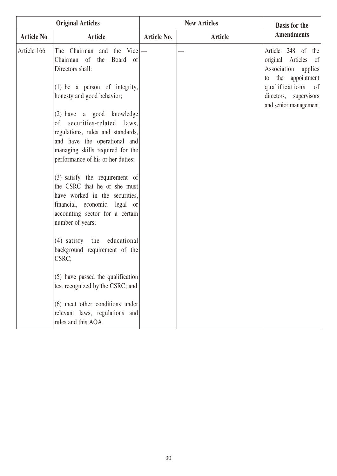|             | <b>Original Articles</b>                                                                                                                                                                                                                                                                                             | <b>New Articles</b> |         | <b>Basis for the</b>                                                                                                                                                        |
|-------------|----------------------------------------------------------------------------------------------------------------------------------------------------------------------------------------------------------------------------------------------------------------------------------------------------------------------|---------------------|---------|-----------------------------------------------------------------------------------------------------------------------------------------------------------------------------|
| Article No. | Article                                                                                                                                                                                                                                                                                                              | <b>Article No.</b>  | Article | <b>Amendments</b>                                                                                                                                                           |
| Article 166 | The Chairman and the Vice $ -$<br>Chairman of the Board of<br>Directors shall:<br>$(1)$ be a person of integrity,<br>honesty and good behavior;<br>(2) have a good knowledge<br>of securities-related laws,<br>regulations, rules and standards,<br>and have the operational and<br>managing skills required for the |                     |         | Article 248 of the<br>original Articles of<br>Association<br>applies<br>appointment<br>the<br>to<br>qualifications of<br>directors,<br>supervisors<br>and senior management |
|             | performance of his or her duties;<br>(3) satisfy the requirement of<br>the CSRC that he or she must<br>have worked in the securities,<br>financial, economic, legal or<br>accounting sector for a certain<br>number of years;                                                                                        |                     |         |                                                                                                                                                                             |
|             | (4) satisfy the educational<br>background requirement of the<br>CSRC;                                                                                                                                                                                                                                                |                     |         |                                                                                                                                                                             |
|             | (5) have passed the qualification<br>test recognized by the CSRC; and                                                                                                                                                                                                                                                |                     |         |                                                                                                                                                                             |
|             | (6) meet other conditions under<br>relevant laws, regulations and<br>rules and this AOA.                                                                                                                                                                                                                             |                     |         |                                                                                                                                                                             |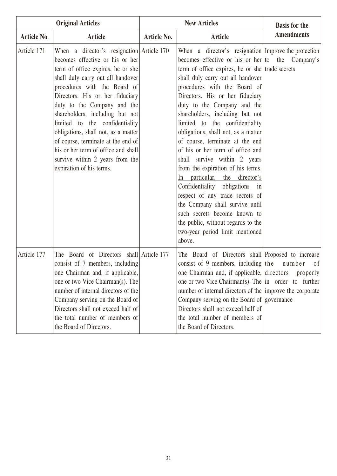| <b>Original Articles</b> |                                                                                                                                                                                                                                                                                                                                                                                                                                                                                                                    | <b>New Articles</b> |                                                                                                                                                                                                                                                                                                                                                                                                                                                                                                                                                                                                                                                                                                                                                                                                                           | <b>Basis for the</b> |
|--------------------------|--------------------------------------------------------------------------------------------------------------------------------------------------------------------------------------------------------------------------------------------------------------------------------------------------------------------------------------------------------------------------------------------------------------------------------------------------------------------------------------------------------------------|---------------------|---------------------------------------------------------------------------------------------------------------------------------------------------------------------------------------------------------------------------------------------------------------------------------------------------------------------------------------------------------------------------------------------------------------------------------------------------------------------------------------------------------------------------------------------------------------------------------------------------------------------------------------------------------------------------------------------------------------------------------------------------------------------------------------------------------------------------|----------------------|
| <b>Article No.</b>       | <b>Article</b>                                                                                                                                                                                                                                                                                                                                                                                                                                                                                                     | Article No.         | <b>Article</b>                                                                                                                                                                                                                                                                                                                                                                                                                                                                                                                                                                                                                                                                                                                                                                                                            | <b>Amendments</b>    |
| Article 171              | When a director's resignation Article $170$<br>becomes effective or his or her<br>term of office expires, he or she<br>shall duly carry out all handover<br>procedures with the Board of<br>Directors. His or her fiduciary<br>duty to the Company and the<br>shareholders, including but not<br>limited to the confidentiality<br>obligations, shall not, as a matter<br>of course, terminate at the end of<br>his or her term of office and shall<br>survive within 2 years from the<br>expiration of his terms. |                     | When a director's resignation Improve the protection<br>becomes effective or his or her to the Company's<br>term of office expires, he or she trade secrets<br>shall duly carry out all handover<br>procedures with the Board of<br>Directors. His or her fiduciary<br>duty to the Company and the<br>shareholders, including but not<br>limited to the confidentiality<br>obligations, shall not, as a matter<br>of course, terminate at the end<br>of his or her term of office and<br>shall survive within 2 years<br>from the expiration of his terms.<br>particular, the director's<br>In<br>Confidentiality obligations in<br>respect of any trade secrets of<br>the Company shall survive until<br>such secrets become known to<br>the public, without regards to the<br>two-year period limit mentioned<br>above. |                      |
| Article 177              | The Board of Directors shall Article 177<br>consist of 7 members, including<br>one Chairman and, if applicable,<br>one or two Vice Chairman(s). The<br>number of internal directors of the<br>Company serving on the Board of<br>Directors shall not exceed half of<br>the total number of members of<br>the Board of Directors.                                                                                                                                                                                   |                     | The Board of Directors shall Proposed to increase<br>consist of $9$ members, including the number<br>one Chairman and, if applicable, directors<br>one or two Vice Chairman(s). The $\vert$ in order to further<br>number of internal directors of the improve the corporate<br>Company serving on the Board of governance<br>Directors shall not exceed half of<br>the total number of members of<br>the Board of Directors.                                                                                                                                                                                                                                                                                                                                                                                             | of<br>properly       |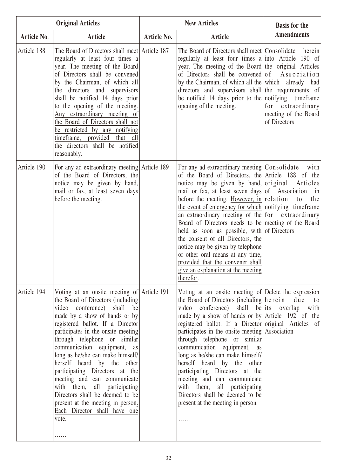|                    | <b>Original Articles</b>                                                                                                                                                                                                                                                                                                                                                                                                                                                                                                                                                         | <b>New Articles</b> |                                                                                                                                                                                                                                                                                                                                                                                                                                                                                                                                                                                                                                                                                | <b>Basis for the</b>                                                               |
|--------------------|----------------------------------------------------------------------------------------------------------------------------------------------------------------------------------------------------------------------------------------------------------------------------------------------------------------------------------------------------------------------------------------------------------------------------------------------------------------------------------------------------------------------------------------------------------------------------------|---------------------|--------------------------------------------------------------------------------------------------------------------------------------------------------------------------------------------------------------------------------------------------------------------------------------------------------------------------------------------------------------------------------------------------------------------------------------------------------------------------------------------------------------------------------------------------------------------------------------------------------------------------------------------------------------------------------|------------------------------------------------------------------------------------|
| <b>Article No.</b> | <b>Article</b>                                                                                                                                                                                                                                                                                                                                                                                                                                                                                                                                                                   | Article No.         | <b>Article</b>                                                                                                                                                                                                                                                                                                                                                                                                                                                                                                                                                                                                                                                                 | <b>Amendments</b>                                                                  |
| Article 188        | The Board of Directors shall meet Article 187<br>regularly at least four times a<br>year. The meeting of the Board<br>of Directors shall be convened<br>by the Chairman, of which all<br>the directors and supervisors<br>shall be notified 14 days prior<br>to the opening of the meeting.<br>Any extraordinary meeting of<br>the Board of Directors shall not<br>be restricted by any notifying<br>provided that<br>timeframe,<br>all<br>the directors shall be notified<br>reasonably.                                                                                        |                     | The Board of Directors shall meet Consolidate<br>regularly at least four times a into Article 190 of<br>year. The meeting of the Board the original Articles<br>of Directors shall be convened of<br>by the Chairman, of which all the which already had<br>directors and supervisors shall the requirements of<br>be notified 14 days prior to the notifying timeframe<br>opening of the meeting.                                                                                                                                                                                                                                                                             | herein<br>Association<br>for extraordinary<br>meeting of the Board<br>of Directors |
| Article 190        | For any ad extraordinary meeting Article 189<br>of the Board of Directors, the<br>notice may be given by hand,<br>mail or fax, at least seven days<br>before the meeting.                                                                                                                                                                                                                                                                                                                                                                                                        |                     | For any ad extraordinary meeting Consolidate with<br>of the Board of Directors, the Article 188 of the<br>notice may be given by hand, original Articles<br>mail or fax, at least seven days of Association<br>before the meeting. However, in relation<br>the event of emergency for which notifying timeframe<br>an extraordinary meeting of the for extraordinary<br>Board of Directors needs to be meeting of the Board<br>held as soon as possible, with of Directors<br>the consent of all Directors, the<br>notice may be given by telephone<br>or other oral means at any time,<br>provided that the convener shall<br>give an explanation at the meeting<br>therefor. | in<br>to<br>the                                                                    |
| Article 194        | Voting at an onsite meeting of Article 191<br>the Board of Directors (including<br>video conference) shall be<br>made by a show of hands or by<br>registered ballot. If a Director<br>participates in the onsite meeting<br>through telephone or similar<br>communication equipment, as<br>long as he/she can make himself/<br>herself heard by the other<br>participating Directors at the<br>meeting and can communicate<br>with them, all participating<br>Directors shall be deemed to be<br>present at the meeting in person.<br>Each Director shall have one<br>vote.<br>. |                     | Voting at an onsite meeting of Delete the expression<br>the Board of Directors (including here in due<br>video conference) shall be its overlap<br>made by a show of hands or by Article 192 of the<br>registered ballot. If a Director original Articles of<br>participates in the onsite meeting Association<br>through telephone or similar<br>communication equipment, as<br>long as he/she can make himself/<br>herself heard by the other<br>participating Directors at the<br>meeting and can communicate<br>with them, all participating<br>Directors shall be deemed to be<br>present at the meeting in person.                                                       | $t_{0}$<br>with                                                                    |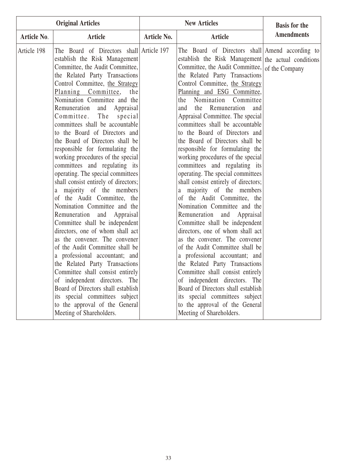| <b>Original Articles</b> |                                                                                                                                                                                                                                                                                                                                                                                                                                                                                                                                                                                                                                                                                                                                                                                                                                                                                                                                                                                                                                                                                                                                                               |             | <b>New Articles</b>                                                                                                                                                                                                                                                                                                                                                                                                                                                                                                                                                                                                                                                                                                                                                                                                                                                                                                                                                                                                                                                                                                                                                                                               | <b>Basis for the</b> |
|--------------------------|---------------------------------------------------------------------------------------------------------------------------------------------------------------------------------------------------------------------------------------------------------------------------------------------------------------------------------------------------------------------------------------------------------------------------------------------------------------------------------------------------------------------------------------------------------------------------------------------------------------------------------------------------------------------------------------------------------------------------------------------------------------------------------------------------------------------------------------------------------------------------------------------------------------------------------------------------------------------------------------------------------------------------------------------------------------------------------------------------------------------------------------------------------------|-------------|-------------------------------------------------------------------------------------------------------------------------------------------------------------------------------------------------------------------------------------------------------------------------------------------------------------------------------------------------------------------------------------------------------------------------------------------------------------------------------------------------------------------------------------------------------------------------------------------------------------------------------------------------------------------------------------------------------------------------------------------------------------------------------------------------------------------------------------------------------------------------------------------------------------------------------------------------------------------------------------------------------------------------------------------------------------------------------------------------------------------------------------------------------------------------------------------------------------------|----------------------|
| Article No.              | <b>Article</b>                                                                                                                                                                                                                                                                                                                                                                                                                                                                                                                                                                                                                                                                                                                                                                                                                                                                                                                                                                                                                                                                                                                                                | Article No. | <b>Article</b>                                                                                                                                                                                                                                                                                                                                                                                                                                                                                                                                                                                                                                                                                                                                                                                                                                                                                                                                                                                                                                                                                                                                                                                                    | <b>Amendments</b>    |
| Article 198              | The Board of Directors shall Article 197<br>establish the Risk Management<br>Committee, the Audit Committee,<br>the Related Party Transactions<br>Control Committee, the Strategy<br>Planning Committee,<br>the<br>Nomination Committee and the<br>Remuneration and Appraisal<br>Committee.<br>The<br>special<br>committees shall be accountable<br>to the Board of Directors and<br>the Board of Directors shall be<br>responsible for formulating the<br>working procedures of the special<br>committees and regulating its<br>operating. The special committees<br>shall consist entirely of directors;<br>a majority of the members<br>of the Audit Committee, the<br>Nomination Committee and the<br>Remuneration and Appraisal<br>Committee shall be independent<br>directors, one of whom shall act<br>as the convener. The convener<br>of the Audit Committee shall be<br>a professional accountant; and<br>the Related Party Transactions<br>Committee shall consist entirely<br>of independent directors. The<br>Board of Directors shall establish<br>its special committees subject<br>to the approval of the General<br>Meeting of Shareholders. |             | The Board of Directors shall Amend according to<br>establish the Risk Management the actual conditions<br>Committee, the Audit Committee, of the Company<br>the Related Party Transactions<br>Control Committee, the Strategy<br>Planning and ESG Committee,<br>the Nomination Committee<br>the Remuneration<br>and<br>and<br>Appraisal Committee. The special<br>committees shall be accountable<br>to the Board of Directors and<br>the Board of Directors shall be<br>responsible for formulating the<br>working procedures of the special<br>committees and regulating its<br>operating. The special committees<br>shall consist entirely of directors;<br>majority of the members<br>a<br>of the Audit Committee, the<br>Nomination Committee and the<br>Remuneration and Appraisal<br>Committee shall be independent<br>directors, one of whom shall act<br>as the convener. The convener<br>of the Audit Committee shall be<br>a professional accountant; and<br>the Related Party Transactions<br>Committee shall consist entirely<br>of independent directors. The<br>Board of Directors shall establish<br>its special committees subject<br>to the approval of the General<br>Meeting of Shareholders. |                      |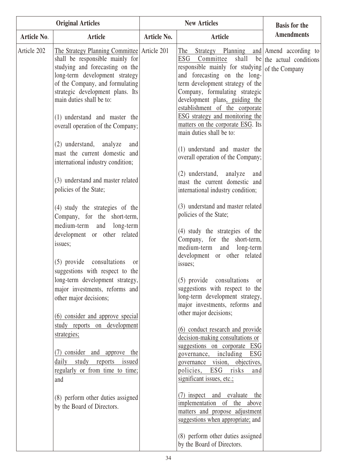| <b>Original Articles</b> |                                                                                                                                                                                                                                                                                                                                                                                                                                                                                                                                                                                                                                                                                                                                                                                                                                                                                                                                                                                                                                                                                              | <b>New Articles</b> |                                                                                                                                                                                                                                                                                                                                                                                                                                                                                                                                                                                                                                                                                                                                                                                                                                                                                                                                                                                                                                                                                                                                                                                                                                                                                                                                                                                            | <b>Basis for the</b>           |
|--------------------------|----------------------------------------------------------------------------------------------------------------------------------------------------------------------------------------------------------------------------------------------------------------------------------------------------------------------------------------------------------------------------------------------------------------------------------------------------------------------------------------------------------------------------------------------------------------------------------------------------------------------------------------------------------------------------------------------------------------------------------------------------------------------------------------------------------------------------------------------------------------------------------------------------------------------------------------------------------------------------------------------------------------------------------------------------------------------------------------------|---------------------|--------------------------------------------------------------------------------------------------------------------------------------------------------------------------------------------------------------------------------------------------------------------------------------------------------------------------------------------------------------------------------------------------------------------------------------------------------------------------------------------------------------------------------------------------------------------------------------------------------------------------------------------------------------------------------------------------------------------------------------------------------------------------------------------------------------------------------------------------------------------------------------------------------------------------------------------------------------------------------------------------------------------------------------------------------------------------------------------------------------------------------------------------------------------------------------------------------------------------------------------------------------------------------------------------------------------------------------------------------------------------------------------|--------------------------------|
| Article No.              | <b>Article</b>                                                                                                                                                                                                                                                                                                                                                                                                                                                                                                                                                                                                                                                                                                                                                                                                                                                                                                                                                                                                                                                                               | Article No.         | Article                                                                                                                                                                                                                                                                                                                                                                                                                                                                                                                                                                                                                                                                                                                                                                                                                                                                                                                                                                                                                                                                                                                                                                                                                                                                                                                                                                                    | <b>Amendments</b>              |
| Article 202              | The Strategy Planning Committee Article 201<br>shall be responsible mainly for<br>studying and forecasting on the<br>long-term development strategy<br>of the Company, and formulating<br>strategic development plans. Its<br>main duties shall be to:<br>(1) understand and master the<br>overall operation of the Company;<br>(2) understand, analyze<br>and<br>mast the current domestic and<br>international industry condition;<br>(3) understand and master related<br>policies of the State;<br>(4) study the strategies of the<br>Company, for the short-term,<br>medium-term and long-term<br>development or other related<br>issues;<br>(5) provide consultations<br><sub>or</sub><br>suggestions with respect to the<br>long-term development strategy,<br>major investments, reforms and<br>other major decisions;<br>(6) consider and approve special<br>study reports on development<br>strategies;<br>(7) consider and approve the<br>daily study reports issued<br>regularly or from time to time;<br>and<br>(8) perform other duties assigned<br>by the Board of Directors. |                     | Strategy Planning and Amend according to<br>The<br>ESG<br>Committee<br>responsible mainly for studying $ $ of the Company<br>and forecasting on the long-<br>term development strategy of the<br>Company, formulating strategic<br>development plans, guiding the<br>establishment of the corporate<br>ESG strategy and monitoring the<br>matters on the corporate ESG. Its<br>main duties shall be to:<br>(1) understand and master the<br>overall operation of the Company;<br>(2) understand, analyze<br>and<br>mast the current domestic and<br>international industry condition;<br>(3) understand and master related<br>policies of the State;<br>(4) study the strategies of the<br>Company, for the short-term,<br>medium-term and<br>long-term<br>development or other related<br>issues;<br>(5) provide consultations<br>$\alpha$<br>suggestions with respect to the<br>long-term development strategy,<br>major investments, reforms and<br>other major decisions;<br>(6) conduct research and provide<br>decision-making consultations or<br>suggestions on corporate ESG<br>governance, including ESG<br>governance vision, objectives,<br>policies, ESG risks<br>and<br>significant issues, etc.;<br>(7) inspect and evaluate the<br>implementation of the above<br>matters and propose adjustment<br>suggestions when appropriate; and<br>(8) perform other duties assigned | shall be the actual conditions |
|                          |                                                                                                                                                                                                                                                                                                                                                                                                                                                                                                                                                                                                                                                                                                                                                                                                                                                                                                                                                                                                                                                                                              |                     | by the Board of Directors.                                                                                                                                                                                                                                                                                                                                                                                                                                                                                                                                                                                                                                                                                                                                                                                                                                                                                                                                                                                                                                                                                                                                                                                                                                                                                                                                                                 |                                |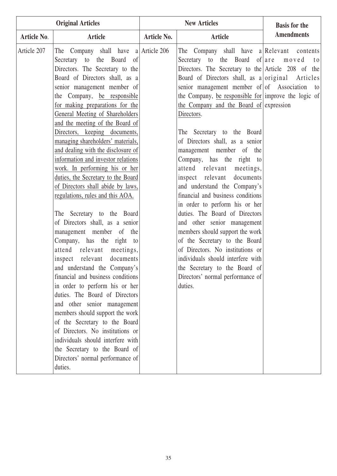| <b>Original Articles</b> |                                                                                                                                                                                                                                                                                                                                                                                                                                                                                                                                                                                                                                                                                                                                                                                                                                                                                                                                                                                                                                                                                                                                                                                                                 | <b>New Articles</b> |                                                                                                                                                                                                                                                                                                                                                                                                                                                                                                                                                                                                                                                                                                                                                                                                                                                                                                                                                      | <b>Basis for the</b> |
|--------------------------|-----------------------------------------------------------------------------------------------------------------------------------------------------------------------------------------------------------------------------------------------------------------------------------------------------------------------------------------------------------------------------------------------------------------------------------------------------------------------------------------------------------------------------------------------------------------------------------------------------------------------------------------------------------------------------------------------------------------------------------------------------------------------------------------------------------------------------------------------------------------------------------------------------------------------------------------------------------------------------------------------------------------------------------------------------------------------------------------------------------------------------------------------------------------------------------------------------------------|---------------------|------------------------------------------------------------------------------------------------------------------------------------------------------------------------------------------------------------------------------------------------------------------------------------------------------------------------------------------------------------------------------------------------------------------------------------------------------------------------------------------------------------------------------------------------------------------------------------------------------------------------------------------------------------------------------------------------------------------------------------------------------------------------------------------------------------------------------------------------------------------------------------------------------------------------------------------------------|----------------------|
| Article No.              | Article                                                                                                                                                                                                                                                                                                                                                                                                                                                                                                                                                                                                                                                                                                                                                                                                                                                                                                                                                                                                                                                                                                                                                                                                         | <b>Article No.</b>  | <b>Article</b>                                                                                                                                                                                                                                                                                                                                                                                                                                                                                                                                                                                                                                                                                                                                                                                                                                                                                                                                       | <b>Amendments</b>    |
| Article 207              | The Company shall have $a$ Article 206<br>the Board of<br>Secretary to<br>Directors. The Secretary to the<br>Board of Directors shall, as a<br>senior management member of<br>the Company, be responsible<br>for making preparations for the<br>General Meeting of Shareholders<br>and the meeting of the Board of<br>Directors, keeping documents,<br>managing shareholders' materials,<br>and dealing with the disclosure of<br>information and investor relations<br>work. In performing his or her<br>duties, the Secretary to the Board<br>of Directors shall abide by laws,<br>regulations, rules and this AOA.<br>The Secretary to the Board<br>of Directors shall, as a senior<br>management member of the<br>Company, has the right to<br>attend relevant meetings,<br>inspect relevant documents<br>and understand the Company's<br>financial and business conditions<br>in order to perform his or her<br>duties. The Board of Directors<br>and other senior management<br>members should support the work<br>of the Secretary to the Board<br>of Directors. No institutions or<br>individuals should interfere with<br>the Secretary to the Board of<br>Directors' normal performance of<br>duties. |                     | The Company shall have a Relevant contents<br>Secretary to the Board of are moved<br>Directors. The Secretary to the Article $208$ of<br>Board of Directors shall, as a original Articles<br>senior management member of $of$ Association<br>the Company, be responsible for improve the logic of<br>the Company and the Board of expression<br>Directors.<br>The Secretary to the Board<br>of Directors shall, as a senior<br>management member of the<br>Company, has the right to<br>attend relevant meetings,<br>inspect relevant documents<br>and understand the Company's<br>financial and business conditions<br>in order to perform his or her<br>duties. The Board of Directors<br>and other senior management<br>members should support the work<br>of the Secretary to the Board<br>of Directors. No institutions or<br>individuals should interfere with<br>the Secretary to the Board of<br>Directors' normal performance of<br>duties. | t o<br>the<br>to     |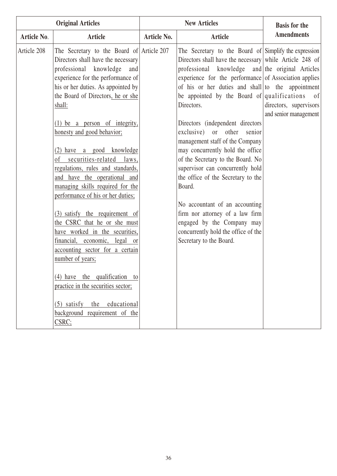| <b>Original Articles</b> |                                                                                                                                                                                                                                                                                                                                                    |             | <b>New Articles</b>                                                                                                                                                                                                                                                                                                                                | <b>Basis for the</b>                            |
|--------------------------|----------------------------------------------------------------------------------------------------------------------------------------------------------------------------------------------------------------------------------------------------------------------------------------------------------------------------------------------------|-------------|----------------------------------------------------------------------------------------------------------------------------------------------------------------------------------------------------------------------------------------------------------------------------------------------------------------------------------------------------|-------------------------------------------------|
| Article No.              | <b>Article</b>                                                                                                                                                                                                                                                                                                                                     | Article No. | <b>Article</b>                                                                                                                                                                                                                                                                                                                                     | <b>Amendments</b>                               |
| Article 208              | The Secretary to the Board of Article 207<br>Directors shall have the necessary<br>professional knowledge<br>and<br>experience for the performance of<br>his or her duties. As appointed by<br>the Board of Directors, he or she<br>shall:                                                                                                         |             | The Secretary to the Board of Simplify the expression<br>Directors shall have the necessary while Article 248 of<br>professional knowledge and the original Articles<br>experience for the performance of Association applies<br>of his or her duties and shall to the appointment<br>be appointed by the Board of qualifications of<br>Directors. | directors, supervisors<br>and senior management |
|                          | $(1)$ be a person of integrity,<br>honesty and good behavior;<br>(2) have a good knowledge<br>securities-related<br>of<br>laws,<br>regulations, rules and standards,<br>and have the operational and<br>managing skills required for the<br>performance of his or her duties;                                                                      |             | Directors (independent directors<br>$\alpha$ exclusive)<br>or other<br>senior<br>management staff of the Company<br>may concurrently hold the office<br>of the Secretary to the Board. No<br>supervisor can concurrently hold<br>the office of the Secretary to the<br>Board.<br>No accountant of an accounting                                    |                                                 |
|                          | (3) satisfy the requirement of<br>the CSRC that he or she must<br>have worked in the securities,<br>financial, economic, legal or<br>accounting sector for a certain<br>number of years;<br>$(4)$ have the qualification to<br>practice in the securities sector;<br>$(5)$ satisfy<br>educational<br>the<br>background requirement of the<br>CSRC; |             | firm nor attorney of a law firm<br>engaged by the Company may<br>concurrently hold the office of the<br>Secretary to the Board.                                                                                                                                                                                                                    |                                                 |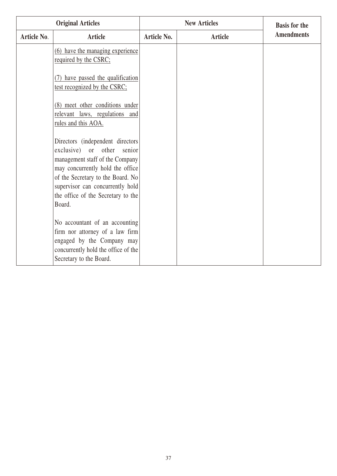| <b>Original Articles</b> |                                                                                                                                                                                                                                                                | <b>New Articles</b> |                | <b>Basis for the</b> |
|--------------------------|----------------------------------------------------------------------------------------------------------------------------------------------------------------------------------------------------------------------------------------------------------------|---------------------|----------------|----------------------|
| Article No.              | <b>Article</b>                                                                                                                                                                                                                                                 | <b>Article No.</b>  | <b>Article</b> | <b>Amendments</b>    |
|                          | (6) have the managing experience<br>required by the CSRC;                                                                                                                                                                                                      |                     |                |                      |
|                          | (7) have passed the qualification<br>test recognized by the CSRC;                                                                                                                                                                                              |                     |                |                      |
|                          | (8) meet other conditions under<br>relevant laws, regulations and<br>rules and this AOA.                                                                                                                                                                       |                     |                |                      |
|                          | Directors (independent directors<br>exclusive) or other senior<br>management staff of the Company<br>may concurrently hold the office<br>of the Secretary to the Board. No<br>supervisor can concurrently hold<br>the office of the Secretary to the<br>Board. |                     |                |                      |
|                          | No accountant of an accounting<br>firm nor attorney of a law firm<br>engaged by the Company may<br>concurrently hold the office of the<br>Secretary to the Board.                                                                                              |                     |                |                      |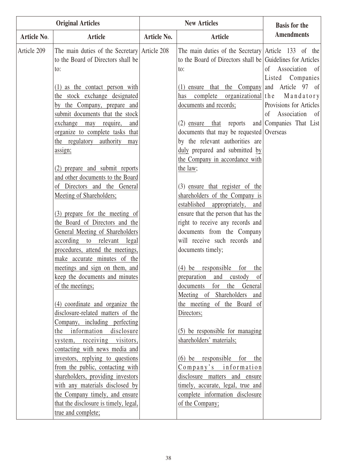| <b>Original Articles</b> |                                                                                                                                                                                                                                                                                                                                                                                                                                                                                                                                                                                                                                                                                                                                                            | <b>New Articles</b> |                                                                                                                                                                                                                                                                                                                                                                                                                                                                                                                                                                                                                                        | <b>Basis for the</b>                                                                                                                   |
|--------------------------|------------------------------------------------------------------------------------------------------------------------------------------------------------------------------------------------------------------------------------------------------------------------------------------------------------------------------------------------------------------------------------------------------------------------------------------------------------------------------------------------------------------------------------------------------------------------------------------------------------------------------------------------------------------------------------------------------------------------------------------------------------|---------------------|----------------------------------------------------------------------------------------------------------------------------------------------------------------------------------------------------------------------------------------------------------------------------------------------------------------------------------------------------------------------------------------------------------------------------------------------------------------------------------------------------------------------------------------------------------------------------------------------------------------------------------------|----------------------------------------------------------------------------------------------------------------------------------------|
| Article No.              | <b>Article</b>                                                                                                                                                                                                                                                                                                                                                                                                                                                                                                                                                                                                                                                                                                                                             | Article No.         | <b>Article</b>                                                                                                                                                                                                                                                                                                                                                                                                                                                                                                                                                                                                                         | <b>Amendments</b>                                                                                                                      |
| Article 209              | The main duties of the Secretary Article 208<br>to the Board of Directors shall be<br>to:<br>$(1)$ as the contact person with<br>the stock exchange designated<br>by the Company, prepare and<br>submit documents that the stock<br>exchange may require,<br>and<br>organize to complete tasks that<br>the regulatory authority<br>may<br>assign;<br>(2) prepare and submit reports<br>and other documents to the Board<br>of Directors and the General<br>Meeting of Shareholders;                                                                                                                                                                                                                                                                        |                     | The main duties of the Secretary Article 133 of the<br>to the Board of Directors shall be Guidelines for Articles<br>to:<br>$(1)$ ensure that the Company and Article 97 of<br>complete organizational the<br>has<br>documents and records;<br>$(2)$ ensure that reports<br>documents that may be requested Overseas<br>by the relevant authorities are<br>duly prepared and submitted by<br>the Company in accordance with<br>the law;<br>(3) ensure that register of the<br>shareholders of the Company is                                                                                                                           | of Association of<br>Listed Companies<br>Mandatory<br>Provisions for Articles<br>$\sigma$<br>Association of<br>and Companies That List |
|                          | (3) prepare for the meeting of<br>the Board of Directors and the<br>General Meeting of Shareholders<br>according to relevant<br>legal<br>procedures, attend the meetings,<br>make accurate minutes of the<br>meetings and sign on them, and<br>keep the documents and minutes<br>of the meetings;<br>(4) coordinate and organize the<br>disclosure-related matters of the<br>Company, including perfecting<br>the information disclosure<br>system, receiving visitors,<br>contacting with news media and<br>investors, replying to questions<br>from the public, contacting with<br>shareholders, providing investors<br>with any materials disclosed by<br>the Company timely, and ensure<br>that the disclosure is timely, legal,<br>true and complete; |                     | established appropriately, and<br>ensure that the person that has the<br>right to receive any records and<br>documents from the Company<br>will receive such records and<br>documents timely;<br>$(4)$ be responsible for the<br>preparation and custody<br><sub>of</sub><br>documents for the General<br>Meeting of Shareholders and<br>the meeting of the Board of<br>Directors;<br>(5) be responsible for managing<br>shareholders' materials;<br>$(6)$ be responsible for the<br>Company's information<br>disclosure matters and ensure<br>timely, accurate, legal, true and<br>complete information disclosure<br>of the Company; |                                                                                                                                        |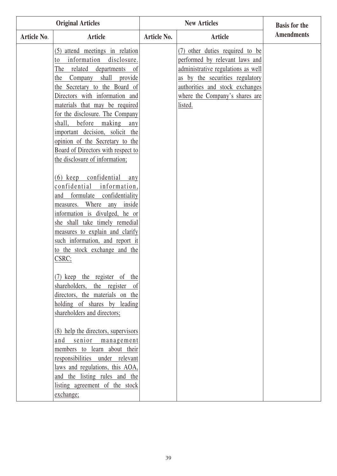| <b>Original Articles</b> |                                                                                                                                                                                                                                                                                                                                                                                                                                                                                                                                            |                    | <b>Basis for the</b>                                                                                                                                                                                                       |                   |
|--------------------------|--------------------------------------------------------------------------------------------------------------------------------------------------------------------------------------------------------------------------------------------------------------------------------------------------------------------------------------------------------------------------------------------------------------------------------------------------------------------------------------------------------------------------------------------|--------------------|----------------------------------------------------------------------------------------------------------------------------------------------------------------------------------------------------------------------------|-------------------|
| <b>Article No.</b>       | <b>Article</b>                                                                                                                                                                                                                                                                                                                                                                                                                                                                                                                             | <b>Article No.</b> | <b>Article</b>                                                                                                                                                                                                             | <b>Amendments</b> |
|                          | (5) attend meetings in relation<br>information disclosure.<br>to<br>related<br>departments<br>The<br><sub>of</sub><br>shall<br>provide<br>Company<br>the<br>the Secretary to the Board of<br>Directors with information and<br>materials that may be required<br>for the disclosure. The Company<br>before making any<br>shall,<br>important decision, solicit the<br>opinion of the Secretary to the<br>Board of Directors with respect to<br>the disclosure of information;<br>(6) keep confidential any<br>confidential<br>information, |                    | (7) other duties required to be<br>performed by relevant laws and<br>administrative regulations as well<br>as by the securities regulatory<br>authorities and stock exchanges<br>where the Company's shares are<br>listed. |                   |
|                          | formulate confidentiality<br>and<br>Where<br>any<br>inside<br>measures.<br>information is divulged, he or<br>she shall take timely remedial<br>measures to explain and clarify<br>such information, and report it<br>to the stock exchange and the<br>CSRC;                                                                                                                                                                                                                                                                                |                    |                                                                                                                                                                                                                            |                   |
|                          | (7) keep the register of the<br>shareholders, the register<br>— of<br>directors, the materials on the<br>holding of shares by leading<br>shareholders and directors;                                                                                                                                                                                                                                                                                                                                                                       |                    |                                                                                                                                                                                                                            |                   |
|                          | (8) help the directors, supervisors<br>and senior management<br>members to learn about their<br>responsibilities under relevant<br>laws and regulations, this AOA,<br>and the listing rules and the<br>listing agreement of the stock<br>exchange;                                                                                                                                                                                                                                                                                         |                    |                                                                                                                                                                                                                            |                   |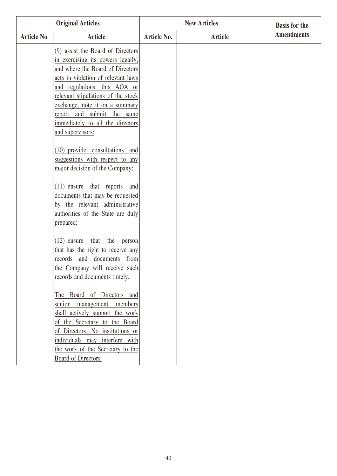|             | <b>Original Articles</b>                                                                                                                                                                                                                                                                                                                                                                                            |             | <b>New Articles</b> | <b>Basis for the</b> |
|-------------|---------------------------------------------------------------------------------------------------------------------------------------------------------------------------------------------------------------------------------------------------------------------------------------------------------------------------------------------------------------------------------------------------------------------|-------------|---------------------|----------------------|
| Article No. | Article                                                                                                                                                                                                                                                                                                                                                                                                             | Article No. | <b>Article</b>      | <b>Amendments</b>    |
|             | (9) assist the Board of Directors<br>in exercising its powers legally,<br>and where the Board of Directors<br>acts in violation of relevant laws<br>and regulations, this AOA or<br>relevant stipulations of the stock<br>exchange, note it on a summary<br>report and submit the same<br>immediately to all the directors<br>and supervisors;<br>(10) provide consultations and<br>suggestions with respect to any |             |                     |                      |
|             | major decision of the Company;<br>(11) ensure that reports and<br>documents that may be requested<br>by the relevant administrative<br>authorities of the State are duly<br>prepared;                                                                                                                                                                                                                               |             |                     |                      |
|             | $(12)$ ensure that the person<br>that has the right to receive any<br>records and documents from<br>the Company will receive such<br>records and documents timely.                                                                                                                                                                                                                                                  |             |                     |                      |
|             | The Board of Directors and<br>management members<br>senior<br>shall actively support the work<br>of the Secretary to the Board<br>of Directors. No institutions or<br>individuals may interfere with<br>the work of the Secretary to the<br>Board of Directors.                                                                                                                                                     |             |                     |                      |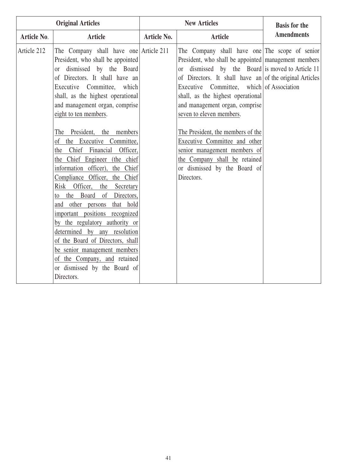| <b>Original Articles</b> |                                                                                                                                                                                                                                                                                                                                                                                                                                                                                                                                                                                                                                                                                                                                                                                                                                                   |             | <b>New Articles</b>                                                                                                                                                                                                                                                                                                                                                                                                                                                                                                                                                      | <b>Basis for the</b> |
|--------------------------|---------------------------------------------------------------------------------------------------------------------------------------------------------------------------------------------------------------------------------------------------------------------------------------------------------------------------------------------------------------------------------------------------------------------------------------------------------------------------------------------------------------------------------------------------------------------------------------------------------------------------------------------------------------------------------------------------------------------------------------------------------------------------------------------------------------------------------------------------|-------------|--------------------------------------------------------------------------------------------------------------------------------------------------------------------------------------------------------------------------------------------------------------------------------------------------------------------------------------------------------------------------------------------------------------------------------------------------------------------------------------------------------------------------------------------------------------------------|----------------------|
| Article No.              | <b>Article</b>                                                                                                                                                                                                                                                                                                                                                                                                                                                                                                                                                                                                                                                                                                                                                                                                                                    | Article No. | <b>Article</b>                                                                                                                                                                                                                                                                                                                                                                                                                                                                                                                                                           | <b>Amendments</b>    |
| Article 212              | The Company shall have one Article 211<br>President, who shall be appointed<br>dismissed by the Board<br>or<br>of Directors. It shall have an<br>Executive Committee, which<br>shall, as the highest operational<br>and management organ, comprise<br>eight to ten members.<br>The President, the<br>members<br>of the Executive Committee,<br>the Chief Financial Officer,<br>the Chief Engineer (the chief<br>information officer),<br>the Chief<br>Compliance Officer, the Chief<br>Risk Officer,<br>the<br>Secretary<br>to the Board<br>of<br>Directors,<br>and other persons that hold<br>important positions recognized<br>by the regulatory authority or<br>determined by any resolution<br>of the Board of Directors, shall<br>be senior management members<br>of the Company, and retained<br>or dismissed by the Board of<br>Directors. |             | The Company shall have one The scope of senior<br>President, who shall be appointed management members<br>dismissed by the Board is moved to Article 11<br><sub>or</sub><br>of Directors. It shall have an of the original Articles<br>Executive Committee, which of Association<br>shall, as the highest operational<br>and management organ, comprise<br>seven to eleven members.<br>The President, the members of the<br>Executive Committee and other<br>senior management members of<br>the Company shall be retained<br>or dismissed by the Board of<br>Directors. |                      |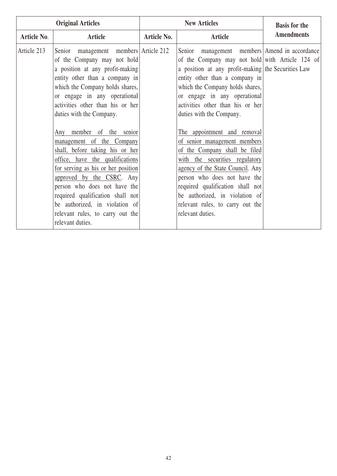| <b>Original Articles</b> |                                                                                                                                                                                                                                                                                                                                                                                                                                                                                                                                                                                                                                              |                    | <b>New Articles</b>                                                                                                                                                                                                                                                                                                                                                                                                                                                                                                                                                                                                                                             | <b>Basis for the</b> |
|--------------------------|----------------------------------------------------------------------------------------------------------------------------------------------------------------------------------------------------------------------------------------------------------------------------------------------------------------------------------------------------------------------------------------------------------------------------------------------------------------------------------------------------------------------------------------------------------------------------------------------------------------------------------------------|--------------------|-----------------------------------------------------------------------------------------------------------------------------------------------------------------------------------------------------------------------------------------------------------------------------------------------------------------------------------------------------------------------------------------------------------------------------------------------------------------------------------------------------------------------------------------------------------------------------------------------------------------------------------------------------------------|----------------------|
| <b>Article No.</b>       | <b>Article</b>                                                                                                                                                                                                                                                                                                                                                                                                                                                                                                                                                                                                                               | <b>Article No.</b> | <b>Article</b>                                                                                                                                                                                                                                                                                                                                                                                                                                                                                                                                                                                                                                                  | <b>Amendments</b>    |
| Article 213              | Senior management members Article 212<br>of the Company may not hold<br>a position at any profit-making<br>entity other than a company in<br>which the Company holds shares,<br>or engage in any operational<br>activities other than his or her<br>duties with the Company.<br>Any member of the senior<br>management of the Company<br>shall, before taking his or her<br>office, have the qualifications<br>for serving as his or her position<br>approved by the CSRC. Any<br>person who does not have the<br>required qualification shall not<br>be authorized, in violation of<br>relevant rules, to carry out the<br>relevant duties. |                    | Senior management members Amend in accordance<br>of the Company may not hold with Article 124 of<br>a position at any profit-making the Securities Law<br>entity other than a company in<br>which the Company holds shares,<br>or engage in any operational<br>activities other than his or her<br>duties with the Company.<br>The appointment and removal<br>of senior management members<br>of the Company shall be filed<br>with the securities regulatory<br>agency of the State Council. Any<br>person who does not have the<br>required qualification shall not<br>be authorized, in violation of<br>relevant rules, to carry out the<br>relevant duties. |                      |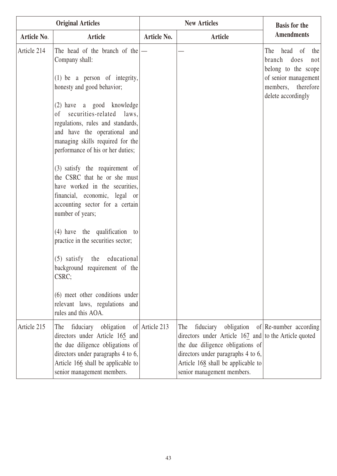| <b>Original Articles</b> |                                                                                                                                                                                                                      | <b>New Articles</b> |                                                                                                                                                                                                                                         | <b>Basis for the</b>                                                                                                                   |
|--------------------------|----------------------------------------------------------------------------------------------------------------------------------------------------------------------------------------------------------------------|---------------------|-----------------------------------------------------------------------------------------------------------------------------------------------------------------------------------------------------------------------------------------|----------------------------------------------------------------------------------------------------------------------------------------|
| Article No.              | Article                                                                                                                                                                                                              | <b>Article No.</b>  | <b>Article</b>                                                                                                                                                                                                                          | <b>Amendments</b>                                                                                                                      |
| Article 214              | The head of the branch of the $ -$<br>Company shall:<br>$(1)$ be a person of integrity,<br>honesty and good behavior;                                                                                                |                     |                                                                                                                                                                                                                                         | The<br>head of<br>the<br>branch does<br>not<br>belong to the scope<br>of senior management<br>members, therefore<br>delete accordingly |
|                          | (2) have a good knowledge<br>securities-related laws,<br><sub>of</sub><br>regulations, rules and standards,<br>and have the operational and<br>managing skills required for the<br>performance of his or her duties; |                     |                                                                                                                                                                                                                                         |                                                                                                                                        |
|                          | (3) satisfy the requirement of<br>the CSRC that he or she must<br>have worked in the securities,<br>financial, economic, legal or<br>accounting sector for a certain<br>number of years;                             |                     |                                                                                                                                                                                                                                         |                                                                                                                                        |
|                          | $(4)$ have the qualification to<br>practice in the securities sector;                                                                                                                                                |                     |                                                                                                                                                                                                                                         |                                                                                                                                        |
|                          | (5) satisfy the educational<br>background requirement of the<br>CSRC;                                                                                                                                                |                     |                                                                                                                                                                                                                                         |                                                                                                                                        |
|                          | (6) meet other conditions under<br>relevant laws, regulations and<br>rules and this AOA.                                                                                                                             |                     |                                                                                                                                                                                                                                         |                                                                                                                                        |
| Article 215              | The fiduciary obligation<br>directors under Article 165 and<br>the due diligence obligations of<br>directors under paragraphs 4 to 6,<br>Article 166 shall be applicable to<br>senior management members.            | of Article 213      | fiduciary<br>obligation<br>The<br>directors under Article $167$ and to the Article quoted<br>the due diligence obligations of<br>directors under paragraphs 4 to 6,<br>Article 168 shall be applicable to<br>senior management members. | of $\Re$ -number according                                                                                                             |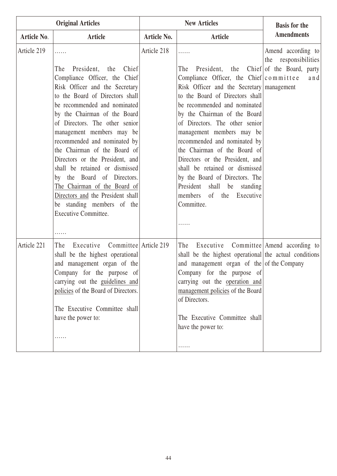| <b>Original Articles</b> |                                                                                                                                                                                                                                                                                                                                                                                                                                                                                                                                                                      | <b>New Articles</b> |                                                                                                                                                                                                                                                                                                                                                                                                                                                                                                                                                                                                               | <b>Basis for the</b>                          |
|--------------------------|----------------------------------------------------------------------------------------------------------------------------------------------------------------------------------------------------------------------------------------------------------------------------------------------------------------------------------------------------------------------------------------------------------------------------------------------------------------------------------------------------------------------------------------------------------------------|---------------------|---------------------------------------------------------------------------------------------------------------------------------------------------------------------------------------------------------------------------------------------------------------------------------------------------------------------------------------------------------------------------------------------------------------------------------------------------------------------------------------------------------------------------------------------------------------------------------------------------------------|-----------------------------------------------|
| Article No.              | Article                                                                                                                                                                                                                                                                                                                                                                                                                                                                                                                                                              | Article No.         | <b>Article</b>                                                                                                                                                                                                                                                                                                                                                                                                                                                                                                                                                                                                | <b>Amendments</b>                             |
| Article 219              | .                                                                                                                                                                                                                                                                                                                                                                                                                                                                                                                                                                    | Article 218         | .                                                                                                                                                                                                                                                                                                                                                                                                                                                                                                                                                                                                             | Amend according to<br>responsibilities<br>the |
|                          | President,<br>the<br>Chief<br>The<br>Compliance Officer, the Chief<br>Risk Officer and the Secretary<br>to the Board of Directors shall<br>be recommended and nominated<br>by the Chairman of the Board<br>of Directors. The other senior<br>management members may be<br>recommended and nominated by<br>the Chairman of the Board of<br>Directors or the President, and<br>shall be retained or dismissed<br>by the Board of Directors.<br>The Chairman of the Board of<br>Directors and the President shall<br>be standing members of the<br>Executive Committee. |                     | President, the Chief of the Board, party<br>The<br>Compliance Officer, the Chief $  \text{c} \text{ o } m \text{ m}$ it tee<br>Risk Officer and the Secretary   management<br>to the Board of Directors shall<br>be recommended and nominated<br>by the Chairman of the Board<br>of Directors. The other senior<br>management members may be<br>recommended and nominated by<br>the Chairman of the Board of<br>Directors or the President, and<br>shall be retained or dismissed<br>by the Board of Directors. The<br>President<br>shall<br>be<br>standing<br>members of the<br>Executive<br>Committee.<br>. | and                                           |
| Article 221              | Executive Committee Article 219<br>The<br>shall be the highest operational<br>and management organ of the<br>Company for the purpose of<br>carrying out the guidelines and<br>policies of the Board of Directors.<br>The Executive Committee shall<br>have the power to:<br>.                                                                                                                                                                                                                                                                                        |                     | Executive Committee Amend according to<br>The<br>shall be the highest operational the actual conditions<br>and management organ of the of the Company<br>Company for the purpose of<br>carrying out the operation and<br>management policies of the Board<br>of Directors.<br>The Executive Committee shall<br>have the power to:<br>.                                                                                                                                                                                                                                                                        |                                               |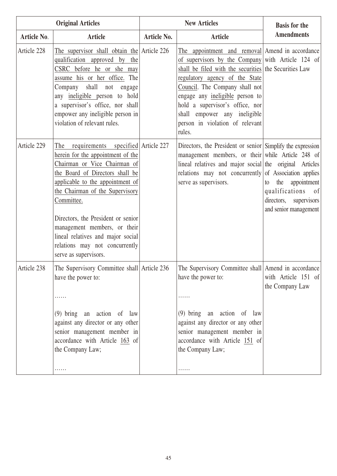| <b>Original Articles</b> |                                                                                                                                                                                                                                                                                                                                                                                                              |                    | <b>New Articles</b>                                                                                                                                                                                                                                                                                                                                                                  | <b>Basis for the</b>                                                                                |
|--------------------------|--------------------------------------------------------------------------------------------------------------------------------------------------------------------------------------------------------------------------------------------------------------------------------------------------------------------------------------------------------------------------------------------------------------|--------------------|--------------------------------------------------------------------------------------------------------------------------------------------------------------------------------------------------------------------------------------------------------------------------------------------------------------------------------------------------------------------------------------|-----------------------------------------------------------------------------------------------------|
| Article No.              | <b>Article</b>                                                                                                                                                                                                                                                                                                                                                                                               | <b>Article No.</b> | Article                                                                                                                                                                                                                                                                                                                                                                              | <b>Amendments</b>                                                                                   |
| Article 228              | The supervisor shall obtain the Article $226$<br>qualification approved by the<br>CSRC before he or she may<br>assume his or her office. The<br>shall not<br>Company<br>engage<br>any ineligible person to hold<br>a supervisor's office, nor shall<br>empower any ineligible person in<br>violation of relevant rules.                                                                                      |                    | The appointment and removal Amend in accordance<br>of supervisors by the Company with Article 124 of<br>shall be filed with the securities the Securities Law<br>regulatory agency of the State<br>Council. The Company shall not<br>engage any ineligible person to<br>hold a supervisor's office, nor<br>shall empower any ineligible<br>person in violation of relevant<br>rules. |                                                                                                     |
| Article 229              | requirements specified Article 227<br>The<br>herein for the appointment of the<br>Chairman or Vice Chairman of<br>the Board of Directors shall be<br>applicable to the appointment of<br>the Chairman of the Supervisory<br>Committee.<br>Directors, the President or senior<br>management members, or their<br>lineal relatives and major social<br>relations may not concurrently<br>serve as supervisors. |                    | Directors, the President or senior Simplify the expression<br>management members, or their while Article 248 of<br>lineal relatives and major social the original Articles<br>relations may not concurrently of Association applies<br>serve as supervisors.                                                                                                                         | appointment<br>the<br>to<br>qualifications of<br>directors,<br>supervisors<br>and senior management |
| Article 238              | The Supervisory Committee shall Article 236<br>have the power to:<br>$(9)$ bring an action of law<br>against any director or any other<br>senior management member in                                                                                                                                                                                                                                        |                    | The Supervisory Committee shall Amend in accordance<br>have the power to:<br>$(9)$ bring an action of law<br>against any director or any other<br>senior management member in                                                                                                                                                                                                        | with Article 151 of<br>the Company Law                                                              |
|                          | accordance with Article 163 of<br>the Company Law;<br>.                                                                                                                                                                                                                                                                                                                                                      |                    | accordance with Article 151 of<br>the Company Law;<br>.                                                                                                                                                                                                                                                                                                                              |                                                                                                     |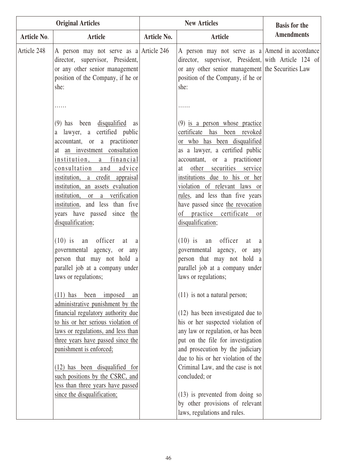| <b>Original Articles</b> |                                                                                                                                                                                                                                                                                                                                                                                                                                                                                                                                                                                                                                                                                                                                                                                                                                                                                                                                | <b>New Articles</b> |                                                                                                                                                                                                                                                                                                                                                                                                                                                                                                                                                                                                                                                                                                                                                                                                                                                                                                      | <b>Basis for the</b> |
|--------------------------|--------------------------------------------------------------------------------------------------------------------------------------------------------------------------------------------------------------------------------------------------------------------------------------------------------------------------------------------------------------------------------------------------------------------------------------------------------------------------------------------------------------------------------------------------------------------------------------------------------------------------------------------------------------------------------------------------------------------------------------------------------------------------------------------------------------------------------------------------------------------------------------------------------------------------------|---------------------|------------------------------------------------------------------------------------------------------------------------------------------------------------------------------------------------------------------------------------------------------------------------------------------------------------------------------------------------------------------------------------------------------------------------------------------------------------------------------------------------------------------------------------------------------------------------------------------------------------------------------------------------------------------------------------------------------------------------------------------------------------------------------------------------------------------------------------------------------------------------------------------------------|----------------------|
| <b>Article No.</b>       | <b>Article</b>                                                                                                                                                                                                                                                                                                                                                                                                                                                                                                                                                                                                                                                                                                                                                                                                                                                                                                                 | <b>Article No.</b>  | <b>Article</b>                                                                                                                                                                                                                                                                                                                                                                                                                                                                                                                                                                                                                                                                                                                                                                                                                                                                                       | <b>Amendments</b>    |
| Article 248              | A person may not serve as a Article 246<br>director, supervisor, President,<br>or any other senior management<br>position of the Company, if he or<br>she:                                                                                                                                                                                                                                                                                                                                                                                                                                                                                                                                                                                                                                                                                                                                                                     |                     | A person may not serve as $a$ Amend in accordance<br>director, supervisor, President, with Article 124 of<br>or any other senior management the Securities Law<br>position of the Company, if he or<br>she:                                                                                                                                                                                                                                                                                                                                                                                                                                                                                                                                                                                                                                                                                          |                      |
|                          | $(9)$ has been disqualified as<br>a lawyer, a certified public<br>accountant, or a practitioner<br>at <u>an investment</u> consultation<br>institution, a financial<br>consultation and<br>advice<br>institution, a credit appraisal<br>institution, an assets evaluation<br>institution, or a verification<br>institution, and less than five<br>years have passed since the<br>disqualification;<br>$(10)$ is an officer<br>at a<br>governmental agency, or any<br>person that may not hold a<br>parallel job at a company under<br>laws or regulations;<br>$(11)$ has<br>been imposed<br>an<br>administrative punishment by the<br>financial regulatory authority due<br>to his or her serious violation of<br>laws or regulations, and less than<br>three years have passed since the<br>punishment is enforced;<br>(12) has been disqualified for<br>such positions by the CSRC, and<br>less than three years have passed |                     | $(9)$ is a person whose practice<br>certificate has been revoked<br>or who has been disqualified<br>as a lawyer, a certified public<br>accountant, or a practitioner<br>other securities service<br>at<br>institutions due to his or her<br>violation of relevant laws or<br>rules, and less than five years<br>have passed since the revocation<br>of practice certificate<br><sub>or</sub><br>disqualification;<br>$(10)$ is an officer<br>at<br>a<br>governmental agency, or any<br>person that may not hold a<br>parallel job at a company under<br>laws or regulations;<br>$(11)$ is not a natural person;<br>(12) has been investigated due to<br>his or her suspected violation of<br>any law or regulation, or has been<br>put on the file for investigation<br>and prosecution by the judiciary<br>due to his or her violation of the<br>Criminal Law, and the case is not<br>concluded; or |                      |
|                          | since the disqualification;                                                                                                                                                                                                                                                                                                                                                                                                                                                                                                                                                                                                                                                                                                                                                                                                                                                                                                    |                     | $(13)$ is prevented from doing so<br>by other provisions of relevant<br>laws, regulations and rules.                                                                                                                                                                                                                                                                                                                                                                                                                                                                                                                                                                                                                                                                                                                                                                                                 |                      |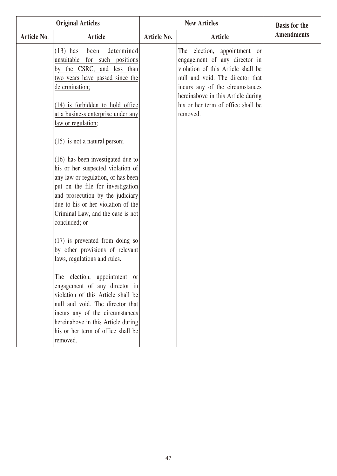| <b>Original Articles</b> |                                                                                                                                                                                                                                                                                                                                                                            |             | <b>Basis for the</b>                                                                                                                                                                                                                                               |                   |
|--------------------------|----------------------------------------------------------------------------------------------------------------------------------------------------------------------------------------------------------------------------------------------------------------------------------------------------------------------------------------------------------------------------|-------------|--------------------------------------------------------------------------------------------------------------------------------------------------------------------------------------------------------------------------------------------------------------------|-------------------|
| <b>Article No.</b>       | <b>Article</b>                                                                                                                                                                                                                                                                                                                                                             | Article No. | <b>Article</b>                                                                                                                                                                                                                                                     | <b>Amendments</b> |
|                          | $(13)$ has<br>determined<br>been<br>unsuitable for such positions<br>by the CSRC, and less than<br>two years have passed since the<br>determination;<br>$(14)$ is forbidden to hold office<br>at a business enterprise under any<br>law or regulation;                                                                                                                     |             | The election, appointment or<br>engagement of any director in<br>violation of this Article shall be<br>null and void. The director that<br>incurs any of the circumstances<br>hereinabove in this Article during<br>his or her term of office shall be<br>removed. |                   |
|                          | $(15)$ is not a natural person;<br>(16) has been investigated due to<br>his or her suspected violation of<br>any law or regulation, or has been<br>put on the file for investigation<br>and prosecution by the judiciary<br>due to his or her violation of the<br>Criminal Law, and the case is not<br>concluded; or                                                       |             |                                                                                                                                                                                                                                                                    |                   |
|                          | $(17)$ is prevented from doing so<br>by other provisions of relevant<br>laws, regulations and rules.<br>The election, appointment or<br>engagement of any director in<br>violation of this Article shall be<br>null and void. The director that<br>incurs any of the circumstances<br>hereinabove in this Article during<br>his or her term of office shall be<br>removed. |             |                                                                                                                                                                                                                                                                    |                   |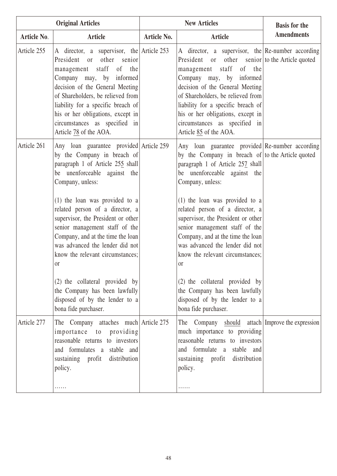|             | <b>Original Articles</b>                                                                                                                                                                                                                                                                                                                                                                                                                 | <b>New Articles</b> |                                                                                                                                                                                                                                                                                                                                                                                                                                                                          | <b>Basis for the</b> |
|-------------|------------------------------------------------------------------------------------------------------------------------------------------------------------------------------------------------------------------------------------------------------------------------------------------------------------------------------------------------------------------------------------------------------------------------------------------|---------------------|--------------------------------------------------------------------------------------------------------------------------------------------------------------------------------------------------------------------------------------------------------------------------------------------------------------------------------------------------------------------------------------------------------------------------------------------------------------------------|----------------------|
| Article No. | <b>Article</b>                                                                                                                                                                                                                                                                                                                                                                                                                           | <b>Article No.</b>  | Article                                                                                                                                                                                                                                                                                                                                                                                                                                                                  | <b>Amendments</b>    |
| Article 255 | A director, a supervisor, the Article $253$<br>other senior<br>President or<br>management staff<br>of the<br>Company may, by informed<br>decision of the General Meeting<br>of Shareholders, be relieved from<br>liability for a specific breach of<br>his or her obligations, except in<br>circumstances as specified in<br>Article 78 of the AOA.                                                                                      |                     | A director, a supervisor, the $Re$ -number according<br>President or other senior to the Article quoted<br>staff<br>of the<br>management<br>Company may, by informed<br>decision of the General Meeting<br>of Shareholders, be relieved from<br>liability for a specific breach of<br>his or her obligations, except in<br>circumstances as specified in<br>Article 85 of the AOA.                                                                                       |                      |
| Article 261 | Any loan guarantee provided Article 259<br>by the Company in breach of<br>paragraph 1 of Article 255 shall<br>be unenforceable against the<br>Company, unless:<br>(1) the loan was provided to a<br>related person of a director, a<br>supervisor, the President or other<br>senior management staff of the<br>Company, and at the time the loan<br>was advanced the lender did not<br>know the relevant circumstances;<br><sub>or</sub> |                     | Any loan guarantee provided Re-number according<br>by the Company in breach of to the Article quoted<br>paragraph 1 of Article 257 shall<br>be unenforceable against the<br>Company, unless:<br>$(1)$ the loan was provided to a<br>related person of a director, a<br>supervisor, the President or other<br>senior management staff of the<br>Company, and at the time the loan<br>was advanced the lender did not<br>know the relevant circumstances;<br><sub>or</sub> |                      |
|             | (2) the collateral provided by<br>the Company has been lawfully<br>disposed of by the lender to a<br>bona fide purchaser.                                                                                                                                                                                                                                                                                                                |                     | (2) the collateral provided by<br>the Company has been lawfully<br>disposed of by the lender to a<br>bona fide purchaser.                                                                                                                                                                                                                                                                                                                                                |                      |
| Article 277 | The Company attaches much Article 275<br>importance to<br>providing<br>reasonable returns to investors<br>and formulates a stable and<br>distribution<br>sustaining profit<br>policy.<br>.                                                                                                                                                                                                                                               |                     | The Company should attach Improve the expression<br>much importance to providing<br>reasonable returns to investors<br>and formulate a stable and<br>sustaining profit<br>distribution<br>policy.<br>.                                                                                                                                                                                                                                                                   |                      |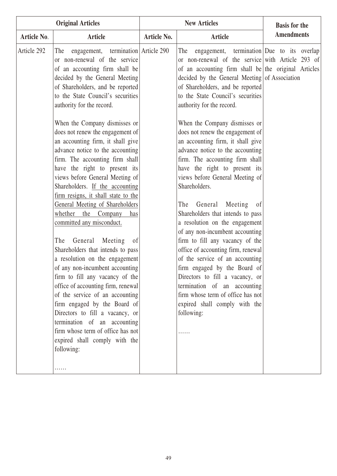| <b>Original Articles</b> |                                                                                                                                                                                                                                                                                                                                                                                                                                                                                                                                                                                                                                                                                                                                                                                                                                                                                                 |             | <b>New Articles</b>                                                                                                                                                                                                                                                                                                                                                                                                                                                                                                                                                                                                                                                                                                  | <b>Basis for the</b> |
|--------------------------|-------------------------------------------------------------------------------------------------------------------------------------------------------------------------------------------------------------------------------------------------------------------------------------------------------------------------------------------------------------------------------------------------------------------------------------------------------------------------------------------------------------------------------------------------------------------------------------------------------------------------------------------------------------------------------------------------------------------------------------------------------------------------------------------------------------------------------------------------------------------------------------------------|-------------|----------------------------------------------------------------------------------------------------------------------------------------------------------------------------------------------------------------------------------------------------------------------------------------------------------------------------------------------------------------------------------------------------------------------------------------------------------------------------------------------------------------------------------------------------------------------------------------------------------------------------------------------------------------------------------------------------------------------|----------------------|
| Article No.              | <b>Article</b>                                                                                                                                                                                                                                                                                                                                                                                                                                                                                                                                                                                                                                                                                                                                                                                                                                                                                  | Article No. | <b>Article</b>                                                                                                                                                                                                                                                                                                                                                                                                                                                                                                                                                                                                                                                                                                       | <b>Amendments</b>    |
| Article 292              | engagement, termination Article 290<br>The<br>or non-renewal of the service<br>of an accounting firm shall be<br>decided by the General Meeting<br>of Shareholders, and be reported<br>to the State Council's securities<br>authority for the record.                                                                                                                                                                                                                                                                                                                                                                                                                                                                                                                                                                                                                                           |             | engagement, termination Due to its overlap<br>The<br>or non-renewal of the service with Article 293 of<br>of an accounting firm shall be the original Articles<br>decided by the General Meeting of Association<br>of Shareholders, and be reported<br>to the State Council's securities<br>authority for the record.                                                                                                                                                                                                                                                                                                                                                                                                |                      |
|                          | When the Company dismisses or<br>does not renew the engagement of<br>an accounting firm, it shall give<br>advance notice to the accounting<br>firm. The accounting firm shall<br>have the right to present its<br>views before General Meeting of<br>Shareholders. If the accounting<br>firm resigns, it shall state to the<br>General Meeting of Shareholders<br>the<br>whether<br>Company<br>has<br>committed any misconduct.<br>General<br>Meeting<br>The<br><sub>of</sub><br>Shareholders that intends to pass<br>a resolution on the engagement<br>of any non-incumbent accounting<br>firm to fill any vacancy of the<br>office of accounting firm, renewal<br>of the service of an accounting<br>firm engaged by the Board of<br>Directors to fill a vacancy, or<br>termination of an accounting<br>firm whose term of office has not<br>expired shall comply with the<br>following:<br>. |             | When the Company dismisses or<br>does not renew the engagement of<br>an accounting firm, it shall give<br>advance notice to the accounting<br>firm. The accounting firm shall<br>have the right to present its<br>views before General Meeting of<br>Shareholders.<br>General<br>Meeting<br>The<br>- of<br>Shareholders that intends to pass<br>a resolution on the engagement<br>of any non-incumbent accounting<br>firm to fill any vacancy of the<br>office of accounting firm, renewal<br>of the service of an accounting<br>firm engaged by the Board of<br>Directors to fill a vacancy, or<br>termination of an accounting<br>firm whose term of office has not<br>expired shall comply with the<br>following: |                      |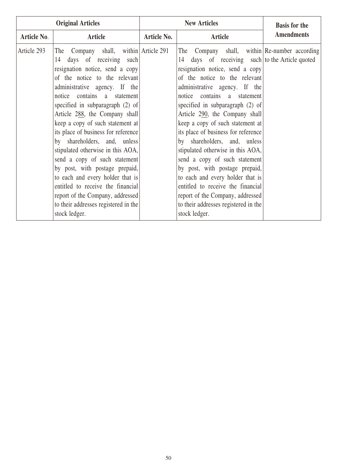| <b>Original Articles</b> |                                                                                                                                                                                                                                                                                                                                                                                                                                                                                                                                                                                                                                                                            |                    | <b>New Articles</b>                                                                                                                                                                                                                                                                                                                                                                                                                                                                                                                                                                                                                                                                                   | <b>Basis for the</b> |
|--------------------------|----------------------------------------------------------------------------------------------------------------------------------------------------------------------------------------------------------------------------------------------------------------------------------------------------------------------------------------------------------------------------------------------------------------------------------------------------------------------------------------------------------------------------------------------------------------------------------------------------------------------------------------------------------------------------|--------------------|-------------------------------------------------------------------------------------------------------------------------------------------------------------------------------------------------------------------------------------------------------------------------------------------------------------------------------------------------------------------------------------------------------------------------------------------------------------------------------------------------------------------------------------------------------------------------------------------------------------------------------------------------------------------------------------------------------|----------------------|
| <b>Article No.</b>       | <b>Article</b>                                                                                                                                                                                                                                                                                                                                                                                                                                                                                                                                                                                                                                                             | <b>Article No.</b> | <b>Article</b>                                                                                                                                                                                                                                                                                                                                                                                                                                                                                                                                                                                                                                                                                        | <b>Amendments</b>    |
| Article 293              | The Company shall, within Article 291<br>days of receiving such<br>14<br>resignation notice, send a copy<br>of the notice to the relevant<br>administrative agency. If the<br>notice contains a statement<br>specified in subparagraph $(2)$ of<br>Article 288, the Company shall<br>keep a copy of such statement at<br>its place of business for reference<br>by shareholders, and, unless<br>stipulated otherwise in this AOA,<br>send a copy of such statement<br>by post, with postage prepaid,<br>to each and every holder that is<br>entitled to receive the financial<br>report of the Company, addressed<br>to their addresses registered in the<br>stock ledger. |                    | The Company shall, within Re-number according<br>14 days of receiving such to the Article quoted<br>resignation notice, send a copy<br>of the notice to the relevant<br>administrative agency. If the<br>notice contains a statement<br>specified in subparagraph $(2)$ of<br>Article 290, the Company shall<br>keep a copy of such statement at<br>its place of business for reference<br>by shareholders, and, unless<br>stipulated otherwise in this AOA,<br>send a copy of such statement<br>by post, with postage prepaid,<br>to each and every holder that is<br>entitled to receive the financial<br>report of the Company, addressed<br>to their addresses registered in the<br>stock ledger. |                      |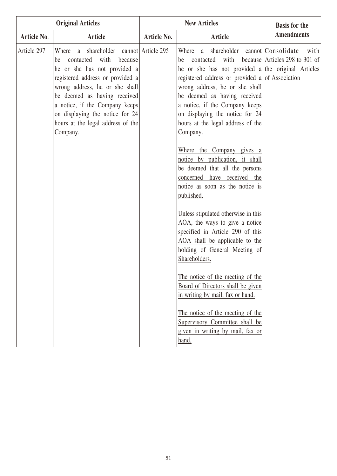| <b>Original Articles</b> |                                                                                                                                                                                                                                                                                                                                    |             | <b>New Articles</b>                                                                                                                                                                                                                                                                                                                                                                                                                                                                                                                                                                                                                                                                                                                                                                                                                                                                                                                                                                                                  | <b>Basis for the</b> |
|--------------------------|------------------------------------------------------------------------------------------------------------------------------------------------------------------------------------------------------------------------------------------------------------------------------------------------------------------------------------|-------------|----------------------------------------------------------------------------------------------------------------------------------------------------------------------------------------------------------------------------------------------------------------------------------------------------------------------------------------------------------------------------------------------------------------------------------------------------------------------------------------------------------------------------------------------------------------------------------------------------------------------------------------------------------------------------------------------------------------------------------------------------------------------------------------------------------------------------------------------------------------------------------------------------------------------------------------------------------------------------------------------------------------------|----------------------|
| Article No.              | Article                                                                                                                                                                                                                                                                                                                            | Article No. | Article                                                                                                                                                                                                                                                                                                                                                                                                                                                                                                                                                                                                                                                                                                                                                                                                                                                                                                                                                                                                              | <b>Amendments</b>    |
| Article 297              | Where a shareholder cannot Article 295<br>contacted with because<br>be<br>he or she has not provided a<br>registered address or provided a<br>wrong address, he or she shall<br>be deemed as having received<br>a notice, if the Company keeps<br>on displaying the notice for 24<br>hours at the legal address of the<br>Company. |             | a shareholder cannot Consolidate<br>Where<br>contacted with because Articles 298 to 301 of<br>be<br>he or she has not provided a the original Articles<br>registered address or provided a of Association<br>wrong address, he or she shall<br>be deemed as having received<br>a notice, if the Company keeps<br>on displaying the notice for 24<br>hours at the legal address of the<br>Company.<br>Where the Company gives a<br>notice by publication, it shall<br>be deemed that all the persons<br>concerned have received the<br>notice as soon as the notice is<br>published.<br>Unless stipulated otherwise in this<br>AOA, the ways to give a notice<br>specified in Article 290 of this<br>AOA shall be applicable to the<br>holding of General Meeting of<br>Shareholders.<br>The notice of the meeting of the<br>Board of Directors shall be given<br>in writing by mail, fax or hand.<br>The notice of the meeting of the<br>Supervisory Committee shall be<br>given in writing by mail, fax or<br>hand. | with                 |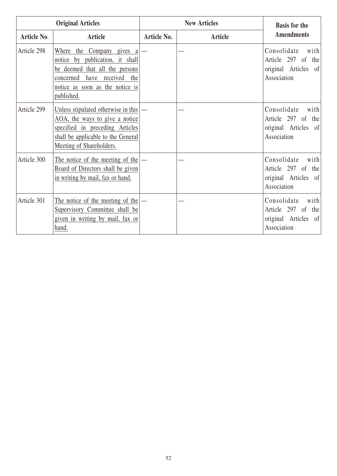| <b>Original Articles</b> |                                                                                                                                                                                   | <b>New Articles</b> |                | <b>Basis for the</b>                                                                              |
|--------------------------|-----------------------------------------------------------------------------------------------------------------------------------------------------------------------------------|---------------------|----------------|---------------------------------------------------------------------------------------------------|
| <b>Article No.</b>       | <b>Article</b>                                                                                                                                                                    | <b>Article No.</b>  | <b>Article</b> | <b>Amendments</b>                                                                                 |
| Article 298              | Where<br>the Company gives a<br>notice by publication, it shall<br>be deemed that all the persons<br>concerned have received the<br>notice as soon as the notice is<br>published. |                     |                | Consolidate<br>with<br>Article 297 of<br>the<br>original Articles<br>of<br>Association            |
| Article 299              | Unless stipulated otherwise in this<br>AOA, the ways to give a notice<br>specified in preceding Articles<br>shall be applicable to the General<br>Meeting of Shareholders.        |                     |                | Consolidate<br>with<br>Article 297 of<br>the<br>original Articles of<br>Association               |
| Article 300              | The notice of the meeting of the<br>Board of Directors shall be given<br>in writing by mail, fax or hand.                                                                         |                     |                | Consolidate<br>with<br>Article 297 of<br>the<br>original Articles<br><sub>of</sub><br>Association |
| Article 301              | The notice of the meeting of the<br>Supervisory Committee shall be<br>given in writing by mail, fax or<br>hand.                                                                   |                     |                | Consolidate<br>with<br>Article 297 of<br>the<br>original Articles of<br>Association               |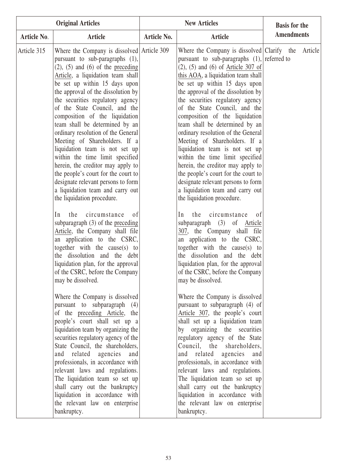|             | <b>New Articles</b><br><b>Original Articles</b>                                                                                                                                                                                                                                                                                                                                                                                                                                                                                                                                                                                                                                                                |                    |                                                                                                                                                                                                                                                                                                                                                                                                                                                                                                                                                                                                                                                                                                                                           | <b>Basis for the</b> |  |
|-------------|----------------------------------------------------------------------------------------------------------------------------------------------------------------------------------------------------------------------------------------------------------------------------------------------------------------------------------------------------------------------------------------------------------------------------------------------------------------------------------------------------------------------------------------------------------------------------------------------------------------------------------------------------------------------------------------------------------------|--------------------|-------------------------------------------------------------------------------------------------------------------------------------------------------------------------------------------------------------------------------------------------------------------------------------------------------------------------------------------------------------------------------------------------------------------------------------------------------------------------------------------------------------------------------------------------------------------------------------------------------------------------------------------------------------------------------------------------------------------------------------------|----------------------|--|
| Article No. | <b>Article</b>                                                                                                                                                                                                                                                                                                                                                                                                                                                                                                                                                                                                                                                                                                 | <b>Article No.</b> | <b>Article</b>                                                                                                                                                                                                                                                                                                                                                                                                                                                                                                                                                                                                                                                                                                                            | <b>Amendments</b>    |  |
| Article 315 | Where the Company is dissolved Article 309<br>pursuant to sub-paragraphs (1),<br>$(2)$ , $(5)$ and $(6)$ of the preceding<br>Article, a liquidation team shall<br>be set up within 15 days upon<br>the approval of the dissolution by<br>the securities regulatory agency<br>of the State Council, and the<br>composition of the liquidation<br>team shall be determined by an<br>ordinary resolution of the General<br>Meeting of Shareholders. If a<br>liquidation team is not set up<br>within the time limit specified<br>herein, the creditor may apply to<br>the people's court for the court to<br>designate relevant persons to form<br>a liquidation team and carry out<br>the liquidation procedure. |                    | Where the Company is dissolved $\lfloor$ Clarify the<br>pursuant to sub-paragraphs $(1)$ , referred to<br>$(2)$ , $(5)$ and $(6)$ of Article 307 of<br>this AOA, a liquidation team shall<br>be set up within 15 days upon<br>the approval of the dissolution by<br>the securities regulatory agency<br>of the State Council, and the<br>composition of the liquidation<br>team shall be determined by an<br>ordinary resolution of the General<br>Meeting of Shareholders. If a<br>liquidation team is not set up<br>within the time limit specified<br>herein, the creditor may apply to<br>the people's court for the court to<br>designate relevant persons to form<br>a liquidation team and carry out<br>the liquidation procedure. | Article              |  |
|             | the<br>circumstance<br>In<br>0 <sup>f</sup><br>subparagraph $(3)$ of the preceding<br>Article, the Company shall file<br>an application to the CSRC,<br>together with the cause(s) to<br>the dissolution and the debt<br>liquidation plan, for the approval<br>of the CSRC, before the Company<br>may be dissolved.                                                                                                                                                                                                                                                                                                                                                                                            |                    | the<br>circumstance<br>In<br>of<br>subparagraph (3) of Article<br>307, the Company shall file<br>an application to the CSRC,<br>together with the cause(s) to<br>the dissolution and the debt<br>liquidation plan, for the approval<br>of the CSRC, before the Company<br>may be dissolved.                                                                                                                                                                                                                                                                                                                                                                                                                                               |                      |  |
|             | Where the Company is dissolved<br>pursuant to subparagraph (4)<br>of the preceding Article, the<br>people's court shall set up a<br>liquidation team by organizing the<br>securities regulatory agency of the<br>State Council, the shareholders,<br>and related agencies<br>and<br>professionals, in accordance with<br>relevant laws and regulations.<br>The liquidation team so set up<br>shall carry out the bankruptcy<br>liquidation in accordance with<br>the relevant law on enterprise<br>bankruptcy.                                                                                                                                                                                                 |                    | Where the Company is dissolved<br>pursuant to subparagraph (4) of<br>Article 307, the people's court<br>shall set up a liquidation team<br>by organizing the securities<br>regulatory agency of the State<br>Council, the shareholders,<br>and related agencies and<br>professionals, in accordance with<br>relevant laws and regulations.<br>The liquidation team so set up<br>shall carry out the bankruptcy<br>liquidation in accordance with<br>the relevant law on enterprise<br>bankruptcy.                                                                                                                                                                                                                                         |                      |  |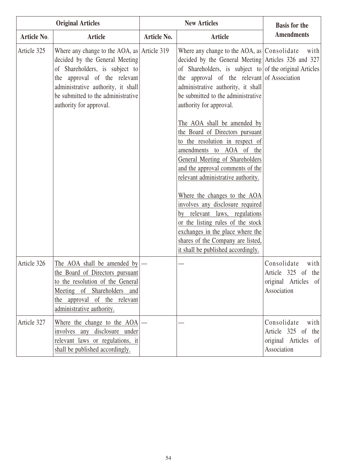| <b>Original Articles</b> |                                                                                                                                                                                                                                                                |             | <b>New Articles</b>                                                                                                                                                                                                                                                                                                                                                                                                                                                                                                                                                                                                                                                                                                                                                                         | <b>Basis for the</b>                                                                        |
|--------------------------|----------------------------------------------------------------------------------------------------------------------------------------------------------------------------------------------------------------------------------------------------------------|-------------|---------------------------------------------------------------------------------------------------------------------------------------------------------------------------------------------------------------------------------------------------------------------------------------------------------------------------------------------------------------------------------------------------------------------------------------------------------------------------------------------------------------------------------------------------------------------------------------------------------------------------------------------------------------------------------------------------------------------------------------------------------------------------------------------|---------------------------------------------------------------------------------------------|
| <b>Article No.</b>       | <b>Article</b>                                                                                                                                                                                                                                                 | Article No. | <b>Article</b>                                                                                                                                                                                                                                                                                                                                                                                                                                                                                                                                                                                                                                                                                                                                                                              | <b>Amendments</b>                                                                           |
| Article 325              | Where any change to the AOA, as $\vert$ Article 319<br>decided by the General Meeting<br>of Shareholders, is subject to<br>the approval of the relevant<br>administrative authority, it shall<br>be submitted to the administrative<br>authority for approval. |             | Where any change to the AOA, as $ Consolidate $<br>decided by the General Meeting Articles 326 and 327<br>of Shareholders, is subject to of the original Articles<br>the approval of the relevant of Association<br>administrative authority, it shall<br>be submitted to the administrative<br>authority for approval.<br>The AOA shall be amended by<br>the Board of Directors pursuant<br>to the resolution in respect of<br>amendments to AOA of the<br>General Meeting of Shareholders<br>and the approval comments of the<br>relevant administrative authority.<br>Where the changes to the AOA<br>involves any disclosure required<br>relevant laws, regulations<br>by<br>or the listing rules of the stock<br>exchanges in the place where the<br>shares of the Company are listed, | with                                                                                        |
| Article 326              | The AOA shall be amended by<br>the Board of Directors pursuant<br>to the resolution of the General<br>Meeting of Shareholders and<br>the approval of the relevant<br>administrative authority.                                                                 |             | it shall be published accordingly.                                                                                                                                                                                                                                                                                                                                                                                                                                                                                                                                                                                                                                                                                                                                                          | Consolidate<br>with<br>Article 325 of the<br>original Articles<br>$\vert$ of<br>Association |
| Article 327              | Where the change to the AOA<br>involves any disclosure under<br>relevant laws or regulations, it<br>shall be published accordingly.                                                                                                                            |             |                                                                                                                                                                                                                                                                                                                                                                                                                                                                                                                                                                                                                                                                                                                                                                                             | Consolidate<br>with<br>Article 325 of<br>the<br>original Articles of<br>Association         |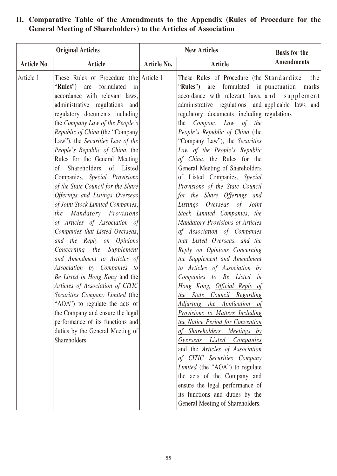| <b>Original Articles</b> |                                                                                                                                                                                                                                                                                                                                                                                                                                                                                                                                                                                                                                                                                                                                                                                                                                                                                                                                                                                                                                                   |                    | <b>New Articles</b>                                                                                                                                                                                                                                                                                                                                                                                                                                                                                                                                                                                                                                                                                                                                                                                                                                                                                                                                                                                                                                                                                                                                                                                                                                                                                                           | <b>Basis for the</b> |
|--------------------------|---------------------------------------------------------------------------------------------------------------------------------------------------------------------------------------------------------------------------------------------------------------------------------------------------------------------------------------------------------------------------------------------------------------------------------------------------------------------------------------------------------------------------------------------------------------------------------------------------------------------------------------------------------------------------------------------------------------------------------------------------------------------------------------------------------------------------------------------------------------------------------------------------------------------------------------------------------------------------------------------------------------------------------------------------|--------------------|-------------------------------------------------------------------------------------------------------------------------------------------------------------------------------------------------------------------------------------------------------------------------------------------------------------------------------------------------------------------------------------------------------------------------------------------------------------------------------------------------------------------------------------------------------------------------------------------------------------------------------------------------------------------------------------------------------------------------------------------------------------------------------------------------------------------------------------------------------------------------------------------------------------------------------------------------------------------------------------------------------------------------------------------------------------------------------------------------------------------------------------------------------------------------------------------------------------------------------------------------------------------------------------------------------------------------------|----------------------|
| <b>Article No.</b>       | <b>Article</b>                                                                                                                                                                                                                                                                                                                                                                                                                                                                                                                                                                                                                                                                                                                                                                                                                                                                                                                                                                                                                                    | <b>Article No.</b> | Article                                                                                                                                                                                                                                                                                                                                                                                                                                                                                                                                                                                                                                                                                                                                                                                                                                                                                                                                                                                                                                                                                                                                                                                                                                                                                                                       | <b>Amendments</b>    |
| Article 1                | These Rules of Procedure (the Article 1)<br>are formulated<br>"Rules")<br>in<br>accordance with relevant laws,<br>administrative regulations and<br>regulatory documents including<br>the Company Law of the People's<br>Republic of China (the "Company"<br>Law"), the Securities Law of the<br>People's Republic of China, the<br>Rules for the General Meeting<br>Shareholders of Listed<br>of<br>Companies, Special Provisions<br>of the State Council for the Share<br>Offerings and Listings Overseas<br>of Joint Stock Limited Companies,<br>the Mandatory Provisions<br>of Articles of Association of<br>Companies that Listed Overseas,<br>and the Reply on Opinions<br>Concerning the Supplement<br>and Amendment to Articles of<br>Association by Companies to<br>Be Listed in Hong Kong and the<br>Articles of Association of CITIC<br>Securities Company Limited (the<br>"AOA") to regulate the acts of<br>the Company and ensure the legal<br>performance of its functions and<br>duties by the General Meeting of<br>Shareholders. |                    | These Rules of Procedure (the Standardize)<br>"Rules") are formulated in punctuation<br>accordance with relevant laws, and supplement<br>administrative regulations and applicable laws and<br>regulatory documents including regulations<br>the Company Law of the<br>People's Republic of China (the<br>"Company Law"), the Securities<br>Law of the People's Republic<br>of China, the Rules for the<br>General Meeting of Shareholders<br>of Listed Companies, Special<br>Provisions of the State Council<br>for the Share Offerings and<br>Listings Overseas of Joint<br>Stock Limited Companies, the<br>Mandatory Provisions of Articles<br>of Association of Companies<br>that Listed Overseas, and the<br>Reply on Opinions Concerning<br>the Supplement and Amendment<br>to Articles of Association by<br>Companies to Be Listed in<br>Hong Kong, Official Reply of<br>the State Council Regarding<br>Adjusting the Application of<br>Provisions to Matters Including<br>the Notice Period for Convention<br>of Shareholders' Meetings by<br>Overseas Listed Companies<br>and the Articles of Association<br>of CITIC Securities Company<br>Limited (the "AOA") to regulate<br>the acts of the Company and<br>ensure the legal performance of<br>its functions and duties by the<br>General Meeting of Shareholders. | the<br>marks         |

#### **II. Comparative Table of the Amendments to the Appendix (Rules of Procedure for the General Meeting of Shareholders) to the Articles of Association**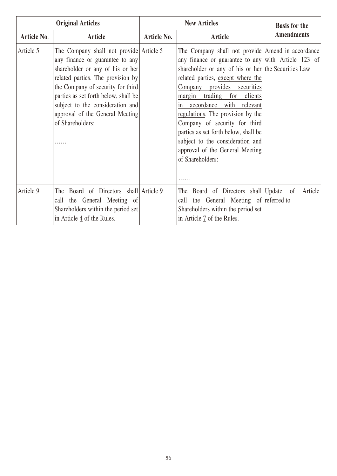| <b>Original Articles</b> |                                                                                                                                                                                                                                                                                                                             | <b>New Articles</b> |                                                                                                                                                                                                                                                                                                                                                                                                                                                                                                                | <b>Basis for the</b> |
|--------------------------|-----------------------------------------------------------------------------------------------------------------------------------------------------------------------------------------------------------------------------------------------------------------------------------------------------------------------------|---------------------|----------------------------------------------------------------------------------------------------------------------------------------------------------------------------------------------------------------------------------------------------------------------------------------------------------------------------------------------------------------------------------------------------------------------------------------------------------------------------------------------------------------|----------------------|
| Article No.              | <b>Article</b>                                                                                                                                                                                                                                                                                                              | <b>Article No.</b>  | <b>Article</b>                                                                                                                                                                                                                                                                                                                                                                                                                                                                                                 | <b>Amendments</b>    |
| Article 5                | The Company shall not provide Article 5<br>any finance or guarantee to any<br>shareholder or any of his or her<br>related parties. The provision by<br>the Company of security for third<br>parties as set forth below, shall be<br>subject to the consideration and<br>approval of the General Meeting<br>of Shareholders: |                     | The Company shall not provide Amend in accordance<br>any finance or guarantee to any with Article 123 of<br>shareholder or any of his or her the Securities Law<br>related parties, except where the<br>Company provides securities<br>margin trading for clients<br>in accordance with relevant<br>regulations. The provision by the<br>Company of security for third<br>parties as set forth below, shall be<br>subject to the consideration and<br>approval of the General Meeting<br>of Shareholders:<br>. |                      |
| Article 9                | Board of Directors shall Article 9<br>The<br>call the General Meeting of<br>Shareholders within the period set<br>in Article 4 of the Rules.                                                                                                                                                                                |                     | The Board of Directors shall Update of<br>the General Meeting of referred to<br>call<br>Shareholders within the period set<br>in Article 7 of the Rules.                                                                                                                                                                                                                                                                                                                                                       | Article              |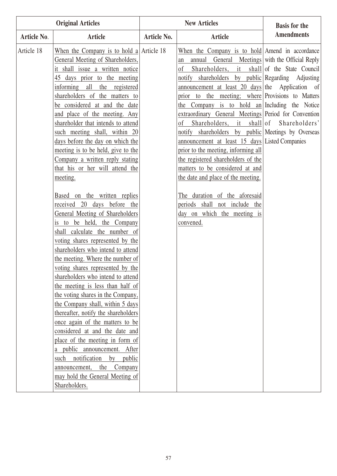| <b>Original Articles</b> |                                                                                                                                                                                                                                                                                                                                                                                                                                                                                                                                                                                                                                                                                                                                                                                                                                                                                                                                                                                                                                                                                                                                                                                                                                                                                      |             | <b>New Articles</b>                                                                                                                                                                                                                                                                                                                                                                                                                                                                                                                                                                                                                                                                                                                                                                                                                                                          | <b>Basis for the</b> |
|--------------------------|--------------------------------------------------------------------------------------------------------------------------------------------------------------------------------------------------------------------------------------------------------------------------------------------------------------------------------------------------------------------------------------------------------------------------------------------------------------------------------------------------------------------------------------------------------------------------------------------------------------------------------------------------------------------------------------------------------------------------------------------------------------------------------------------------------------------------------------------------------------------------------------------------------------------------------------------------------------------------------------------------------------------------------------------------------------------------------------------------------------------------------------------------------------------------------------------------------------------------------------------------------------------------------------|-------------|------------------------------------------------------------------------------------------------------------------------------------------------------------------------------------------------------------------------------------------------------------------------------------------------------------------------------------------------------------------------------------------------------------------------------------------------------------------------------------------------------------------------------------------------------------------------------------------------------------------------------------------------------------------------------------------------------------------------------------------------------------------------------------------------------------------------------------------------------------------------------|----------------------|
| Article No.              | Article                                                                                                                                                                                                                                                                                                                                                                                                                                                                                                                                                                                                                                                                                                                                                                                                                                                                                                                                                                                                                                                                                                                                                                                                                                                                              | Article No. | <b>Article</b>                                                                                                                                                                                                                                                                                                                                                                                                                                                                                                                                                                                                                                                                                                                                                                                                                                                               | <b>Amendments</b>    |
| Article 18               | When the Company is to hold a Article 18<br>General Meeting of Shareholders,<br>it shall issue a written notice<br>45 days prior to the meeting<br>informing all the registered<br>shareholders of the matters to<br>be considered at and the date<br>and place of the meeting. Any<br>shareholder that intends to attend<br>such meeting shall, within 20<br>days before the day on which the<br>meeting is to be held, give to the<br>Company a written reply stating<br>that his or her will attend the<br>meeting.<br>Based on the written replies<br>received 20 days before the<br>General Meeting of Shareholders<br>is to be held, the Company<br>shall calculate the number of<br>voting shares represented by the<br>shareholders who intend to attend<br>the meeting. Where the number of<br>voting shares represented by the<br>shareholders who intend to attend<br>the meeting is less than half of<br>the voting shares in the Company,<br>the Company shall, within 5 days<br>thereafter, notify the shareholders<br>once again of the matters to be<br>considered at and the date and<br>place of the meeting in form of<br>a public announcement. After<br>such notification<br>by<br>public<br>Company<br>the<br>announcement,<br>may hold the General Meeting of |             | When the Company is to hold Amend in accordance<br>annual General Meetings with the Official Reply<br>an<br>Shareholders, it shall of the State Council<br>οf<br>notify shareholders by public Regarding Adjusting<br>announcement at least $20 \text{ days}$ the Application of<br>prior to the meeting; where Provisions to Matters<br>the Company is to hold an Including the Notice<br>extraordinary General Meetings Period for Convention<br>Shareholders, it shall of Shareholders'<br>οf<br>notify shareholders by public Meetings by Overseas<br>announcement at least 15 days Listed Companies<br>prior to the meeting, informing all<br>the registered shareholders of the<br>matters to be considered at and<br>the date and place of the meeting.<br>The duration of the aforesaid<br>periods shall not include the<br>day on which the meeting is<br>convened. |                      |
|                          | Shareholders.                                                                                                                                                                                                                                                                                                                                                                                                                                                                                                                                                                                                                                                                                                                                                                                                                                                                                                                                                                                                                                                                                                                                                                                                                                                                        |             |                                                                                                                                                                                                                                                                                                                                                                                                                                                                                                                                                                                                                                                                                                                                                                                                                                                                              |                      |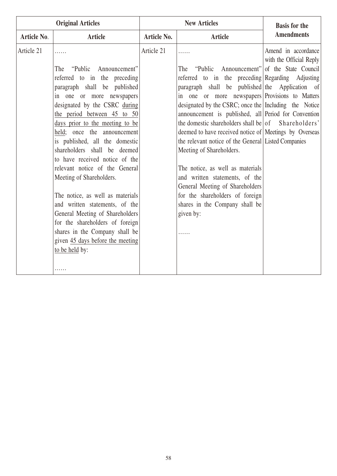| <b>Original Articles</b> |                                  |                    | <b>New Articles</b>                                     | <b>Basis for the</b>                           |
|--------------------------|----------------------------------|--------------------|---------------------------------------------------------|------------------------------------------------|
| <b>Article No.</b>       | <b>Article</b>                   | <b>Article No.</b> | <b>Article</b>                                          | <b>Amendments</b>                              |
| Article 21               |                                  | Article 21         | .                                                       | Amend in accordance<br>with the Official Reply |
|                          | The "Public Announcement"        |                    | "Public Announcement" of the State Council<br>The       |                                                |
|                          | referred to in the preceding     |                    | referred to in the preceding Regarding Adjusting        |                                                |
|                          | paragraph shall be published     |                    | paragraph shall be published the Application of         |                                                |
|                          | in one or more newspapers        |                    | in one or more newspapers Provisions to Matters         |                                                |
|                          | designated by the CSRC during    |                    | designated by the CSRC; once the Including the Notice   |                                                |
|                          | the period between 45 to 50      |                    | announcement is published, all Period for Convention    |                                                |
|                          | days prior to the meeting to be  |                    | the domestic shareholders shall be $ $ of Shareholders' |                                                |
|                          | held; once the announcement      |                    | deemed to have received notice of Meetings by Overseas  |                                                |
|                          | is published, all the domestic   |                    | the relevant notice of the General Listed Companies     |                                                |
|                          | shareholders shall be deemed     |                    | Meeting of Shareholders.                                |                                                |
|                          | to have received notice of the   |                    |                                                         |                                                |
|                          | relevant notice of the General   |                    | The notice, as well as materials                        |                                                |
|                          | Meeting of Shareholders.         |                    | and written statements, of the                          |                                                |
|                          |                                  |                    | General Meeting of Shareholders                         |                                                |
|                          | The notice, as well as materials |                    | for the shareholders of foreign                         |                                                |
|                          | and written statements, of the   |                    | shares in the Company shall be                          |                                                |
|                          | General Meeting of Shareholders  |                    | given by:                                               |                                                |
|                          | for the shareholders of foreign  |                    |                                                         |                                                |
|                          | shares in the Company shall be   |                    | .                                                       |                                                |
|                          | given 45 days before the meeting |                    |                                                         |                                                |
|                          | to be held by:                   |                    |                                                         |                                                |
|                          |                                  |                    |                                                         |                                                |
|                          | .                                |                    |                                                         |                                                |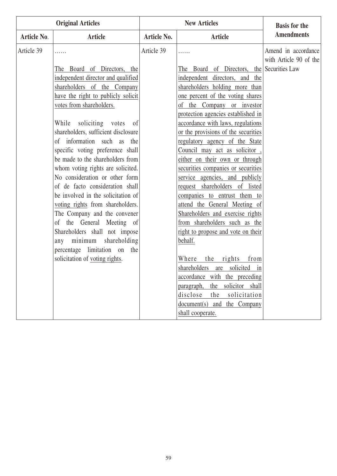| <b>Original Articles</b> |                                     |                    | <b>New Articles</b>                        | <b>Basis for the</b>   |
|--------------------------|-------------------------------------|--------------------|--------------------------------------------|------------------------|
| Article No.              | Article                             | <b>Article No.</b> | <b>Article</b>                             | <b>Amendments</b>      |
| Article 39               | .                                   | Article 39         |                                            | Amend in accordance    |
|                          |                                     |                    |                                            | with Article 90 of the |
|                          | The Board of Directors, the         |                    | The Board of Directors, the Securities Law |                        |
|                          | independent director and qualified  |                    | independent directors, and the             |                        |
|                          | shareholders of the Company         |                    | shareholders holding more than             |                        |
|                          | have the right to publicly solicit  |                    | one percent of the voting shares           |                        |
|                          | votes from shareholders.            |                    | of the Company or investor                 |                        |
|                          |                                     |                    | protection agencies established in         |                        |
|                          | While soliciting votes<br>of        |                    | accordance with laws, regulations          |                        |
|                          | shareholders, sufficient disclosure |                    | or the provisions of the securities        |                        |
|                          | of information such as the          |                    | regulatory agency of the State             |                        |
|                          | specific voting preference shall    |                    | Council may act as solicitor               |                        |
|                          | be made to the shareholders from    |                    | either on their own or through             |                        |
|                          | whom voting rights are solicited.   |                    | securities companies or securities         |                        |
|                          | No consideration or other form      |                    | service agencies, and publicly             |                        |
|                          | of de facto consideration shall     |                    | request shareholders of listed             |                        |
|                          | be involved in the solicitation of  |                    | companies to entrust them to               |                        |
|                          | voting rights from shareholders.    |                    | attend the General Meeting of              |                        |
|                          | The Company and the convener        |                    | Shareholders and exercise rights           |                        |
|                          | of the General Meeting of           |                    | from shareholders such as the              |                        |
|                          | Shareholders shall not impose       |                    | right to propose and vote on their         |                        |
|                          | minimum shareholding<br>any         |                    | behalf.                                    |                        |
|                          | percentage limitation on<br>the     |                    |                                            |                        |
|                          | solicitation of voting rights.      |                    | the rights<br>from<br>Where                |                        |
|                          |                                     |                    | shareholders are solicited in              |                        |
|                          |                                     |                    | accordance with the preceding              |                        |
|                          |                                     |                    | the solicitor shall<br>paragraph,          |                        |
|                          |                                     |                    | disclose<br>the<br>solicitation            |                        |
|                          |                                     |                    | document(s)<br>and the Company             |                        |
|                          |                                     |                    | shall cooperate.                           |                        |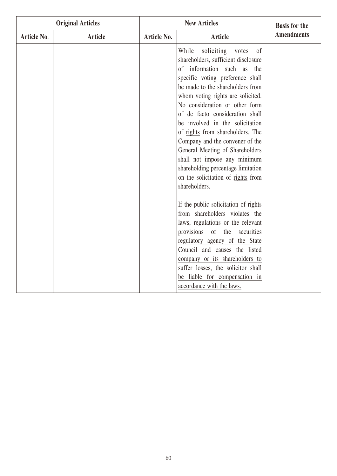| <b>Original Articles</b> |                | <b>New Articles</b> |                                                                                                                                                                                                                                                                                                                                                                                                                                                                                                                                                                                     | <b>Basis for the</b> |
|--------------------------|----------------|---------------------|-------------------------------------------------------------------------------------------------------------------------------------------------------------------------------------------------------------------------------------------------------------------------------------------------------------------------------------------------------------------------------------------------------------------------------------------------------------------------------------------------------------------------------------------------------------------------------------|----------------------|
| Article No.              | <b>Article</b> | Article No.         | <b>Article</b>                                                                                                                                                                                                                                                                                                                                                                                                                                                                                                                                                                      | <b>Amendments</b>    |
|                          |                |                     | soliciting<br>While<br>of<br>votes<br>shareholders, sufficient disclosure<br>information such<br><b>as</b><br>of<br>the<br>specific voting preference shall<br>be made to the shareholders from<br>whom voting rights are solicited.<br>No consideration or other form<br>of de facto consideration shall<br>be involved in the solicitation<br>of rights from shareholders. The<br>Company and the convener of the<br>General Meeting of Shareholders<br>shall not impose any minimum<br>shareholding percentage limitation<br>on the solicitation of rights from<br>shareholders. |                      |
|                          |                |                     | If the public solicitation of rights<br>from shareholders violates the<br>laws, regulations or the relevant<br>provisions<br>of<br>the<br>securities<br>regulatory agency of the State<br>Council and causes the listed<br>company or its shareholders to<br>suffer losses, the solicitor shall<br>be liable for compensation in<br>accordance with the laws.                                                                                                                                                                                                                       |                      |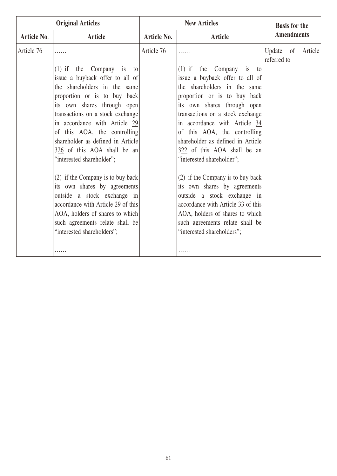| <b>Original Articles</b> |                                    | <b>New Articles</b> |                                    | <b>Basis for the</b>                |  |
|--------------------------|------------------------------------|---------------------|------------------------------------|-------------------------------------|--|
| Article No.              | <b>Article</b>                     | <b>Article No.</b>  | Article                            | <b>Amendments</b>                   |  |
| Article 76               | .                                  | Article 76          | .                                  | Update of<br>Article<br>referred to |  |
|                          | $(1)$ if the Company is to         |                     | $(1)$ if the Company is to         |                                     |  |
|                          | issue a buyback offer to all of    |                     | issue a buyback offer to all of    |                                     |  |
|                          | the shareholders in the same       |                     | the shareholders in the same       |                                     |  |
|                          | proportion or is to buy back       |                     | proportion or is to buy back       |                                     |  |
|                          | its own shares through open        |                     | its own shares through open        |                                     |  |
|                          | transactions on a stock exchange   |                     | transactions on a stock exchange   |                                     |  |
|                          | in accordance with Article 29      |                     | in accordance with Article 34      |                                     |  |
|                          | of this AOA, the controlling       |                     | of this AOA, the controlling       |                                     |  |
|                          | shareholder as defined in Article  |                     | shareholder as defined in Article  |                                     |  |
|                          | 326 of this AOA shall be an        |                     | 322 of this AOA shall be an        |                                     |  |
|                          | "interested shareholder";          |                     | "interested shareholder";          |                                     |  |
|                          | (2) if the Company is to buy back  |                     | (2) if the Company is to buy back  |                                     |  |
|                          | its own shares by agreements       |                     | its own shares by agreements       |                                     |  |
|                          | outside a stock exchange in        |                     | outside a stock exchange in        |                                     |  |
|                          | accordance with Article 29 of this |                     | accordance with Article 33 of this |                                     |  |
|                          | AOA, holders of shares to which    |                     | AOA, holders of shares to which    |                                     |  |
|                          | such agreements relate shall be    |                     | such agreements relate shall be    |                                     |  |
|                          | "interested shareholders";         |                     | "interested shareholders";         |                                     |  |
|                          |                                    |                     |                                    |                                     |  |
|                          | .                                  |                     |                                    |                                     |  |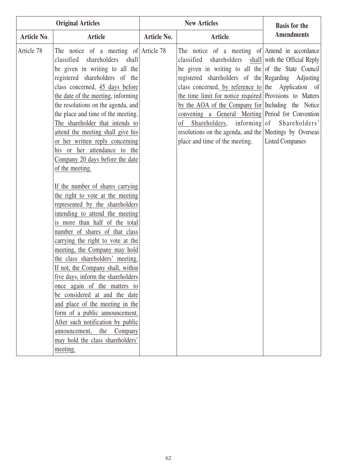| <b>Original Articles</b> |                                                                                                                                                                                                                                                                                                                                                                                                                                                                                                                                                                                                                                                                                                                                                                                                                                                                                                                                                                                                                                                                                                                                                                       | <b>New Articles</b> |                                                                                                                                                                                                                                                                                                                                                                                                                                                                                                                                                                                                   | <b>Basis for the</b>    |
|--------------------------|-----------------------------------------------------------------------------------------------------------------------------------------------------------------------------------------------------------------------------------------------------------------------------------------------------------------------------------------------------------------------------------------------------------------------------------------------------------------------------------------------------------------------------------------------------------------------------------------------------------------------------------------------------------------------------------------------------------------------------------------------------------------------------------------------------------------------------------------------------------------------------------------------------------------------------------------------------------------------------------------------------------------------------------------------------------------------------------------------------------------------------------------------------------------------|---------------------|---------------------------------------------------------------------------------------------------------------------------------------------------------------------------------------------------------------------------------------------------------------------------------------------------------------------------------------------------------------------------------------------------------------------------------------------------------------------------------------------------------------------------------------------------------------------------------------------------|-------------------------|
| Article No.              | <b>Article</b>                                                                                                                                                                                                                                                                                                                                                                                                                                                                                                                                                                                                                                                                                                                                                                                                                                                                                                                                                                                                                                                                                                                                                        | Article No.         | <b>Article</b>                                                                                                                                                                                                                                                                                                                                                                                                                                                                                                                                                                                    | <b>Amendments</b>       |
| Article 78               | The notice of a meeting of Article 78<br>classified<br>shareholders shall<br>be given in writing to all the<br>registered shareholders of the<br>class concerned, 45 days before<br>the date of the meeting, informing<br>the resolutions on the agenda, and<br>the place and time of the meeting.<br>The shareholder that intends to<br>attend the meeting shall give his<br>or her written reply concerning<br>his or her attendance to the<br>Company 20 days before the date<br>of the meeting.<br>If the number of shares carrying<br>the right to vote at the meeting<br>represented by the shareholders<br>intending to attend the meeting<br>is more than half of the total<br>number of shares of that class<br>carrying the right to vote at the<br>meeting, the Company may hold<br>the class shareholders' meeting.<br>If not, the Company shall, within<br>five days, inform the shareholders<br>once again of the matters to<br>be considered at and the date<br>and place of the meeting in the<br>form of a public announcement.<br>After such notification by public<br>the Company<br>announcement,<br>may hold the class shareholders'<br>meeting. |                     | The notice of a meeting of Amend in accordance<br>classified shareholders shall with the Official Reply<br>be given in writing to all the of the State Council<br>registered shareholders of the Regarding Adjusting<br>class concerned, by reference to the Application of<br>the time limit for notice required Provisions to Matters<br>by the AOA of the Company for Including the Notice<br>convening a General Meeting Period for Convention<br>Shareholders, informing of Shareholders'<br>οf<br>resolutions on the agenda, and the Meetings by Overseas<br>place and time of the meeting. | <b>Listed Companies</b> |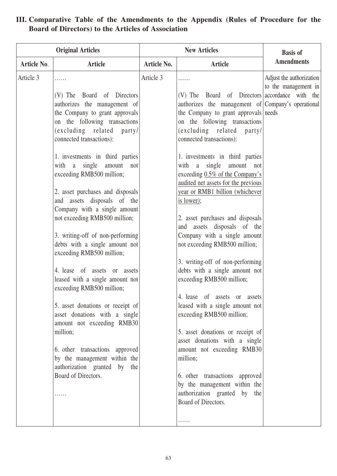| <b>Original Articles</b> |                                                                                                                                                                                                                                                                                                                                                                                                                                                                                                                                                                                                                                                                                                                                                                                                                                                                            | <b>New Articles</b> |                                                                                                                                                                                                                                                                                                                                                                                                                                                                                                                                                                                                                                                                                                                                                                                                                                                                                                                                                                                                                            | <b>Basis of</b>                                  |
|--------------------------|----------------------------------------------------------------------------------------------------------------------------------------------------------------------------------------------------------------------------------------------------------------------------------------------------------------------------------------------------------------------------------------------------------------------------------------------------------------------------------------------------------------------------------------------------------------------------------------------------------------------------------------------------------------------------------------------------------------------------------------------------------------------------------------------------------------------------------------------------------------------------|---------------------|----------------------------------------------------------------------------------------------------------------------------------------------------------------------------------------------------------------------------------------------------------------------------------------------------------------------------------------------------------------------------------------------------------------------------------------------------------------------------------------------------------------------------------------------------------------------------------------------------------------------------------------------------------------------------------------------------------------------------------------------------------------------------------------------------------------------------------------------------------------------------------------------------------------------------------------------------------------------------------------------------------------------------|--------------------------------------------------|
| <b>Article No.</b>       | <b>Article</b>                                                                                                                                                                                                                                                                                                                                                                                                                                                                                                                                                                                                                                                                                                                                                                                                                                                             | Article No.         | <b>Article</b>                                                                                                                                                                                                                                                                                                                                                                                                                                                                                                                                                                                                                                                                                                                                                                                                                                                                                                                                                                                                             | <b>Amendments</b>                                |
| Article 3                | (V) The Board of Directors<br>authorizes the management of<br>the Company to grant approvals<br>on the following transactions<br>(excluding related party/<br>connected transactions):<br>1. investments in third parties<br>with a single<br>amount<br>not<br>exceeding RMB500 million;<br>2. asset purchases and disposals<br>and assets disposals of the<br>Company with a single amount<br>not exceeding RMB500 million;<br>3. writing-off of non-performing<br>debts with a single amount not<br>exceeding RMB500 million;<br>4. lease of assets or assets<br>leased with a single amount not<br>exceeding RMB500 million;<br>5. asset donations or receipt of<br>asset donations with a single<br>amount not exceeding RMB30<br>million;<br>6. other transactions approved<br>by the management within the<br>authorization granted by<br>the<br>Board of Directors. | Article 3           | .<br>(V) The Board of Directors accordance with the<br>authorizes the management of Company's operational<br>the Company to grant approvals needs<br>on the following transactions<br>(excluding related party/<br>connected transactions):<br>1. investments in third parties<br>single amount not<br>with a<br>exceeding $0.5\%$ of the Company's<br>audited net assets for the previous<br>year or RMB1 billion (whichever<br>is lower);<br>2. asset purchases and disposals<br>and assets disposals of the<br>Company with a single amount<br>not exceeding RMB500 million;<br>3. writing-off of non-performing<br>debts with a single amount not<br>exceeding RMB500 million;<br>4. lease of assets or assets<br>leased with a single amount not<br>exceeding RMB500 million;<br>5. asset donations or receipt of<br>asset donations with a single<br>amount not exceeding RMB30<br>million;<br>6. other transactions approved<br>by the management within the<br>authorization granted by the<br>Board of Directors. | Adjust the authorization<br>to the management in |
|                          |                                                                                                                                                                                                                                                                                                                                                                                                                                                                                                                                                                                                                                                                                                                                                                                                                                                                            |                     | .                                                                                                                                                                                                                                                                                                                                                                                                                                                                                                                                                                                                                                                                                                                                                                                                                                                                                                                                                                                                                          |                                                  |

### **III. Comparative Table of the Amendments to the Appendix (Rules of Procedure for the Board of Directors) to the Articles of Association**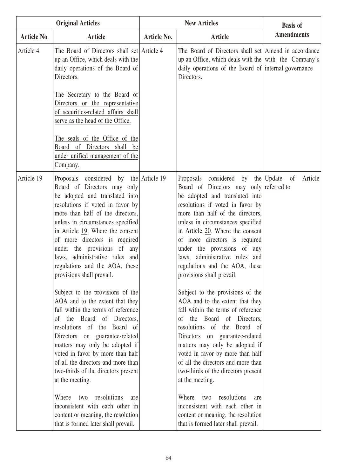| <b>Original Articles</b> |                                                                                                                                                                                                                                                                                                                                                                                                                                                                                                                                      | <b>New Articles</b> |                                                                                                                                                                                                                                                                                                                                                                                                                                                                                                                                               | <b>Basis of</b>   |
|--------------------------|--------------------------------------------------------------------------------------------------------------------------------------------------------------------------------------------------------------------------------------------------------------------------------------------------------------------------------------------------------------------------------------------------------------------------------------------------------------------------------------------------------------------------------------|---------------------|-----------------------------------------------------------------------------------------------------------------------------------------------------------------------------------------------------------------------------------------------------------------------------------------------------------------------------------------------------------------------------------------------------------------------------------------------------------------------------------------------------------------------------------------------|-------------------|
| Article No.              | <b>Article</b>                                                                                                                                                                                                                                                                                                                                                                                                                                                                                                                       | <b>Article No.</b>  | <b>Article</b>                                                                                                                                                                                                                                                                                                                                                                                                                                                                                                                                | <b>Amendments</b> |
| Article 4                | The Board of Directors shall set Article 4<br>up an Office, which deals with the<br>daily operations of the Board of<br>Directors.<br>The Secretary to the Board of<br>Directors or the representative<br>of securities-related affairs shall<br>serve as the head of the Office.<br>The seals of the Office of the<br>Board of Directors shall be<br>under unified management of the<br>Company.                                                                                                                                    |                     | The Board of Directors shall set Amend in accordance<br>up an Office, which deals with the $ \text{with the Company's} $<br>daily operations of the Board of internal governance<br>Directors.                                                                                                                                                                                                                                                                                                                                                |                   |
| Article 19               | Proposals considered by the Article 19<br>Board of Directors may only<br>be adopted and translated into<br>resolutions if voted in favor by<br>more than half of the directors,<br>unless in circumstances specified<br>in Article $19$ . Where the consent<br>of more directors is required<br>under the provisions of any<br>laws, administrative rules and<br>regulations and the AOA, these<br>provisions shall prevail.                                                                                                         |                     | Proposals considered by the Update of<br>Board of Directors may only referred to<br>be adopted and translated into<br>resolutions if voted in favor by<br>more than half of the directors,<br>unless in circumstances specified<br>in Article 20. Where the consent<br>of more directors is required<br>under the provisions of any<br>laws, administrative rules and<br>regulations and the AOA, these<br>provisions shall prevail.                                                                                                          | Article           |
|                          | Subject to the provisions of the<br>AOA and to the extent that they<br>fall within the terms of reference<br>of the Board of Directors,<br>resolutions of the Board of<br>Directors on guarantee-related<br>matters may only be adopted if<br>voted in favor by more than half<br>of all the directors and more than<br>two-thirds of the directors present<br>at the meeting.<br>resolutions<br>Where<br>two<br>are<br>inconsistent with each other in<br>content or meaning, the resolution<br>that is formed later shall prevail. |                     | Subject to the provisions of the<br>AOA and to the extent that they<br>fall within the terms of reference<br>the Board of Directors,<br>$\sigma$<br>resolutions of the Board of<br>Directors on guarantee-related<br>matters may only be adopted if<br>voted in favor by more than half<br>of all the directors and more than<br>two-thirds of the directors present<br>at the meeting.<br>resolutions<br>Where<br>two<br>are<br>inconsistent with each other in<br>content or meaning, the resolution<br>that is formed later shall prevail. |                   |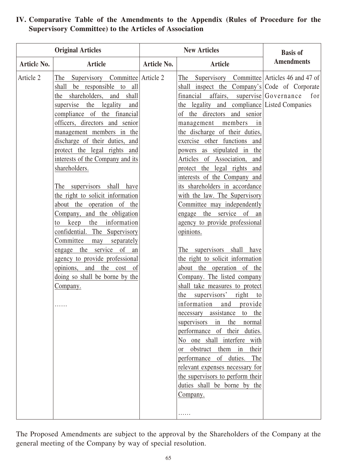| <b>Original Articles</b> |                                                                                                                                                                                                                                                                                                                                                                                                                                                                                                                                                                                                                                                                                                                                                | <b>New Articles</b> |                                                                                                                                                                                                                                                                                                                                                                                                                                                                                                                                                                                                                                                                                                                                                                                                                                                                                                                                                                                                                                                                                                                                                                             | <b>Basis of</b>             |
|--------------------------|------------------------------------------------------------------------------------------------------------------------------------------------------------------------------------------------------------------------------------------------------------------------------------------------------------------------------------------------------------------------------------------------------------------------------------------------------------------------------------------------------------------------------------------------------------------------------------------------------------------------------------------------------------------------------------------------------------------------------------------------|---------------------|-----------------------------------------------------------------------------------------------------------------------------------------------------------------------------------------------------------------------------------------------------------------------------------------------------------------------------------------------------------------------------------------------------------------------------------------------------------------------------------------------------------------------------------------------------------------------------------------------------------------------------------------------------------------------------------------------------------------------------------------------------------------------------------------------------------------------------------------------------------------------------------------------------------------------------------------------------------------------------------------------------------------------------------------------------------------------------------------------------------------------------------------------------------------------------|-----------------------------|
| Article No.              | <b>Article</b>                                                                                                                                                                                                                                                                                                                                                                                                                                                                                                                                                                                                                                                                                                                                 | <b>Article No.</b>  | <b>Article</b>                                                                                                                                                                                                                                                                                                                                                                                                                                                                                                                                                                                                                                                                                                                                                                                                                                                                                                                                                                                                                                                                                                                                                              | <b>Amendments</b>           |
| Article 2                | Supervisory Committee Article 2<br>The<br>shall be responsible to all<br>the shareholders, and shall<br>supervise the legality<br>and<br>compliance of the financial<br>officers, directors and senior<br>management members in the<br>discharge of their duties, and<br>protect the legal rights and<br>interests of the Company and its<br>shareholders.<br>The supervisors shall have<br>the right to solicit information<br>about the operation of the<br>Company, and the obligation<br>the information<br>keep<br>to<br>confidential. The Supervisory<br>Committee<br>separately<br>may<br>engage the service of<br>an<br>agency to provide professional<br>opinions, and the cost<br>- of<br>doing so shall be borne by the<br>Company. |                     | Supervisory Committee Articles 46 and 47 of<br>The<br>shall inspect the Company's Code of Corporate<br>financial<br>affairs,<br>the legality and compliance Listed Companies<br>the directors and senior<br>of<br>management members<br>1n<br>the discharge of their duties,<br>exercise other functions and<br>powers as stipulated in<br>the<br>Articles of Association, and<br>protect the legal rights and<br>interests of the Company and<br>its shareholders in accordance<br>with the law. The Supervisory<br>Committee may independently<br>engage the service of an<br>agency to provide professional<br>opinions.<br>The supervisors shall have<br>the right to solicit information<br>about the operation of the<br>Company. The listed company<br>shall take measures to protect<br>the supervisors' right to<br>information and<br>provide<br>necessary assistance to the<br>supervisors in the<br>normal<br>performance of their duties.<br>No one shall interfere with<br>or obstruct them in their<br>performance of duties.<br>The<br>relevant expenses necessary for<br>the supervisors to perform their<br>duties shall be borne by the<br>Company.<br>. | $supervised Government$ for |

#### **IV. Comparative Table of the Amendments to the Appendix (Rules of Procedure for the Supervisory Committee) to the Articles of Association**

The Proposed Amendments are subject to the approval by the Shareholders of the Company at the general meeting of the Company by way of special resolution.